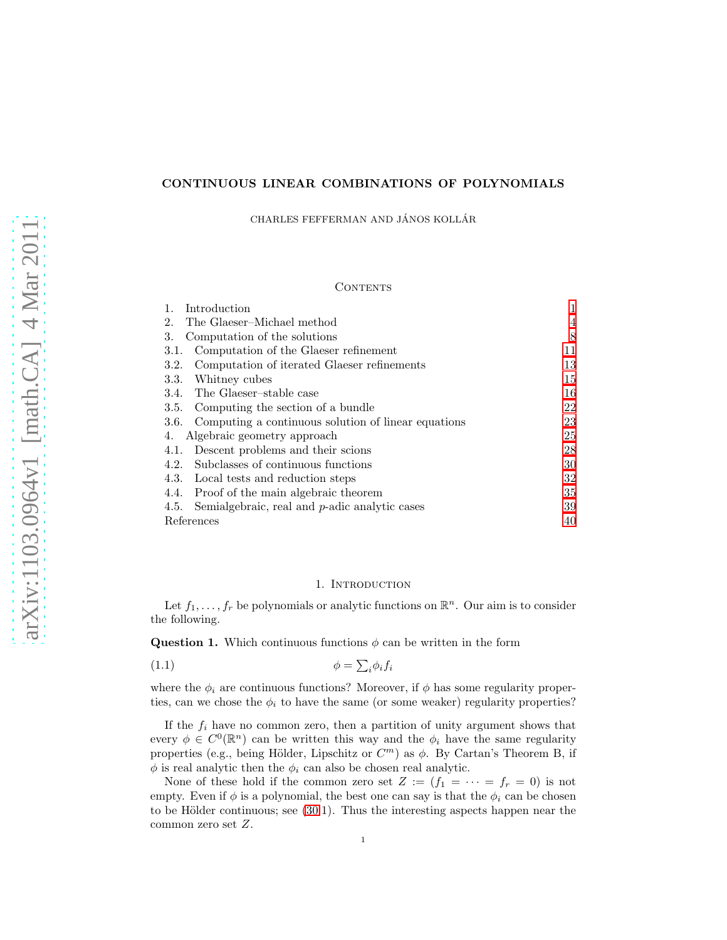# CONTINUOUS LINEAR COMBINATIONS OF POLYNOMIALS

CHARLES FEFFERMAN AND JÁNOS KOLLÁR

## CONTENTS

| Introduction                                                |    |
|-------------------------------------------------------------|----|
| The Glaeser-Michael method<br>2.                            | 4  |
| 3.<br>Computation of the solutions                          | 8  |
| Computation of the Glaeser refinement<br>3.1.               | 11 |
| Computation of iterated Glaeser refinements<br>3.2.         | 13 |
| Whitney cubes<br>3.3.                                       | 15 |
| The Glaeser-stable case<br>3.4.                             | 16 |
| Computing the section of a bundle<br>3.5.                   | 22 |
| Computing a continuous solution of linear equations<br>3.6. | 23 |
| Algebraic geometry approach<br>4.                           | 25 |
| Descent problems and their scions<br>4.1.                   | 28 |
| Subclasses of continuous functions<br>4.2.                  | 30 |
| 4.3. Local tests and reduction steps                        | 32 |
| Proof of the main algebraic theorem<br>4.4.                 | 35 |
| Semialgebraic, real and $p$ -adic analytic cases<br>4.5.    | 39 |
| References                                                  | 40 |

#### <span id="page-0-2"></span>1. Introduction

<span id="page-0-0"></span>Let  $f_1, \ldots, f_r$  be polynomials or analytic functions on  $\mathbb{R}^n$ . Our aim is to consider the following.

<span id="page-0-1"></span>**Question 1.** Which continuous functions  $\phi$  can be written in the form

$$
\phi = \sum_{i} \phi_{i} f_{i}
$$

where the  $\phi_i$  are continuous functions? Moreover, if  $\phi$  has some regularity properties, can we chose the  $\phi_i$  to have the same (or some weaker) regularity properties?

If the  $f_i$  have no common zero, then a partition of unity argument shows that every  $\phi \in C^{0}(\mathbb{R}^{n})$  can be written this way and the  $\phi_{i}$  have the same regularity properties (e.g., being Hölder, Lipschitz or  $C<sup>m</sup>$ ) as  $\phi$ . By Cartan's Theorem B, if  $\phi$  is real analytic then the  $\phi_i$  can also be chosen real analytic.

None of these hold if the common zero set  $Z := (f_1 = \cdots = f_r = 0)$  is not empty. Even if  $\phi$  is a polynomial, the best one can say is that the  $\phi_i$  can be chosen to be Hölder continuous; see  $(30.1)$ . Thus the interesting aspects happen near the common zero set Z.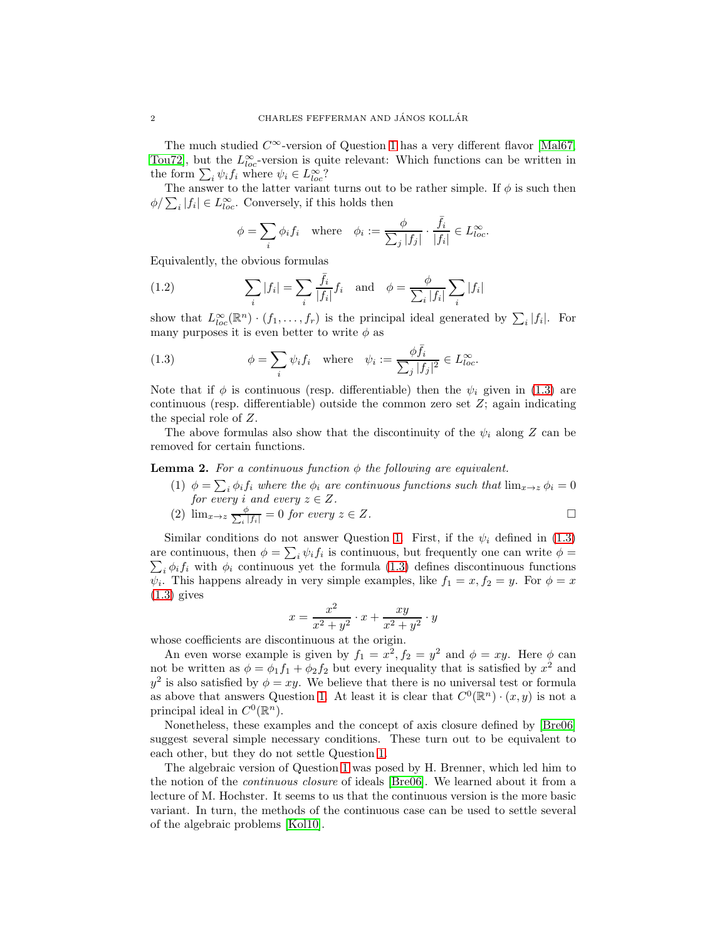The much studied  $C^{\infty}$ -version of Question [1](#page-0-1) has a very different flavor [\[Mal67,](#page-39-1) [Tou72\]](#page-39-2), but the  $L^{\infty}_{loc}$ -version is quite relevant: Which functions can be written in the form  $\sum_i \psi_i f_i$  where  $\psi_i \in L^{\infty}_{loc}$ ?

The answer to the latter variant turns out to be rather simple. If  $\phi$  is such then  $\phi / \sum_i |f_i| \in L^{\infty}_{loc}$ . Conversely, if this holds then

<span id="page-1-2"></span>
$$
\phi = \sum_{i} \phi_i f_i \quad \text{where} \quad \phi_i := \frac{\phi}{\sum_j |f_j|} \cdot \frac{\bar{f}_i}{|f_i|} \in L^{\infty}_{loc}.
$$

Equivalently, the obvious formulas

(1.2) 
$$
\sum_{i} |f_i| = \sum_{i} \frac{\bar{f}_i}{|f_i|} f_i \text{ and } \phi = \frac{\phi}{\sum_{i} |f_i|} \sum_{i} |f_i|
$$

show that  $L^{\infty}_{loc}(\mathbb{R}^n) \cdot (f_1,\ldots,f_r)$  is the principal ideal generated by  $\sum_i |f_i|$ . For many purposes it is even better to write  $\phi$  as

<span id="page-1-0"></span>(1.3) 
$$
\phi = \sum_{i} \psi_i f_i \quad \text{where} \quad \psi_i := \frac{\phi \bar{f}_i}{\sum_j |f_j|^2} \in L^{\infty}_{loc}.
$$

Note that if  $\phi$  is continuous (resp. differentiable) then the  $\psi_i$  given in [\(1.3\)](#page-1-0) are continuous (resp. differentiable) outside the common zero set  $Z$ ; again indicating the special role of Z.

The above formulas also show that the discontinuity of the  $\psi_i$  along Z can be removed for certain functions.

# <span id="page-1-1"></span>**Lemma 2.** For a continuous function  $\phi$  the following are equivalent.

(1)  $\phi = \sum_i \phi_i f_i$  where the  $\phi_i$  are continuous functions such that  $\lim_{x\to z} \phi_i = 0$ *for every i* and every  $z \in Z$ .

(2) 
$$
\lim_{x \to z} \frac{\phi}{\sum_{i} |f_{i}|} = 0 \text{ for every } z \in Z.
$$

Similar conditions do not answer Question [1.](#page-0-1) First, if the  $\psi_i$  defined in [\(1.3\)](#page-1-0) are continuous, then  $\phi = \sum_i \psi_i f_i$  is continuous, but frequently one can write  $\phi =$  $\sum_i \phi_i f_i$  with  $\phi_i$  continuous yet the formula [\(1.3\)](#page-1-0) defines discontinuous functions  $\psi_i$ . This happens already in very simple examples, like  $f_1 = x, f_2 = y$ . For  $\phi = x$  $(1.3)$  gives

$$
x = \frac{x^2}{x^2 + y^2} \cdot x + \frac{xy}{x^2 + y^2} \cdot y
$$

whose coefficients are discontinuous at the origin.

An even worse example is given by  $f_1 = x^2, f_2 = y^2$  and  $\phi = xy$ . Here  $\phi$  can not be written as  $\phi = \phi_1 f_1 + \phi_2 f_2$  but every inequality that is satisfied by  $x^2$  and  $y^2$  is also satisfied by  $\phi = xy$ . We believe that there is no universal test or formula as above that answers Question [1.](#page-0-1) At least it is clear that  $C^0(\mathbb{R}^n) \cdot (x, y)$  is not a principal ideal in  $C^0(\mathbb{R}^n)$ .

Nonetheless, these examples and the concept of axis closure defined by [\[Bre06\]](#page-39-3) suggest several simple necessary conditions. These turn out to be equivalent to each other, but they do not settle Question [1.](#page-0-1)

The algebraic version of Question [1](#page-0-1) was posed by H. Brenner, which led him to the notion of the *continuous closure* of ideals [\[Bre06\]](#page-39-3). We learned about it from a lecture of M. Hochster. It seems to us that the continuous version is the more basic variant. In turn, the methods of the continuous case can be used to settle several of the algebraic problems [\[Kol10\]](#page-39-4).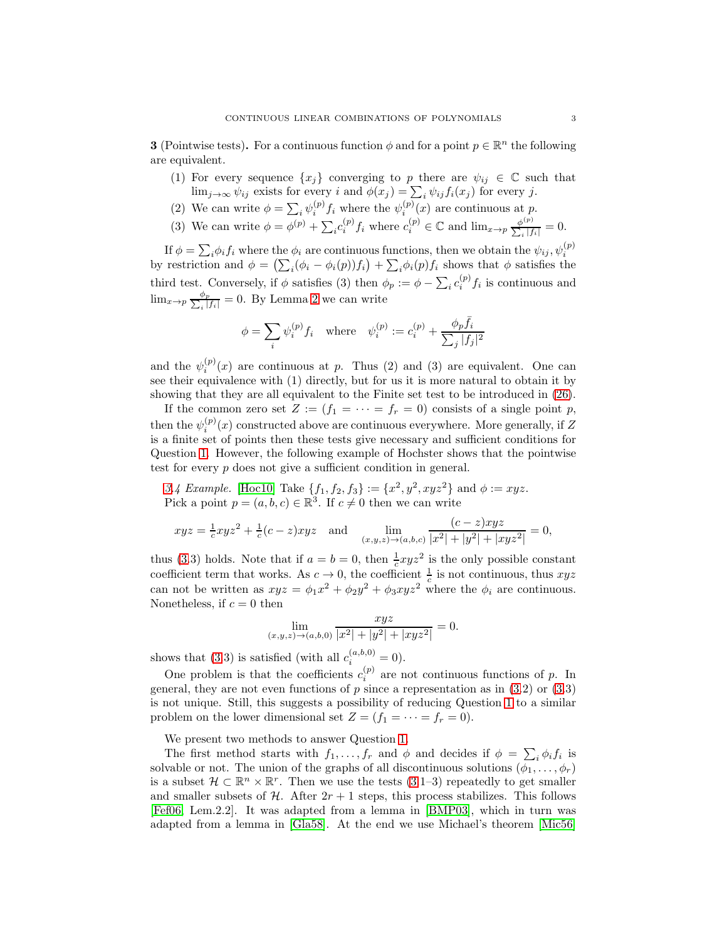<span id="page-2-0"></span>**3** (Pointwise tests). For a continuous function  $\phi$  and for a point  $p \in \mathbb{R}^n$  the following are equivalent.

- (1) For every sequence  $\{x_i\}$  converging to p there are  $\psi_{ij} \in \mathbb{C}$  such that  $\lim_{j\to\infty}\psi_{ij}$  exists for every i and  $\phi(x_j) = \sum_i \psi_{ij} f_i(x_j)$  for every j.
- (2) We can write  $\phi = \sum_i \psi_i^{(p)}$  $i^{(p)} f_i$  where the  $\psi_i^{(p)}$  $i^{(p)}(x)$  are continuous at p.
- (3) We can write  $\phi = \phi^{(p)} + \sum_i c_i^{(p)} f_i$  where  $c_i^{(p)} \in \mathbb{C}$  and  $\lim_{x \to p} \frac{\phi^{(p)}}{\sum_i |f_i|} = 0$ .

If  $\phi = \sum_i \phi_i f_i$  where the  $\phi_i$  are continuous functions, then we obtain the  $\psi_{ij}, \psi_i^{(p)}$ by restriction and  $\phi = (\sum_i (\phi_i - \phi_i(p)) f_i) + \sum_i \phi_i(p) f_i$  shows that  $\phi$  satisfies the third test. Conversely, if  $\phi$  satisfies (3) then  $\phi_p := \phi - \sum_i c_i^{(p)}$  $i^{(p)}f_i$  is continuous and  $\lim_{x\to p} \frac{\phi_p}{\sum x}$  $\frac{\varphi_p}{\varphi_i|f_i|} = 0$ . By Lemma [2](#page-1-1) we can write

$$
\phi = \sum_{i} \psi_i^{(p)} f_i \quad \text{where} \quad \psi_i^{(p)} := c_i^{(p)} + \frac{\phi_p \bar{f}_i}{\sum_j |f_j|^2}
$$

and the  $\psi_i^{(p)}$  $i^{(p)}(x)$  are continuous at p. Thus (2) and (3) are equivalent. One can see their equivalence with (1) directly, but for us it is more natural to obtain it by showing that they are all equivalent to the Finite set test to be introduced in [\(26\)](#page-25-0).

If the common zero set  $Z := (f_1 = \cdots = f_r = 0)$  consists of a single point p, then the  $\psi_i^{(p)}(x)$  constructed above are continuous everywhere. More generally, if Z is a finite set of points then these tests give necessary and sufficient conditions for Question [1.](#page-0-1) However, the following example of Hochster shows that the pointwise test for every p does not give a sufficient condition in general.

[3.](#page-2-0)4 Example. [\[Hoc10\]](#page-39-5) Take  $\{f_1, f_2, f_3\} := \{x^2, y^2, xyz^2\}$  and  $\phi := xyz$ . Pick a point  $p = (a, b, c) \in \mathbb{R}^3$ . If  $c \neq 0$  then we can write

$$
xyz = \frac{1}{c}xyz^2 + \frac{1}{c}(c-z)xyz \quad \text{and} \quad \lim_{(x,y,z) \to (a,b,c)} \frac{(c-z)xyz}{|x^2| + |y^2| + |xyz^2|} = 0,
$$

thus [\(3.](#page-2-0)3) holds. Note that if  $a = b = 0$ , then  $\frac{1}{c}xyz^2$  is the only possible constant coefficient term that works. As  $c \to 0$ , the coefficient  $\frac{1}{c}$  is not continuous, thus  $xyz$ can not be written as  $xyz = \phi_1 x^2 + \phi_2 y^2 + \phi_3 xy^2$  where the  $\phi_i$  are continuous. Nonetheless, if  $c = 0$  then

$$
\lim_{(x,y,z)\to(a,b,0)}\frac{xyz}{|x^2|+|y^2|+|xyz^2|}=0.
$$

shows that [\(3.](#page-2-0)3) is satisfied (with all  $c_i^{(a,b,0)} = 0$ ).

One problem is that the coefficients  $c_i^{(p)}$  are not continuous functions of p. In general, they are not even functions of  $p$  since a representation as in  $(3.2)$  or  $(3.3)$ is not unique. Still, this suggests a possibility of reducing Question [1](#page-0-1) to a similar problem on the lower dimensional set  $Z = (f_1 = \cdots = f_r = 0)$ .

We present two methods to answer Question [1.](#page-0-1)

The first method starts with  $f_1, \ldots, f_r$  and  $\phi$  and decides if  $\phi = \sum_i \phi_i f_i$  is solvable or not. The union of the graphs of all discontinuous solutions  $(\phi_1, \ldots, \phi_r)$ is a subset  $\mathcal{H} \subset \mathbb{R}^n \times \mathbb{R}^r$ . Then we use the tests  $(3.1-3)$  repeatedly to get smaller and smaller subsets of  $H$ . After  $2r + 1$  steps, this process stabilizes. This follows [\[Fef06,](#page-39-6) Lem.2.2]. It was adapted from a lemma in [\[BMP03\]](#page-39-7), which in turn was adapted from a lemma in [\[Gla58\]](#page-39-8). At the end we use Michael's theorem [\[Mic56\]](#page-39-9)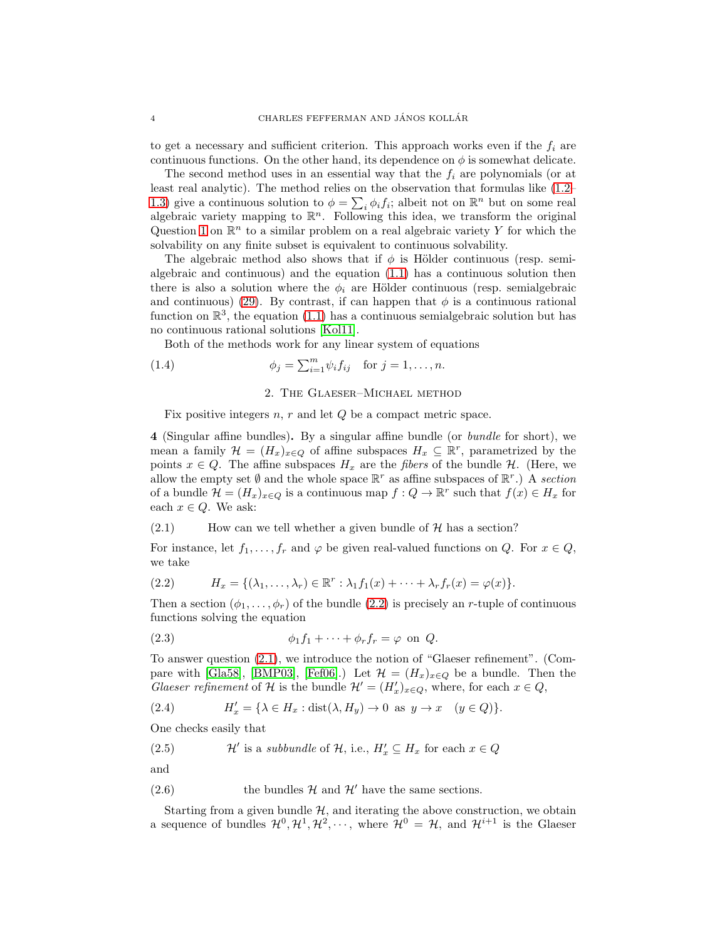to get a necessary and sufficient criterion. This approach works even if the  $f_i$  are continuous functions. On the other hand, its dependence on  $\phi$  is somewhat delicate.

The second method uses in an essential way that the  $f_i$  are polynomials (or at least real analytic). The method relies on the observation that formulas like [\(1.2–](#page-1-2) [1.3\)](#page-1-0) give a continuous solution to  $\phi = \sum_i \phi_i f_i$ ; albeit not on  $\mathbb{R}^n$  but on some real algebraic variety mapping to  $\mathbb{R}^n$ . Following this idea, we transform the original Question [1](#page-0-1) on  $\mathbb{R}^n$  to a similar problem on a real algebraic variety Y for which the solvability on any finite subset is equivalent to continuous solvability.

The algebraic method also shows that if  $\phi$  is Hölder continuous (resp. semialgebraic and continuous) and the equation [\(1.1\)](#page-0-2) has a continuous solution then there is also a solution where the  $\phi_i$  are Hölder continuous (resp. semialgebraic and continuous) [\(29\)](#page-26-1). By contrast, if can happen that  $\phi$  is a continuous rational function on  $\mathbb{R}^3$ , the equation [\(1.1\)](#page-0-2) has a continuous semialgebraic solution but has no continuous rational solutions [\[Kol11\]](#page-39-10).

Both of the methods work for any linear system of equations

<span id="page-3-0"></span>(1.4) 
$$
\phi_j = \sum_{i=1}^m \psi_i f_{ij} \text{ for } j = 1, ..., n.
$$

## 2. The Glaeser–Michael method

Fix positive integers  $n, r$  and let  $Q$  be a compact metric space.

4 (Singular affine bundles). By a singular affine bundle (or *bundle* for short), we mean a family  $\mathcal{H} = (H_x)_{x \in Q}$  of affine subspaces  $H_x \subseteq \mathbb{R}^r$ , parametrized by the points  $x \in Q$ . The affine subspaces  $H_x$  are the *fibers* of the bundle  $H$ . (Here, we allow the empty set  $\emptyset$  and the whole space  $\mathbb{R}^r$  as affine subspaces of  $\mathbb{R}^r$ .) A *section* of a bundle  $\mathcal{H} = (H_x)_{x \in Q}$  is a continuous map  $f: Q \to \mathbb{R}^r$  such that  $f(x) \in H_x$  for each  $x \in Q$ . We ask:

<span id="page-3-2"></span> $(2.1)$  How can we tell whether a given bundle of  $H$  has a section?

For instance, let  $f_1, \ldots, f_r$  and  $\varphi$  be given real-valued functions on Q. For  $x \in Q$ , we take

<span id="page-3-1"></span>(2.2) 
$$
H_x = \{(\lambda_1, \ldots, \lambda_r) \in \mathbb{R}^r : \lambda_1 f_1(x) + \cdots + \lambda_r f_r(x) = \varphi(x)\}.
$$

Then a section  $(\phi_1, \ldots, \phi_r)$  of the bundle  $(2.2)$  is precisely an r-tuple of continuous functions solving the equation

<span id="page-3-3"></span>(2.3) 
$$
\phi_1 f_1 + \cdots + \phi_r f_r = \varphi \text{ on } Q.
$$

To answer question [\(2.1\)](#page-3-2), we introduce the notion of "Glaeser refinement". (Com-pare with [\[Gla58\]](#page-39-8), [\[BMP03\]](#page-39-7), [\[Fef06\]](#page-39-6).) Let  $\mathcal{H} = (H_x)_{x \in Q}$  be a bundle. Then the *Glaeser refinement* of  $\mathcal{H}$  is the bundle  $\mathcal{H}' = (H'_x)_{x \in Q}$ , where, for each  $x \in Q$ ,

(2.4) 
$$
H'_x = \{ \lambda \in H_x : \text{dist}(\lambda, H_y) \to 0 \text{ as } y \to x \quad (y \in Q) \}.
$$

One checks easily that

(2.5) 
$$
\mathcal{H}'
$$
 is a subbundle of  $\mathcal{H}$ , i.e.,  $H'_x \subseteq H_x$  for each  $x \in Q$ 

and

(2.6) the bundles  $\mathcal{H}$  and  $\mathcal{H}'$  have the same sections.

Starting from a given bundle  $H$ , and iterating the above construction, we obtain a sequence of bundles  $\mathcal{H}^0, \mathcal{H}^1, \mathcal{H}^2, \cdots$ , where  $\mathcal{H}^0 = \mathcal{H}$ , and  $\mathcal{H}^{i+1}$  is the Glaeser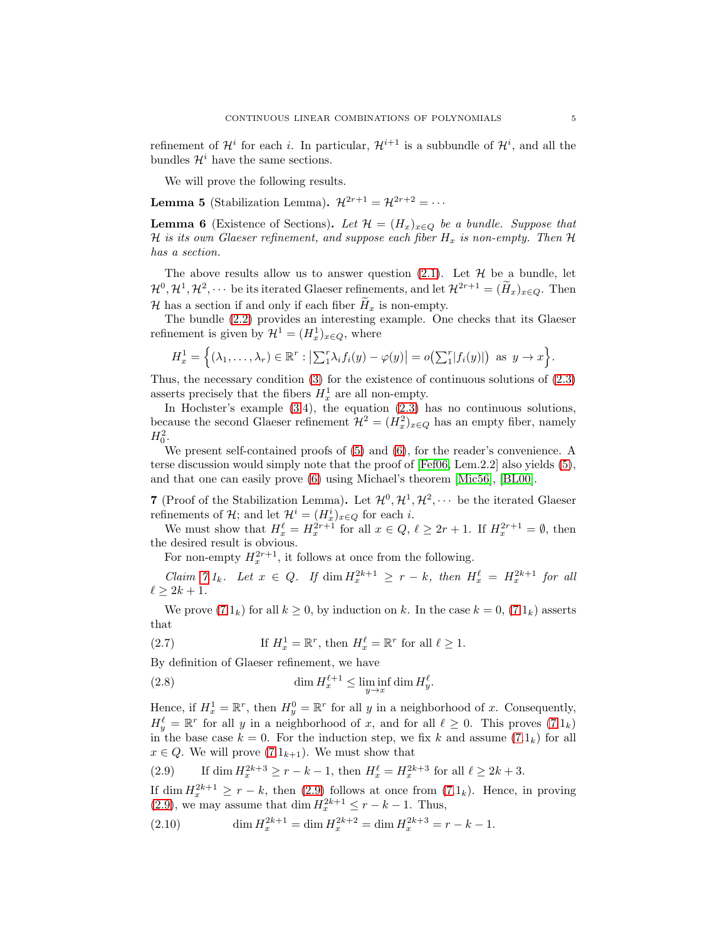refinement of  $\mathcal{H}^i$  for each i. In particular,  $\mathcal{H}^{i+1}$  is a subbundle of  $\mathcal{H}^i$ , and all the bundles  $\mathcal{H}^i$  have the same sections.

We will prove the following results.

<span id="page-4-0"></span>**Lemma 5** (Stabilization Lemma).  $\mathcal{H}^{2r+1} = \mathcal{H}^{2r+2} = \cdots$ 

<span id="page-4-1"></span>**Lemma 6** (Existence of Sections). Let  $\mathcal{H} = (H_x)_{x \in Q}$  be a bundle. Suppose that H *is its own Glaeser refinement, and suppose each fiber*  $H_x$  *is non-empty. Then*  $H$ *has a section.*

The above results allow us to answer question  $(2.1)$ . Let  $\mathcal H$  be a bundle, let  $\mathcal{H}^0, \mathcal{H}^1, \mathcal{H}^2, \cdots$  be its iterated Glaeser refinements, and let  $\mathcal{H}^{2r+1} = (\tilde{H}_x)_{x \in Q}$ . Then H has a section if and only if each fiber  $H_x$  is non-empty.

The bundle [\(2.2\)](#page-3-1) provides an interesting example. One checks that its Glaeser refinement is given by  $\mathcal{H}^1 = (H^1_x)_{x \in Q}$ , where

$$
H_x^1 = \Big\{ (\lambda_1,\ldots,\lambda_r) \in \mathbb{R}^r : \big|\sum_{i=1}^r \lambda_i f_i(y) - \varphi(y)\big| = o\big(\sum_{i=1}^r |f_i(y)|\big) \text{ as } y \to x \Big\}.
$$

Thus, the necessary condition [\(3\)](#page-2-0) for the existence of continuous solutions of [\(2.3\)](#page-3-3) asserts precisely that the fibers  $H_x^1$  are all non-empty.

In Hochster's example [\(3.](#page-2-0)4), the equation [\(2.3\)](#page-3-3) has no continuous solutions, because the second Glaeser refinement  $\mathcal{H}^2 = (H_x^2)_{x \in Q}$  has an empty fiber, namely  $H_0^2$ .

We present self-contained proofs of [\(5\)](#page-4-0) and [\(6\)](#page-4-1), for the reader's convenience. A terse discussion would simply note that the proof of [\[Fef06,](#page-39-6) Lem.2.2] also yields [\(5\)](#page-4-0), and that one can easily prove [\(6\)](#page-4-1) using Michael's theorem [\[Mic56\]](#page-39-9), [\[BL00\]](#page-39-11).

<span id="page-4-2"></span>7 (Proof of the Stabilization Lemma). Let  $\mathcal{H}^0, \mathcal{H}^1, \mathcal{H}^2, \cdots$  be the iterated Glaeser refinements of  $\mathcal{H}$ ; and let  $\mathcal{H}^i = (H^i_x)_{x \in Q}$  for each *i*.

We must show that  $H_x^{\ell} = H_x^{2r+1}$  for all  $x \in Q, \ell \ge 2r+1$ . If  $H_x^{2r+1} = \emptyset$ , then the desired result is obvious.

For non-empty  $H_x^{2r+1}$ , it follows at once from the following.

*Claim* [7.](#page-4-2)1<sub>k</sub>. Let  $x \in Q$ . If dim  $H_x^{2k+1} \geq r - k$ , then  $H_x^{\ell} = H_x^{2k+1}$  for all  $\ell > 2k + 1$ .

We prove  $(7.1_k)$  for all  $k \geq 0$ , by induction on k. In the case  $k = 0$ ,  $(7.1_k)$  asserts that

(2.7) If 
$$
H_x^1 = \mathbb{R}^r
$$
, then  $H_x^{\ell} = \mathbb{R}^r$  for all  $\ell \ge 1$ .

By definition of Glaeser refinement, we have

<span id="page-4-4"></span>(2.8) 
$$
\dim H_x^{\ell+1} \leq \liminf_{y \to x} \dim H_y^{\ell}.
$$

Hence, if  $H_x^1 = \mathbb{R}^r$ , then  $H_y^0 = \mathbb{R}^r$  for all y in a neighborhood of x. Consequently,  $H_y^{\ell} = \mathbb{R}^r$  for all y in a neighborhood of x, and for all  $\ell \geq 0$ . This proves  $(7.1_k)$ in the base case  $k = 0$ . For the induction step, we fix k and assume  $(7.1_k)$  for all  $x \in Q$ . We will prove  $(7.1_{k+1})$ . We must show that

<span id="page-4-3"></span>(2.9) If dim 
$$
H_x^{2k+3} \ge r - k - 1
$$
, then  $H_x^{\ell} = H_x^{2k+3}$  for all  $\ell \ge 2k + 3$ .

If dim  $H_x^{2k+1} \geq r - k$ , then [\(2.9\)](#page-4-3) follows at once from  $(7.1_k)$ . Hence, in proving [\(2.9\)](#page-4-3), we may assume that dim  $H_x^{2k+1} \leq r - k - 1$ . Thus,

<span id="page-4-5"></span>(2.10) 
$$
\dim H_x^{2k+1} = \dim H_x^{2k+2} = \dim H_x^{2k+3} = r - k - 1.
$$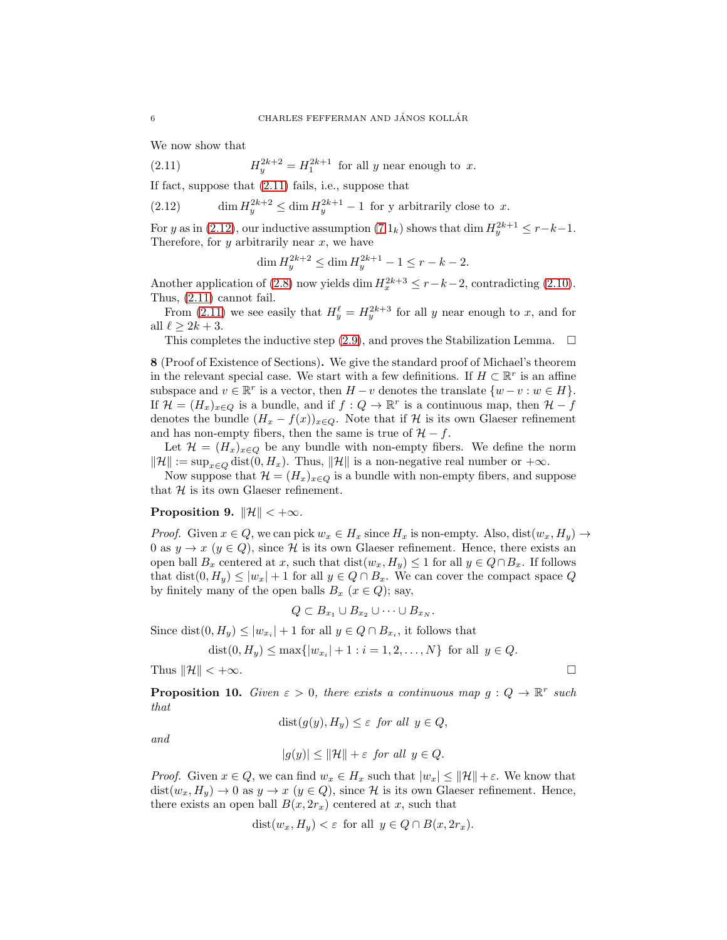We now show that

(2.11)  $H_y^{2k+2} = H_1^{2k+1}$  for all y near enough to x.

If fact, suppose that [\(2.11\)](#page-5-0) fails, i.e., suppose that

<span id="page-5-1"></span>(2.12) 
$$
\dim H_y^{2k+2} \le \dim H_y^{2k+1} - 1 \text{ for y arbitrarily close to } x.
$$

For y as in [\(2.12\)](#page-5-1), our inductive assumption  $(7.1_k)$  shows that dim  $H_y^{2k+1} \le r-k-1$ . Therefore, for  $y$  arbitrarily near  $x$ , we have

<span id="page-5-0"></span>
$$
\dim H_y^{2k+2} \le \dim H_y^{2k+1} - 1 \le r - k - 2.
$$

Another application of [\(2.8\)](#page-4-4) now yields dim  $H_x^{2k+3} \le r-k-2$ , contradicting [\(2.10\)](#page-4-5). Thus, [\(2.11\)](#page-5-0) cannot fail.

From [\(2.11\)](#page-5-0) we see easily that  $H_y^{\ell} = H_y^{2k+3}$  for all y near enough to x, and for all  $\ell \geq 2k+3$ .

This completes the inductive step [\(2.9\)](#page-4-3), and proves the Stabilization Lemma.  $\Box$ 

8 (Proof of Existence of Sections). We give the standard proof of Michael's theorem in the relevant special case. We start with a few definitions. If  $H \subset \mathbb{R}^r$  is an affine subspace and  $v \in \mathbb{R}^r$  is a vector, then  $H - v$  denotes the translate  $\{w - v : w \in H\}$ . If  $\mathcal{H} = (H_x)_{x \in Q}$  is a bundle, and if  $f: Q \to \mathbb{R}^r$  is a continuous map, then  $\mathcal{H} - f$ denotes the bundle  $(H_x - f(x))_{x \in Q}$ . Note that if H is its own Glaeser refinement and has non-empty fibers, then the same is true of  $H - f$ .

Let  $\mathcal{H} = (H_x)_{x \in Q}$  be any bundle with non-empty fibers. We define the norm  $\|\mathcal{H}\| := \sup_{x \in Q} \text{dist}(0, H_x)$ . Thus,  $\|\mathcal{H}\|$  is a non-negative real number or  $+\infty$ .

Now suppose that  $\mathcal{H} = (H_x)_{x \in Q}$  is a bundle with non-empty fibers, and suppose that  $H$  is its own Glaeser refinement.

#### Proposition 9.  $\|\mathcal{H}\| < +\infty$ *.*

*Proof.* Given  $x \in Q$ , we can pick  $w_x \in H_x$  since  $H_x$  is non-empty. Also,  $dist(w_x, H_y) \to$ 0 as  $y \to x$  ( $y \in Q$ ), since H is its own Glaeser refinement. Hence, there exists an open ball  $B_x$  centered at x, such that  $dist(w_x, H_y) \leq 1$  for all  $y \in Q \cap B_x$ . If follows that dist $(0, H_y) \leq |w_x| + 1$  for all  $y \in Q \cap B_x$ . We can cover the compact space Q by finitely many of the open balls  $B_x$   $(x \in Q)$ ; say,

$$
Q \subset B_{x_1} \cup B_{x_2} \cup \cdots \cup B_{x_N}.
$$

Since dist $(0, H_y) \le |w_{x_i}| + 1$  for all  $y \in Q \cap B_{x_i}$ , it follows that

$$
dist(0, H_y) \le max\{|w_{x_i}| + 1 : i = 1, 2, ..., N\}
$$
 for all  $y \in Q$ .

Thus  $\|\mathcal{H}\| < +\infty$ .

<span id="page-5-2"></span>**Proposition 10.** *Given*  $\varepsilon > 0$ , *there exists a continuous map*  $g: Q \to \mathbb{R}^r$  *such that*

$$
dist(g(y), H_y) \le \varepsilon \text{ for all } y \in Q,
$$

*and*

$$
|g(y)| \le ||\mathcal{H}|| + \varepsilon \text{ for all } y \in Q.
$$

*Proof.* Given  $x \in Q$ , we can find  $w_x \in H_x$  such that  $|w_x| \leq ||\mathcal{H}|| + \varepsilon$ . We know that  $dist(w_x, H_y) \to 0$  as  $y \to x$   $(y \in Q)$ , since H is its own Glaeser refinement. Hence, there exists an open ball  $B(x, 2r_x)$  centered at x, such that

$$
dist(w_x, H_y) < \varepsilon \text{ for all } y \in Q \cap B(x, 2r_x).
$$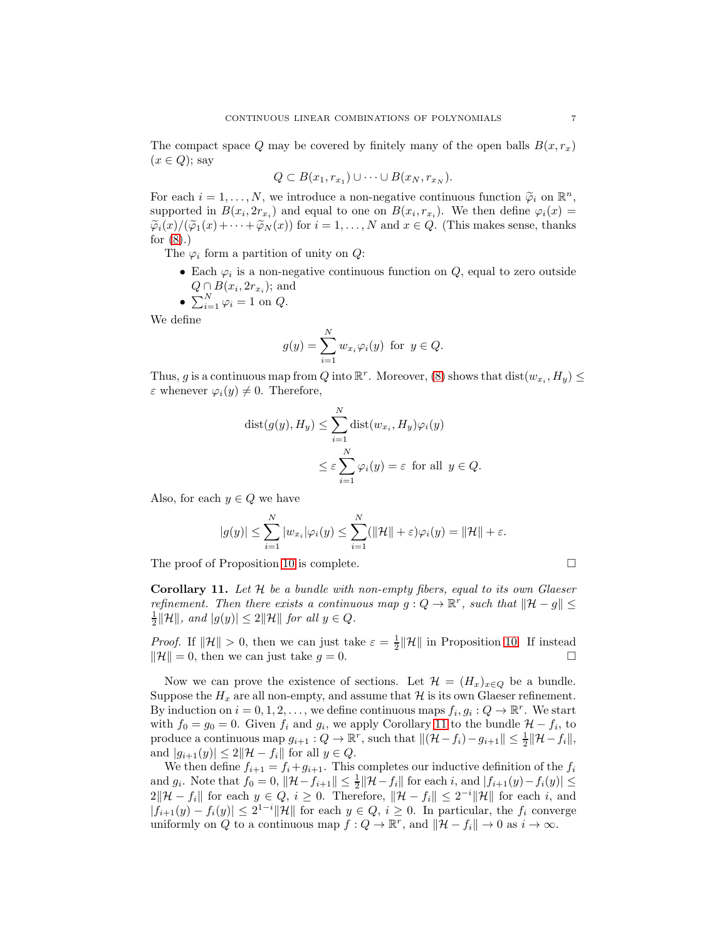The compact space Q may be covered by finitely many of the open balls  $B(x, r_x)$  $(x \in Q)$ ; say

$$
Q \subset B(x_1, r_{x_1}) \cup \cdots \cup B(x_N, r_{x_N}).
$$

For each  $i = 1, ..., N$ , we introduce a non-negative continuous function  $\widetilde{\varphi}_i$  on  $\mathbb{R}^n$ , supported in  $B(x_i, 2r_{x_i})$  and equal to one on  $B(x_i, r_{x_i})$ . We then define  $\varphi_i(x) =$  $\widetilde{\varphi}_i(x)/(\widetilde{\varphi}_1(x)+\cdots+\widetilde{\varphi}_N(x))$  for  $i=1,\ldots,N$  and  $x\in Q$ . (This makes sense, thanks for  $(8)$ .)

The  $\varphi_i$  form a partition of unity on  $Q$ :

• Each  $\varphi_i$  is a non-negative continuous function on  $Q$ , equal to zero outside  $Q \cap B(x_i, 2r_{x_i})$ ; and

• 
$$
\sum_{i=1}^{N} \varphi_i = 1 \text{ on } Q.
$$

We define

$$
g(y) = \sum_{i=1}^{N} w_{x_i} \varphi_i(y) \text{ for } y \in Q.
$$

Thus, g is a continuous map from Q into  $\mathbb{R}^r$ . Moreover, [\(8\)](#page-5-2) shows that  $dist(w_{x_i}, H_y) \leq$  $\varepsilon$  whenever  $\varphi_i(y) \neq 0$ . Therefore,

$$
dist(g(y), H_y) \le \sum_{i=1}^N dist(w_{x_i}, H_y)\varphi_i(y)
$$
  

$$
\le \varepsilon \sum_{i=1}^N \varphi_i(y) = \varepsilon \text{ for all } y \in Q.
$$

Also, for each  $y \in Q$  we have

$$
|g(y)| \leq \sum_{i=1}^N |w_{x_i}|\varphi_i(y) \leq \sum_{i=1}^N (\|\mathcal{H}\| + \varepsilon)\varphi_i(y) = \|\mathcal{H}\| + \varepsilon.
$$

The proof of Proposition [10](#page-5-2) is complete.  $\Box$ 

<span id="page-6-0"></span>Corollary 11. *Let* H *be a bundle with non-empty fibers, equal to its own Glaeser refinement. Then there exists a continuous map*  $g: Q \to \mathbb{R}^r$ , such that  $||\mathcal{H} - g|| \leq$  $\frac{1}{2} \|\mathcal{H}\|$ , and  $|g(y)| \leq 2\|\mathcal{H}\|$  for all  $y \in Q$ .

*Proof.* If  $\|\mathcal{H}\| > 0$ , then we can just take  $\varepsilon = \frac{1}{2} \|\mathcal{H}\|$  in Proposition [10.](#page-5-2) If instead  $\|\mathcal{H}\| = 0$ , then we can just take  $g = 0$ .

Now we can prove the existence of sections. Let  $\mathcal{H} = (H_x)_{x \in Q}$  be a bundle. Suppose the  $H_x$  are all non-empty, and assume that  $\mathcal H$  is its own Glaeser refinement. By induction on  $i = 0, 1, 2, \ldots$ , we define continuous maps  $f_i, g_i : Q \to \mathbb{R}^r$ . We start with  $f_0 = g_0 = 0$ . Given  $f_i$  and  $g_i$ , we apply Corollary [11](#page-6-0) to the bundle  $\mathcal{H} - f_i$ , to produce a continuous map  $g_{i+1}: Q \to \mathbb{R}^r$ , such that  $\|(\mathcal{H} - f_i) - g_{i+1}\| \leq \frac{1}{2} \|\mathcal{H} - f_i\|$ , and  $|g_{i+1}(y)| \leq 2\|\mathcal{H}-f_i\|$  for all  $y \in Q$ .

We then define  $f_{i+1} = f_i + g_{i+1}$ . This completes our inductive definition of the  $f_i$ and  $g_i$ . Note that  $f_0 = 0$ ,  $||\mathcal{H} - f_{i+1}|| \leq \frac{1}{2}||\mathcal{H} - f_i||$  for each  $i$ , and  $|f_{i+1}(y) - f_i(y)| \leq$  $2\|\mathcal{H}-f_i\|$  for each  $y \in Q, i \geq 0$ . Therefore,  $\|\mathcal{H}-f_i\| \leq 2^{-i}\|\mathcal{H}\|$  for each i, and  $|f_{i+1}(y) - f_i(y)| \leq 2^{1-i} ||\mathcal{H}||$  for each  $y \in Q$ ,  $i \geq 0$ . In particular, the  $f_i$  converge uniformly on Q to a continuous map  $f: Q \to \mathbb{R}^r$ , and  $\|\mathcal{H} - f_i\| \to 0$  as  $i \to \infty$ .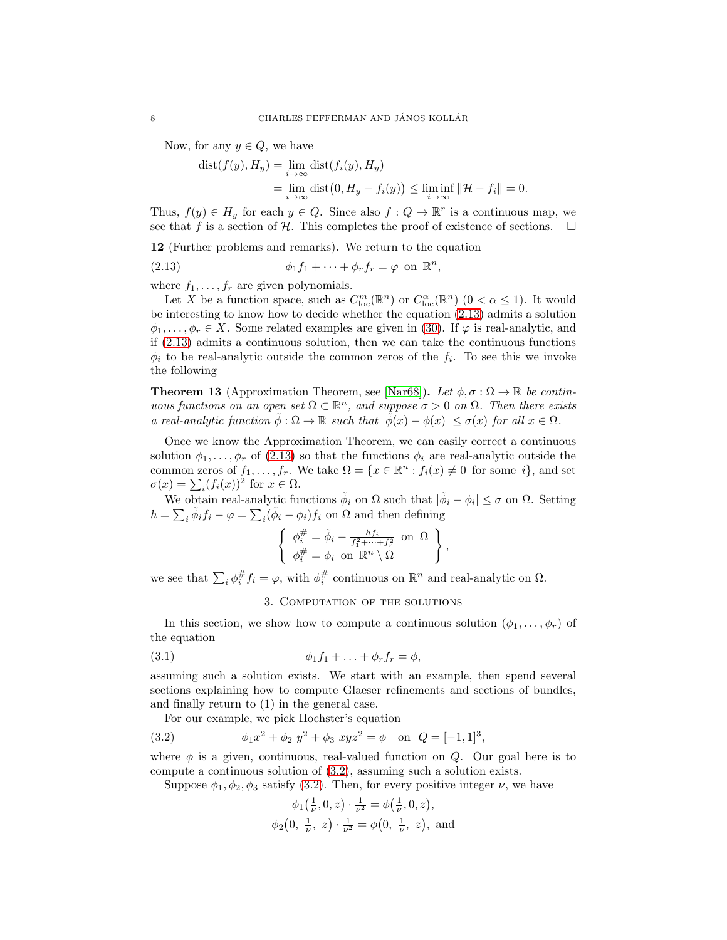Now, for any  $y \in Q$ , we have

$$
dist(f(y), H_y) = \lim_{i \to \infty} dist(f_i(y), H_y)
$$
  
= 
$$
\lim_{i \to \infty} dist(0, H_y - f_i(y)) \le \liminf_{i \to \infty} ||\mathcal{H} - f_i|| = 0.
$$

Thus,  $f(y) \in H_y$  for each  $y \in Q$ . Since also  $f: Q \to \mathbb{R}^r$  is a continuous map, we see that f is a section of H. This completes the proof of existence of sections.  $\Box$ 

<span id="page-7-4"></span>12 (Further problems and remarks). We return to the equation

<span id="page-7-1"></span>(2.13)  $\phi_1 f_1 + \cdots + \phi_r f_r = \varphi \text{ on } \mathbb{R}^n,$ 

where  $f_1, \ldots, f_r$  are given polynomials.

Let X be a function space, such as  $C_{\text{loc}}^m(\mathbb{R}^n)$  or  $C_{\text{loc}}^{\alpha}(\mathbb{R}^n)$   $(0 < \alpha \leq 1)$ . It would be interesting to know how to decide whether the equation [\(2.13\)](#page-7-1) admits a solution  $\phi_1, \ldots, \phi_r \in X$ . Some related examples are given in [\(30\)](#page-26-0). If  $\varphi$  is real-analytic, and if [\(2.13\)](#page-7-1) admits a continuous solution, then we can take the continuous functions  $\phi_i$  to be real-analytic outside the common zeros of the  $f_i$ . To see this we invoke the following

**Theorem 13** (Approximation Theorem, see [\[Nar68\]](#page-39-12)). Let  $\phi$ ,  $\sigma : \Omega \to \mathbb{R}$  be contin*uous functions on an open set*  $\Omega \subset \mathbb{R}^n$ , and suppose  $\sigma > 0$  on  $\Omega$ . Then there exists *a real-analytic function*  $\phi : \Omega \to \mathbb{R}$  *such that*  $|\phi(x) - \phi(x)| \leq \sigma(x)$  *for all*  $x \in \Omega$ *.* 

Once we know the Approximation Theorem, we can easily correct a continuous solution  $\phi_1, \ldots, \phi_r$  of [\(2.13\)](#page-7-1) so that the functions  $\phi_i$  are real-analytic outside the common zeros of  $f_1, \ldots, f_r$ . We take  $\Omega = \{x \in \mathbb{R}^n : f_i(x) \neq 0 \text{ for some } i\}$ , and set  $\sigma(x) = \sum_i (f_i(x))^2$  for  $x \in \Omega$ .

We obtain real-analytic functions  $\tilde{\phi}_i$  on  $\Omega$  such that  $|\tilde{\phi}_i - \phi_i| \leq \sigma$  on  $\Omega$ . Setting  $h = \sum_i \tilde{\phi}_i f_i - \varphi = \sum_i (\tilde{\phi}_i - \phi_i) f_i$  on  $\Omega$  and then defining

$$
\left\{ \begin{array}{l} \phi_i^{\#} = \tilde{\phi}_i - \frac{hf_i}{f_1^2 + \cdots + f_r^2} \text{ on } \Omega \\ \phi_i^{\#} = \phi_i \text{ on } \mathbb{R}^n \setminus \Omega \end{array} \right\}
$$

,

<span id="page-7-0"></span>we see that  $\sum_i \phi_i^{\#} f_i = \varphi$ , with  $\phi_i^{\#}$  continuous on  $\mathbb{R}^n$  and real-analytic on  $\Omega$ .

## <span id="page-7-3"></span>3. Computation of the solutions

In this section, we show how to compute a continuous solution  $(\phi_1, \ldots, \phi_r)$  of the equation

$$
\phi_1 f_1 + \ldots + \phi_r f_r = \phi,
$$

assuming such a solution exists. We start with an example, then spend several sections explaining how to compute Glaeser refinements and sections of bundles, and finally return to (1) in the general case.

For our example, we pick Hochster's equation

(3.2) 
$$
\phi_1 x^2 + \phi_2 y^2 + \phi_3 xyz^2 = \phi \text{ on } Q = [-1, 1]^3,
$$

where  $\phi$  is a given, continuous, real-valued function on Q. Our goal here is to compute a continuous solution of [\(3.2\)](#page-7-2), assuming such a solution exists.

Suppose  $\phi_1, \phi_2, \phi_3$  satisfy [\(3.2\)](#page-7-2). Then, for every positive integer  $\nu$ , we have

<span id="page-7-2"></span>
$$
\phi_1(\frac{1}{\nu}, 0, z) \cdot \frac{1}{\nu^2} = \phi(\frac{1}{\nu}, 0, z),
$$
  

$$
\phi_2(0, \frac{1}{\nu}, z) \cdot \frac{1}{\nu^2} = \phi(0, \frac{1}{\nu}, z), \text{ and}
$$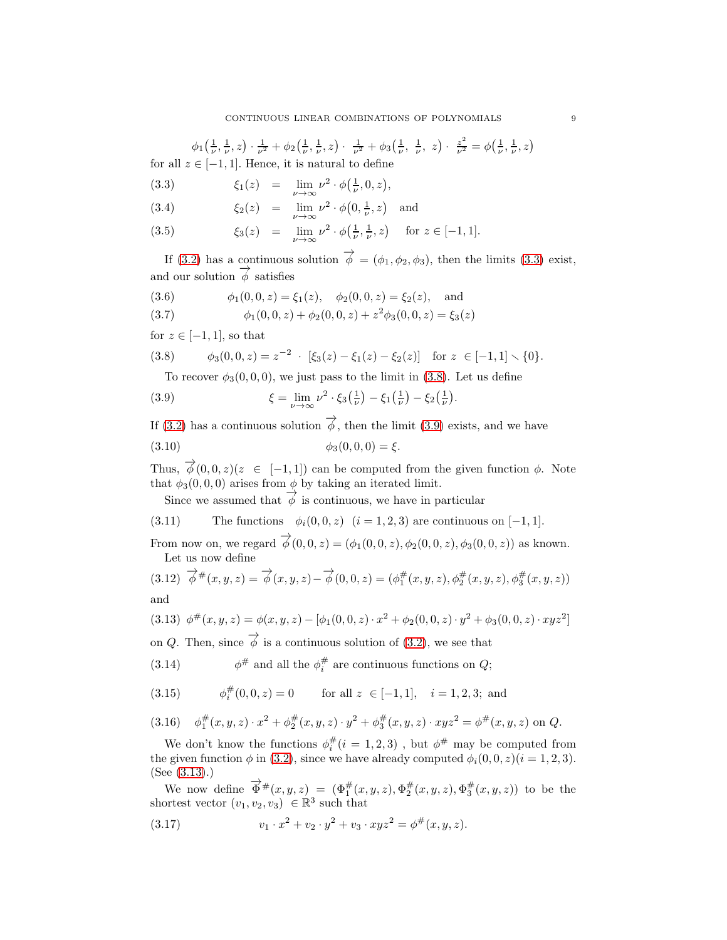$\phi_1\left(\frac{1}{\nu},\frac{1}{\nu},z\right)\cdot\frac{1}{\nu^2}+\phi_2\left(\frac{1}{\nu},\frac{1}{\nu},z\right)\cdot\frac{1}{\nu^2}+\phi_3\left(\frac{1}{\nu},\frac{1}{\nu},z\right)\cdot\frac{z^2}{\nu^2}=\phi\left(\frac{1}{\nu},\frac{1}{\nu},z\right)$ for all  $z \in [-1, 1]$ . Hence, it is natural to define

<span id="page-8-0"></span>(3.3) 
$$
\xi_1(z) = \lim_{\nu \to \infty} \nu^2 \cdot \phi(\frac{1}{\nu}, 0, z),
$$

(3.4)  $\xi_2(z) = \lim_{\nu \to \infty} \nu^2 \cdot \phi(0, \frac{1}{\nu}, z)$  and

(3.5) 
$$
\xi_3(z) = \lim_{\nu \to \infty} \nu^2 \cdot \phi(\frac{1}{\nu}, \frac{1}{\nu}, z) \text{ for } z \in [-1, 1].
$$

If [\(3.2\)](#page-7-2) has a continuous solution  $\overrightarrow{\phi} = (\phi_1, \phi_2, \phi_3)$ , then the limits [\(3.3\)](#page-8-0) exist, and our solution  $\overrightarrow{\phi}$  satisfies

<span id="page-8-9"></span>(3.6) 
$$
\phi_1(0,0,z) = \xi_1(z), \quad \phi_2(0,0,z) = \xi_2(z), \quad \text{and}
$$

(3.7) 
$$
\phi_1(0,0,z) + \phi_2(0,0,z) + z^2 \phi_3(0,0,z) = \xi_3(z)
$$

for  $z \in [-1, 1]$ , so that

(3.8) 
$$
\phi_3(0,0,z) = z^{-2} \cdot [\xi_3(z) - \xi_1(z) - \xi_2(z)] \text{ for } z \in [-1,1] \setminus \{0\}.
$$

<span id="page-8-2"></span><span id="page-8-1"></span>To recover  $\phi_3(0,0,0)$ , we just pass to the limit in [\(3.8\)](#page-8-1). Let us define

(3.9) 
$$
\xi = \lim_{\nu \to \infty} \nu^2 \cdot \xi_3(\tfrac{1}{\nu}) - \xi_1(\tfrac{1}{\nu}) - \xi_2(\tfrac{1}{\nu}).
$$

If [\(3.2\)](#page-7-2) has a continuous solution  $\overrightarrow{\phi}$ , then the limit [\(3.9\)](#page-8-2) exists, and we have

(3.10) 
$$
\phi_3(0,0,0) = \xi.
$$

Thus,  $\overrightarrow{\phi}(0, 0, z)(z \in [-1, 1])$  can be computed from the given function  $\phi$ . Note that  $\phi_3(0, 0, 0)$  arises from  $\phi$  by taking an iterated limit.

<span id="page-8-10"></span><span id="page-8-8"></span>Since we assumed that  $\overrightarrow{\phi}$  is continuous, we have in particular

(3.11) The functions  $\phi_i(0, 0, z)$   $(i = 1, 2, 3)$  are continuous on [−1, 1].

From now on, we regard  $\vec{\phi}(0,0,z) = (\phi_1(0,0,z), \phi_2(0,0,z), \phi_3(0,0,z))$  as known. Let us now define

<span id="page-8-11"></span>(3.12) 
$$
\overrightarrow{\phi}^{\#}(x, y, z) = \overrightarrow{\phi}(x, y, z) - \overrightarrow{\phi}(0, 0, z) = (\phi_1^{\#}(x, y, z), \phi_2^{\#}(x, y, z), \phi_3^{\#}(x, y, z))
$$
  
and

<span id="page-8-3"></span>
$$
(3.13)\ \ \phi^{\#}(x,y,z) = \phi(x,y,z) - [\phi_1(0,0,z) \cdot x^2 + \phi_2(0,0,z) \cdot y^2 + \phi_3(0,0,z) \cdot xyz^2]
$$

on Q. Then, since  $\overrightarrow{\phi}$  is a continuous solution of [\(3.2\)](#page-7-2), we see that

<span id="page-8-6"></span>(3.14) 
$$
\phi^{\#}
$$
 and all the  $\phi_i^{\#}$  are continuous functions on  $Q$ ;

<span id="page-8-7"></span>(3.15) 
$$
\phi_i^{\#}(0,0,z) = 0
$$
 for all  $z \in [-1,1], i = 1,2,3$ ; and

<span id="page-8-4"></span>
$$
(3.16) \quad \phi_1^{\#}(x, y, z) \cdot x^2 + \phi_2^{\#}(x, y, z) \cdot y^2 + \phi_3^{\#}(x, y, z) \cdot xyz^2 = \phi^{\#}(x, y, z) \text{ on } Q.
$$

We don't know the functions  $\phi_i^{\#}(i=1,2,3)$ , but  $\phi^{\#}$  may be computed from the given function  $\phi$  in [\(3.2\)](#page-7-2), since we have already computed  $\phi_i(0, 0, z)(i = 1, 2, 3)$ . (See [\(3.13\)](#page-8-3).)

We now define  $\vec{\Phi}^{\#}(x,y,z) = (\Phi_1^{\#}(x,y,z), \Phi_2^{\#}(x,y,z), \Phi_3^{\#}(x,y,z))$  to be the shortest vector  $(v_1, v_2, v_3) \in \mathbb{R}^3$  such that

<span id="page-8-5"></span>(3.17) 
$$
v_1 \cdot x^2 + v_2 \cdot y^2 + v_3 \cdot xyz^2 = \phi^{\#}(x, y, z).
$$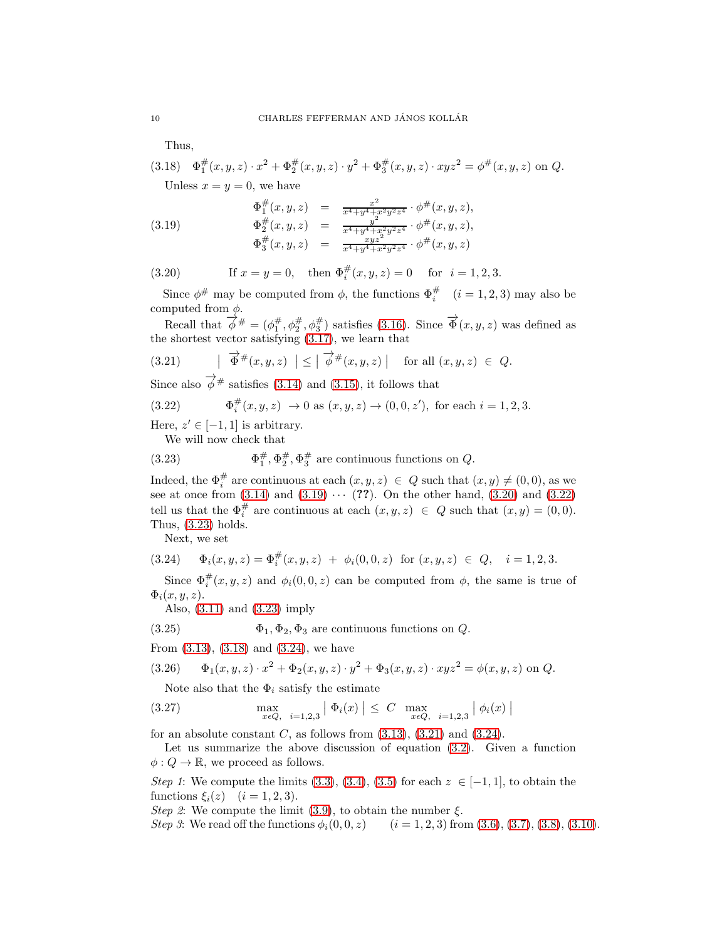<span id="page-9-4"></span>Thus,

$$
(3.18) \quad \Phi_1^{\#}(x, y, z) \cdot x^2 + \Phi_2^{\#}(x, y, z) \cdot y^2 + \Phi_3^{\#}(x, y, z) \cdot xyz^2 = \phi^{\#}(x, y, z) \text{ on } Q.
$$

<span id="page-9-0"></span>Unless  $x = y = 0$ , we have

(3.19) 
$$
\Phi_1^{\#}(x, y, z) = \frac{x^2}{x^4 + y^4 + x^2 y^2 z^4} \cdot \phi^{\#}(x, y, z), \n\Phi_2^{\#}(x, y, z) = \frac{y^2}{x^4 + y^4 + x^2 y^2 z^4} \cdot \phi^{\#}(x, y, z), \n\Phi_3^{\#}(x, y, z) = \frac{xyz^2}{x^4 + y^4 + x^2 y^2 z^4} \cdot \phi^{\#}(x, y, z)
$$

<span id="page-9-1"></span>(3.20) If 
$$
x = y = 0
$$
, then  $\Phi_i^{\#}(x, y, z) = 0$  for  $i = 1, 2, 3$ .

Since  $\phi^{\#}$  may be computed from  $\phi$ , the functions  $\Phi_i^{\#}$  ( $i = 1, 2, 3$ ) may also be computed from  $\phi$ .

Recall that  $\phi^{\#} = (\phi_1^{\#}, \phi_2^{\#}, \phi_3^{\#})$  satisfies [\(3.16\)](#page-8-4). Since  $\overrightarrow{\Phi}(x, y, z)$  was defined as the shortest vector satisfying [\(3.17\)](#page-8-5), we learn that

<span id="page-9-6"></span>
$$
(3.21) \qquad \begin{array}{c} | \ \overrightarrow{\Phi}^{\#}(x,y,z) \ \end{array} \Big| \leq \begin{array}{c} | \ \overrightarrow{\phi}^{\#}(x,y,z) \ \end{array} \Big| \quad \text{for all } (x,y,z) \ \in \ Q.
$$

Since also  $\overrightarrow{\phi}$  # satisfies [\(3.14\)](#page-8-6) and [\(3.15\)](#page-8-7), it follows that

(3.22) 
$$
\Phi_i^{\#}(x, y, z) \to 0 \text{ as } (x, y, z) \to (0, 0, z'), \text{ for each } i = 1, 2, 3.
$$

Here,  $z' \in [-1, 1]$  is arbitrary.

<span id="page-9-3"></span><span id="page-9-2"></span>We will now check that

(3.23) 
$$
\Phi_1^{\#}, \Phi_2^{\#}, \Phi_3^{\#} \text{ are continuous functions on } Q.
$$

Indeed, the  $\Phi_i^{\#}$  are continuous at each  $(x, y, z) \in Q$  such that  $(x, y) \neq (0, 0)$ , as we see at once from  $(3.14)$  and  $(3.19) \cdots (??)$ . On the other hand,  $(3.20)$  and  $(3.22)$ tell us that the  $\Phi_i^{\#}$  are continuous at each  $(x, y, z) \in Q$  such that  $(x, y) = (0, 0)$ . Thus, [\(3.23\)](#page-9-3) holds.

<span id="page-9-5"></span>Next, we set

$$
(3.24) \quad \Phi_i(x, y, z) = \Phi_i^{\#}(x, y, z) + \phi_i(0, 0, z) \text{ for } (x, y, z) \in Q, \quad i = 1, 2, 3.
$$

Since  $\Phi_i^{\#}(x, y, z)$  and  $\phi_i(0, 0, z)$  can be computed from  $\phi$ , the same is true of  $\Phi_i(x, y, z)$ .

<span id="page-9-9"></span>Also, [\(3.11\)](#page-8-8) and [\(3.23\)](#page-9-3) imply

(3.25) 
$$
\Phi_1, \Phi_2, \Phi_3 \text{ are continuous functions on } Q.
$$

From [\(3.13\)](#page-8-3), [\(3.18\)](#page-9-4) and [\(3.24\)](#page-9-5), we have

(3.26) 
$$
\Phi_1(x, y, z) \cdot x^2 + \Phi_2(x, y, z) \cdot y^2 + \Phi_3(x, y, z) \cdot xyz^2 = \phi(x, y, z) \text{ on } Q.
$$

<span id="page-9-8"></span><span id="page-9-7"></span>Note also that the  $\Phi_i$  satisfy the estimate

(3.27) 
$$
\max_{x \in Q, i=1,2,3} |\Phi_i(x)| \leq C \max_{x \in Q, i=1,2,3} |\phi_i(x)|
$$

for an absolute constant C, as follows from  $(3.13)$ ,  $(3.21)$  and  $(3.24)$ .

Let us summarize the above discussion of equation [\(3.2\)](#page-7-2). Given a function  $\phi: Q \to \mathbb{R}$ , we proceed as follows.

*Step 1*: We compute the limits [\(3.3\)](#page-8-0), [\(3.4\)](#page-8-0), [\(3.5\)](#page-8-0) for each  $z \in [-1,1]$ , to obtain the functions  $\xi_i(z)$   $(i = 1, 2, 3)$ .

*Step 2*: We compute the limit [\(3.9\)](#page-8-2), to obtain the number  $\xi$ .

*Step 3*: We read off the functions  $\phi_i(0, 0, z)$  (i = 1, 2, 3) from [\(3.6\)](#page-8-9), [\(3.7\)](#page-8-9), [\(3.8\)](#page-8-1), [\(3.10\)](#page-8-10).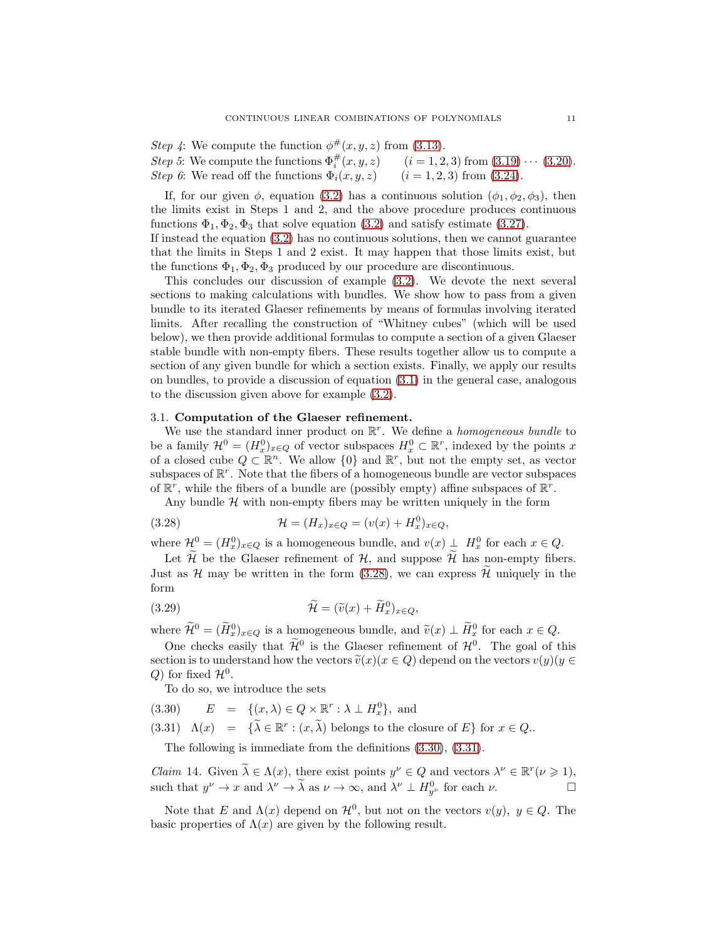*Step 4*: We compute the function  $\phi^{\#}(x, y, z)$  from [\(3.13\)](#page-8-3). *Step 5*: We compute the functions  $\Phi_i^{\#}$  $(i = 1, 2, 3)$  from  $(3.19) \cdots (3.20)$  $(3.19) \cdots (3.20)$ . *Step 6*: We read off the functions  $\Phi_i(x, y, z)$  (i = 1, 2, 3) from [\(3.24\)](#page-9-5).

If, for our given  $\phi$ , equation [\(3.2\)](#page-7-2) has a continuous solution  $(\phi_1, \phi_2, \phi_3)$ , then the limits exist in Steps 1 and 2, and the above procedure produces continuous functions  $\Phi_1, \Phi_2, \Phi_3$  that solve equation [\(3.2\)](#page-7-2) and satisfy estimate [\(3.27\)](#page-9-7). If instead the equation [\(3.2\)](#page-7-2) has no continuous solutions, then we cannot guarantee that the limits in Steps 1 and 2 exist. It may happen that those limits exist, but

the functions  $\Phi_1, \Phi_2, \Phi_3$  produced by our procedure are discontinuous.

This concludes our discussion of example [\(3.2\)](#page-7-2). We devote the next several sections to making calculations with bundles. We show how to pass from a given bundle to its iterated Glaeser refinements by means of formulas involving iterated limits. After recalling the construction of "Whitney cubes" (which will be used below), we then provide additional formulas to compute a section of a given Glaeser stable bundle with non-empty fibers. These results together allow us to compute a section of any given bundle for which a section exists. Finally, we apply our results on bundles, to provide a discussion of equation [\(3.1\)](#page-7-3) in the general case, analogous to the discussion given above for example [\(3.2\)](#page-7-2).

## <span id="page-10-0"></span>3.1. Computation of the Glaeser refinement.

We use the standard inner product on  $\mathbb{R}^r$ . We define a *homogeneous bundle* to be a family  $\mathcal{H}^0 = (H_x^0)_{x \in Q}$  of vector subspaces  $H_x^0 \subset \mathbb{R}^r$ , indexed by the points x of a closed cube  $Q \subset \mathbb{R}^n$ . We allow  $\{0\}$  and  $\mathbb{R}^r$ , but not the empty set, as vector subspaces of  $\mathbb{R}^r$ . Note that the fibers of a homogeneous bundle are vector subspaces of  $\mathbb{R}^r$ , while the fibers of a bundle are (possibly empty) affine subspaces of  $\mathbb{R}^r$ .

<span id="page-10-1"></span>Any bundle  $H$  with non-empty fibers may be written uniquely in the form

(3.28) 
$$
\mathcal{H} = (H_x)_{x \in Q} = (v(x) + H_x^0)_{x \in Q},
$$

where  $\mathcal{H}^0 = (H_x^0)_{x \in Q}$  is a homogeneous bundle, and  $v(x) \perp H_x^0$  for each  $x \in Q$ .

Let  $\widetilde{\mathcal{H}}$  be the Glaeser refinement of  $\mathcal{H}$ , and suppose  $\widetilde{\mathcal{H}}$  has non-empty fibers. Just as  $\mathcal H$  may be written in the form [\(3.28\)](#page-10-1), we can express  $\mathcal H$  uniquely in the form

<span id="page-10-4"></span>(3.29) 
$$
\widetilde{\mathcal{H}} = (\widetilde{v}(x) + \widetilde{H}_x^0)_{x \in Q},
$$

where  $\mathcal{H}^0 = (\tilde{H}_x^0)_{x \in Q}$  is a homogeneous bundle, and  $\tilde{v}(x) \perp \tilde{H}_x^0$  for each  $x \in Q$ .

One checks easily that  $\mathcal{H}^0$  is the Glaeser refinement of  $\mathcal{H}^0$ . The goal of this section is to understand how the vectors  $\tilde{v}(x)(x \in Q)$  depend on the vectors  $v(y)(y \in Q)$ Q) for fixed  $\mathcal{H}^0$ .

<span id="page-10-2"></span>To do so, we introduce the sets

(3.30)  $E = \{(x, \lambda) \in Q \times \mathbb{R}^r : \lambda \perp H_x^0\}$ , and

(3.31)  $\Lambda(x) = {\overline{\lambda} \in \mathbb{R}^r : (x, \overline{\lambda}) \text{ belongs to the closure of } E}$  for  $x \in Q$ .

The following is immediate from the definitions [\(3.30\)](#page-10-2), [\(3.31\)](#page-10-2).

<span id="page-10-3"></span>*Claim* 14. Given  $\lambda \in \Lambda(x)$ , there exist points  $y^{\nu} \in Q$  and vectors  $\lambda^{\nu} \in \mathbb{R}^r (\nu \geq 1)$ , such that  $y^{\nu} \to x$  and  $\lambda^{\nu} \to \lambda$  as  $\nu \to \infty$ , and  $\lambda^{\nu} \perp H_{y^{\nu}}^0$  for each  $\nu$ .

Note that E and  $\Lambda(x)$  depend on  $\mathcal{H}^0$ , but not on the vectors  $v(y)$ ,  $y \in Q$ . The basic properties of  $\Lambda(x)$  are given by the following result.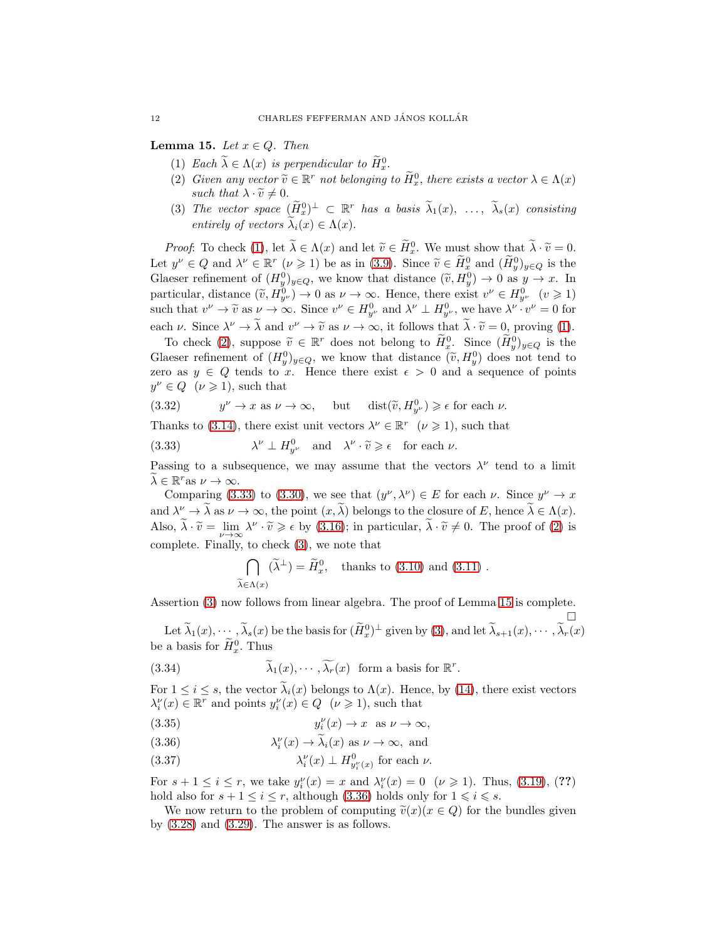<span id="page-11-4"></span><span id="page-11-1"></span><span id="page-11-0"></span>Lemma 15. *Let*  $x \in Q$ . *Then* 

- (1) *Each*  $\lambda \in \Lambda(x)$  *is perpendicular to*  $\widetilde{H}_x^0$ .
- (2) *Given any vector*  $\widetilde{v} \in \mathbb{R}^r$  *not belonging to*  $\widetilde{H}_x^0$ *, there exists a vector*  $\lambda \in \Lambda(x)$ *such that*  $\lambda \cdot \widetilde{v} \neq 0$ .
- <span id="page-11-3"></span>(3) The vector space  $(\tilde{H}_x^0)^{\perp} \subset \mathbb{R}^r$  has a basis  $\lambda_1(x), \ldots, \lambda_s(x)$  consisting *entirely of vectors*  $\widetilde{\lambda}_i(x) \in \Lambda(x)$ .

*Proof*: To check [\(1\)](#page-11-0), let  $\lambda \in \Lambda(x)$  and let  $\tilde{v} \in \tilde{H}_x^0$ . We must show that  $\lambda \cdot \tilde{v} = 0$ . Let  $y^{\nu} \in Q$  and  $\lambda^{\nu} \in \mathbb{R}^r$  ( $\nu \ge 1$ ) be as in [\(3.9\)](#page-8-2). Since  $\widetilde{v} \in \widetilde{H}_x^0$  and  $(\widetilde{H}_y^0)_{y \in Q}$  is the Glaeser refinement of  $(H_y^0)_{y \in Q}$ , we know that distance  $(\tilde{v}, H_y^0) \to 0$  as  $y \to x$ . In particular, distance  $(\tilde{v}, H_{y}^0) \to 0$  as  $\nu \to \infty$ . Hence, there exist  $v^{\nu} \in H_{y^{\nu}}^0$   $(v \ge 1)$ such that  $v^{\nu} \to \tilde{v}$  as  $\nu \to \infty$ . Since  $v^{\nu} \in H_{y^{\nu}}^0$  and  $\lambda^{\nu} \perp H_{y^{\nu}}^0$ , we have  $\lambda^{\nu} \cdot v^{\nu} = 0$  for each  $\nu$ . Since  $\lambda^{\nu} \to \lambda$  and  $v^{\nu} \to \tilde{v}$  as  $\nu \to \infty$ , it follows that  $\lambda \cdot \tilde{v} = 0$ , proving [\(1\)](#page-11-0).

To check [\(2\)](#page-11-1), suppose  $\widetilde{v} \in \mathbb{R}^r$  does not belong to  $H^0_x$ . Since  $(H^0_y)_{y \in Q}$  is the Glaeser refinement of  $(H_y^0)_{y \in Q}$ , we know that distance  $(\tilde{v}, H_y^0)$  does not tend to zero as  $y \in Q$  tends to x. Hence there exist  $\epsilon > 0$  and a sequence of points  $y^{\nu} \in Q \quad (\nu \geqslant 1),$  such that

 $(3.32)$  $\nu \to x$  as  $\nu \to \infty$ , but dist $(\tilde{v}, H_{y}^0) \geq \epsilon$  for each  $\nu$ .

Thanks to [\(3.14\)](#page-8-6), there exist unit vectors  $\lambda^{\nu} \in \mathbb{R}^r \quad (\nu \geq 1)$ , such that

<span id="page-11-2"></span> $(3.33)$  $\nu \perp H_{y\nu}^0$  and  $\lambda^\nu \cdot \widetilde{v} \geqslant \epsilon$  for each  $\nu$ .

Passing to a subsequence, we may assume that the vectors  $\lambda^{\nu}$  tend to a limit  $\lambda \in \mathbb{R}^r$ as  $\nu \to \infty$ .

Comparing [\(3.33\)](#page-11-2) to [\(3.30\)](#page-10-2), we see that  $(y^{\nu}, \lambda^{\nu}) \in E$  for each  $\nu$ . Since  $y^{\nu} \to x$ and  $\lambda^{\nu} \to \lambda$  as  $\nu \to \infty$ , the point  $(x, \lambda)$  belongs to the closure of E, hence  $\lambda \in \Lambda(x)$ . Also,  $\tilde{\lambda} \cdot \tilde{v} = \lim_{\nu \to \infty} \lambda^{\nu} \cdot \tilde{v} \geqslant \epsilon$  by [\(3.16\)](#page-8-4); in particular,  $\tilde{\lambda} \cdot \tilde{v} \neq 0$ . The proof of [\(2\)](#page-11-1) is complete. Finally, to check [\(3\)](#page-11-3), we note that

$$
\bigcap_{\widetilde{\lambda} \in \Lambda(x)} (\widetilde{\lambda}^{\perp}) = \widetilde{H}_x^0, \quad \text{thanks to (3.10) and (3.11)}.
$$

Assertion [\(3\)](#page-11-3) now follows from linear algebra. The proof of Lemma [15](#page-11-4) is complete.

 $\Box$ Let  $\lambda_1(x), \dots, \lambda_s(x)$  be the basis for  $(H_x^0)^{\perp}$  given by [\(3\)](#page-11-3), and let  $\lambda_{s+1}(x), \dots, \lambda_r(x)$ be a basis for  $H_x^0$ . Thus

(3.34) 
$$
\widetilde{\lambda}_1(x), \cdots, \widetilde{\lambda_r}(x)
$$
 form a basis for  $\mathbb{R}^r$ .

For  $1 \leq i \leq s$ , the vector  $\tilde{\lambda}_i(x)$  belongs to  $\Lambda(x)$ . Hence, by [\(14\)](#page-10-3), there exist vectors  $\lambda_i^{\nu}(x) \in \mathbb{R}^r$  and points  $y_i^{\nu}(x) \in Q \ \ (\nu \geq 1)$ , such that

<span id="page-11-5"></span>(3.35)  $y_i^{\nu}(x) \to x \text{ as } \nu \to \infty$ ,

(3.36)  $\lambda_i^{\nu}(x) \to \tilde{\lambda}_i(x)$  as  $\nu \to \infty$ , and

(3.37) 
$$
\lambda_i^{\nu}(x) \perp H_{y_i^{\nu}(x)}^0 \text{ for each } \nu.
$$

For  $s + 1 \le i \le r$ , we take  $y_i^{\nu}(x) = x$  and  $\lambda_i^{\nu}(x) = 0$   $(\nu \ge 1)$ . Thus, [\(3.19\)](#page-9-0), (??) hold also for  $s + 1 \le i \le r$ , although [\(3.36\)](#page-11-5) holds only for  $1 \le i \le s$ .

We now return to the problem of computing  $\tilde{v}(x)(x \in Q)$  for the bundles given by  $(3.28)$  and  $(3.29)$ . The answer is as follows.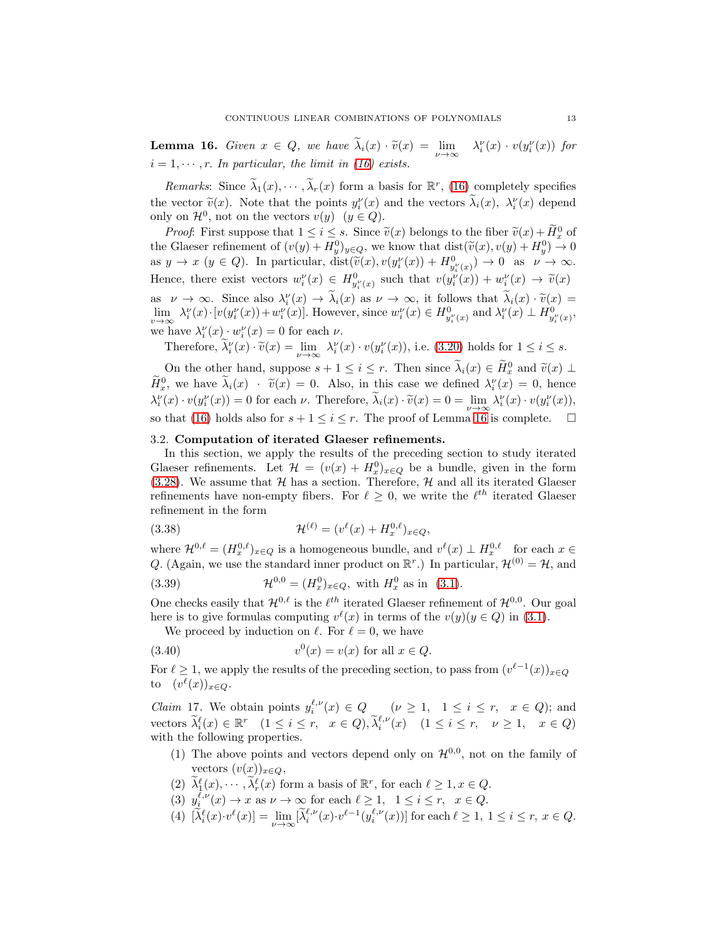<span id="page-12-1"></span>**Lemma 16.** *Given*  $x \in Q$ , *we have*  $\tilde{\lambda}_i(x) \cdot \tilde{v}(x) = \lim_{\nu \to \infty} {\lambda}_i^{\nu}(x) \cdot v(y_i^{\nu}(x))$  for  $i = 1, \dots, r$ . In particular, the limit in [\(16\)](#page-12-1) exists.

*Remarks*: Since  $\lambda_1(x), \dots, \lambda_r(x)$  form a basis for  $\mathbb{R}^r$ , [\(16\)](#page-12-1) completely specifies the vector  $\tilde{v}(x)$ . Note that the points  $y_i^{\nu}(x)$  and the vectors  $\lambda_i(x)$ ,  $\lambda_i^{\nu}(x)$  depend only on  $\mathcal{H}^0$ , not on the vectors  $v(y)$   $(y \in Q)$ .

*Proof*: First suppose that  $1 \leq i \leq s$ . Since  $\widetilde{v}(x)$  belongs to the fiber  $\widetilde{v}(x) + \widetilde{H}_x^0$  of the Glaeser refinement of  $(v(y) + H_y^0)_{y \in Q}$ , we know that  $dist(\tilde{v}(x), v(y) + H_y^0) \to 0$ as  $y \to x$   $(y \in Q)$ . In particular,  $dist(\tilde{v}(x), v(y_i^{\nu}(x)) + H_{y_i^{\nu}(x)}^0) \to 0$  as  $\nu \to \infty$ . Hence, there exist vectors  $w_i^{\nu}(x) \in H_{y_i^{\nu}(x)}^0$  such that  $v(y_i^{\nu}(x)) + w_i^{\nu}(x) \to \tilde{v}(x)$ as  $\nu \to \infty$ . Since also  $\lambda_i^{\nu}(x) \to \lambda_i(x)$  as  $\nu \to \infty$ , it follows that  $\lambda_i(x) \cdot \tilde{\nu}(x) =$  $\lim_{v \to \infty} \lambda_i^{\nu}(x) \cdot [v(y_i^{\nu}(x)) + w_i^{\nu}(x)].$  However, since  $w_i^{\nu}(x) \in H_{y_i^{\nu}(x)}^0$  and  $\lambda_i^{\nu}(x) \perp H_{y_i^{\nu}(x)}^0$ , we have  $\lambda_i^{\nu}(x) \cdot w_i^{\nu}(x) = 0$  for each  $\nu$ .

Therefore,  $\tilde{\lambda}_i^{\nu}(x) \cdot \tilde{v}(x) = \lim_{\nu \to \infty} \lambda_i^{\nu}(x) \cdot v(y_i^{\nu}(x))$ , i.e. [\(3.20\)](#page-9-1) holds for  $1 \le i \le s$ .

On the other hand, suppose  $s + 1 \leq i \leq r$ . Then since  $\lambda_i(x) \in \widetilde{H}_x^0$  and  $\widetilde{v}(x) \perp$  $H_x^0$ , we have  $\lambda_i(x)$  ·  $\tilde{v}(x) = 0$ . Also, in this case we defined  $\lambda_i^{\nu}(x) = 0$ , hence  $\lambda_i^{\nu}(x) \cdot v(y_i^{\nu}(x)) = 0$  for each  $\nu$ . Therefore,  $\lambda_i(x) \cdot \tilde{v}(x) = 0 = \lim_{\nu \to \infty} \lambda_i^{\nu}(x) \cdot v(y_i^{\nu}(x)),$ so that [\(16\)](#page-12-1) holds also for  $s + 1 \leq i \leq r$ . The proof of Lemma [16](#page-12-1) is complete.  $\Box$ 

### <span id="page-12-0"></span>3.2. Computation of iterated Glaeser refinements.

In this section, we apply the results of the preceding section to study iterated Glaeser refinements. Let  $\mathcal{H} = (v(x) + H_x^0)_{x \in Q}$  be a bundle, given in the form [\(3.28\)](#page-10-1). We assume that  $H$  has a section. Therefore,  $H$  and all its iterated Glaeser refinements have non-empty fibers. For  $\ell \geq 0$ , we write the  $\ell^{th}$  iterated Glaeser refinement in the form

(3.38) 
$$
\mathcal{H}^{(\ell)} = (v^{\ell}(x) + H_x^{0,\ell})_{x \in Q},
$$

where  $\mathcal{H}^{0,\ell} = (H^{0,\ell}_x)_{x \in Q}$  is a homogeneous bundle, and  $v^{\ell}(x) \perp H^{0,\ell}_x$  for each  $x \in$ Q. (Again, we use the standard inner product on  $\mathbb{R}^r$ .) In particular,  $\mathcal{H}^{(0)} = \mathcal{H}$ , and

(3.39) 
$$
\mathcal{H}^{0,0} = (H_x^0)_{x \in Q}, \text{ with } H_x^0 \text{ as in } (3.1).
$$

One checks easily that  $\mathcal{H}^{0,\ell}$  is the  $\ell^{th}$  iterated Glaeser refinement of  $\mathcal{H}^{0,0}$ . Our goal here is to give formulas computing  $v^{\ell}(x)$  in terms of the  $v(y)(y \in Q)$  in [\(3.1\)](#page-7-3).

<span id="page-12-4"></span>We proceed by induction on  $\ell$ . For  $\ell = 0$ , we have

(3.40) 
$$
v^{0}(x) = v(x) \text{ for all } x \in Q.
$$

For  $\ell \geq 1$ , we apply the results of the preceding section, to pass from  $(v^{\ell-1}(x))_{x \in Q}$ to  $(v^{\ell}(x))_{x\in Q}$ .

<span id="page-12-2"></span>*Claim* 17. We obtain points  $y_i^{\ell,\nu}(x) \in Q$  ( $\nu \geq 1$ ,  $1 \leq i \leq r$ ,  $x \in Q$ ); and vectors  $\widetilde{\lambda}_i^{\ell}(x) \in \mathbb{R}^r \quad (1 \leq i \leq r, \quad x \in Q), \widetilde{\lambda}_i^{\ell, \nu}(x) \quad (1 \leq i \leq r, \quad \nu \geq 1, \quad x \in Q)$ with the following properties.

- (1) The above points and vectors depend only on  $\mathcal{H}^{0,0}$ , not on the family of vectors  $(v(x))_{x\in Q}$ ,
- (2)  $\lambda_1^{\ell}(x), \cdots, \lambda_r^{\ell}(x)$  form a basis of  $\mathbb{R}^r$ , for each  $\ell \geq 1, x \in Q$ .
- <span id="page-12-3"></span>(3)  $y_i^{\ell,\nu}(x) \to x$  as  $\nu \to \infty$  for each  $\ell \geq 1$ ,  $1 \leq i \leq r$ ,  $x \in Q$ .
- (4)  $[\tilde{\lambda}_i^{\ell}(x) \cdot v^{\ell}(x)] = \lim_{\nu \to \infty} [\tilde{\lambda}_i^{\ell,\nu}(x) \cdot v^{\ell-1}(y_i^{\ell,\nu}(x))]$  for each  $\ell \geq 1, 1 \leq i \leq r, x \in Q$ .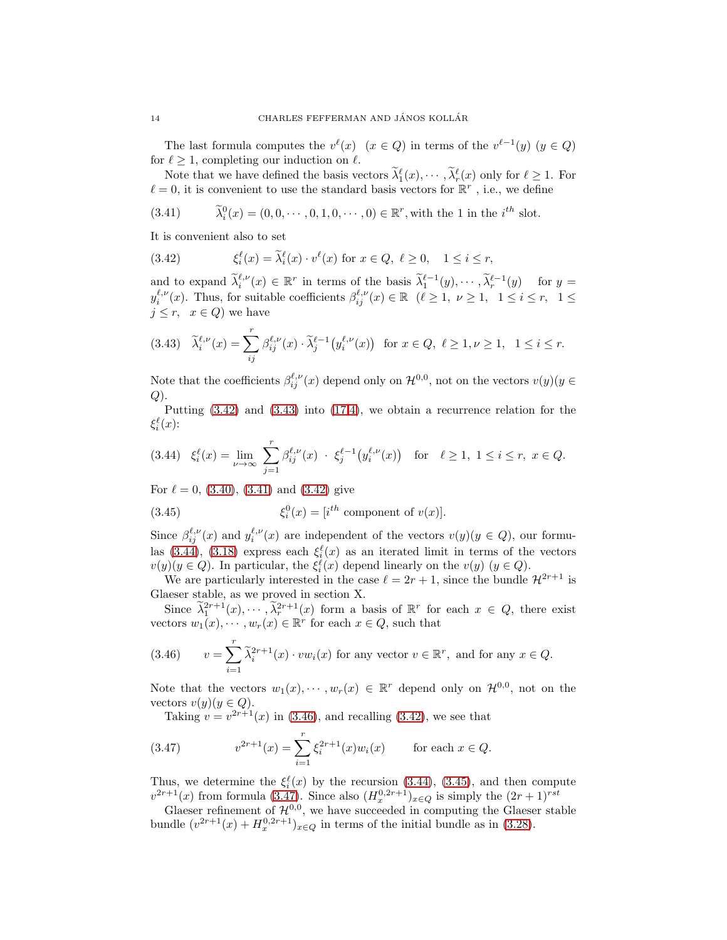The last formula computes the  $v^{\ell}(x)$   $(x \in Q)$  in terms of the  $v^{\ell-1}(y)$   $(y \in Q)$ for  $\ell \geq 1$ , completing our induction on  $\ell$ .

Note that we have defined the basis vectors  $\lambda_1^{\ell}(x), \cdots, \lambda_r^{\ell}(x)$  only for  $\ell \geq 1$ . For  $\ell = 0$ , it is convenient to use the standard basis vectors for  $\mathbb{R}^r$ , i.e., we define

<span id="page-13-2"></span>(3.41) 
$$
\tilde{\lambda}_i^0(x) = (0, 0, \dots, 0, 1, 0, \dots, 0) \in \mathbb{R}^r
$$
, with the 1 in the *i*<sup>th</sup> slot.

It is convenient also to set

<span id="page-13-0"></span>(3.42) 
$$
\xi_i^{\ell}(x) = \tilde{\lambda}_i^{\ell}(x) \cdot v^{\ell}(x) \text{ for } x \in Q, \ \ell \ge 0, \quad 1 \le i \le r,
$$

and to expand  $\tilde{\lambda}_i^{\ell,\nu}(x) \in \mathbb{R}^r$  in terms of the basis  $\tilde{\lambda}_1^{\ell-1}(y), \cdots, \tilde{\lambda}_r^{\ell-1}(y)$  for  $y =$  $y_i^{\ell,\nu}(x)$ . Thus, for suitable coefficients  $\beta_{ij}^{\ell,\nu}(x) \in \mathbb{R} \quad (\ell \geq 1, \ \nu \geq 1, \ \ 1 \leq i \leq r, \ \ 1 \leq \ell$  $j \leq r$ ,  $x \in Q$ ) we have

<span id="page-13-1"></span>
$$
(3.43)\quad \widetilde{\lambda}_i^{\ell,\nu}(x) = \sum_{ij}^r \beta_{ij}^{\ell,\nu}(x) \cdot \widetilde{\lambda}_j^{\ell-1}\big(y_i^{\ell,\nu}(x)\big) \quad \text{for } x \in Q, \ \ell \ge 1, \ \nu \ge 1, \ \ 1 \le i \le r.
$$

Note that the coefficients  $\beta_{ij}^{\ell,\nu}(x)$  depend only on  $\mathcal{H}^{0,0}$ , not on the vectors  $v(y)(y \in$  $Q$ ).

Putting [\(3.42\)](#page-13-0) and [\(3.43\)](#page-13-1) into [\(17.](#page-12-2)[4\)](#page-12-3), we obtain a recurrence relation for the  $\xi_i^{\ell}(x)$ :

<span id="page-13-3"></span>
$$
(3.44) \quad \xi_i^{\ell}(x) = \lim_{\nu \to \infty} \sum_{j=1}^r \beta_{ij}^{\ell,\nu}(x) \, \cdot \, \xi_j^{\ell-1}\big(y_i^{\ell,\nu}(x)\big) \quad \text{for} \quad \ell \ge 1, \ 1 \le i \le r, \ x \in Q.
$$

For  $\ell = 0$ , [\(3.40\)](#page-12-4), [\(3.41\)](#page-13-2) and [\(3.42\)](#page-13-0) give

<span id="page-13-5"></span>(3.45) 
$$
\xi_i^0(x) = [i^{th} \text{ component of } v(x)].
$$

Since  $\beta_{ij}^{\ell,\nu}(x)$  and  $y_i^{\ell,\nu}(x)$  are independent of the vectors  $v(y)(y \in Q)$ , our formu-las [\(3.44\)](#page-13-3), [\(3.18\)](#page-9-4) express each  $\xi_i^{\ell}(x)$  as an iterated limit in terms of the vectors  $v(y)(y \in Q)$ . In particular, the  $\xi_i^{\ell}(x)$  depend linearly on the  $v(y)(y \in Q)$ .

We are particularly interested in the case  $\ell = 2r + 1$ , since the bundle  $\mathcal{H}^{2r+1}$  is Glaeser stable, as we proved in section X.

Since  $\tilde{\lambda}_1^{2r+1}(x), \cdots, \tilde{\lambda}_r^{2r+1}(x)$  form a basis of  $\mathbb{R}^r$  for each  $x \in Q$ , there exist vectors  $w_1(x), \dots, w_r(x) \in \mathbb{R}^r$  for each  $x \in Q$ , such that

<span id="page-13-4"></span>(3.46) 
$$
v = \sum_{i=1}^{r} \tilde{\lambda}_i^{2r+1}(x) \cdot vw_i(x) \text{ for any vector } v \in \mathbb{R}^r, \text{ and for any } x \in Q.
$$

Note that the vectors  $w_1(x), \dots, w_r(x) \in \mathbb{R}^r$  depend only on  $\mathcal{H}^{0,0}$ , not on the vectors  $v(y)(y \in Q)$ .

<span id="page-13-6"></span>Taking  $v = v^{2r+1}(x)$  in [\(3.46\)](#page-13-4), and recalling [\(3.42\)](#page-13-0), we see that

(3.47) 
$$
v^{2r+1}(x) = \sum_{i=1}^{r} \xi_i^{2r+1}(x) w_i(x) \quad \text{for each } x \in Q.
$$

Thus, we determine the  $\xi_i^{\ell}(x)$  by the recursion [\(3.44\)](#page-13-3), [\(3.45\)](#page-13-5), and then compute  $v^{2r+1}(x)$  from formula [\(3.47\)](#page-13-6). Since also  $(H_x^{0,2r+1})_{x\in Q}$  is simply the  $(2r+1)^{rst}$ 

Glaeser refinement of  $\mathcal{H}^{0,0}$ , we have succeeded in computing the Glaeser stable bundle  $(v^{2r+1}(x) + H_x^{0,2r+1})_{x \in Q}$  in terms of the initial bundle as in [\(3.28\)](#page-10-1).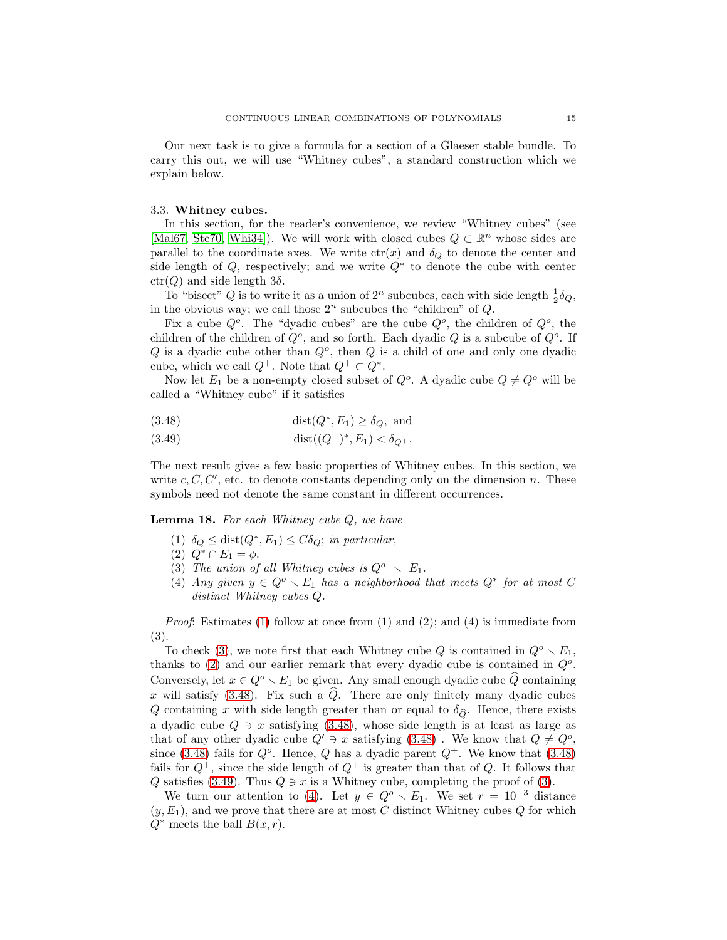Our next task is to give a formula for a section of a Glaeser stable bundle. To carry this out, we will use "Whitney cubes", a standard construction which we explain below.

## <span id="page-14-0"></span>3.3. Whitney cubes.

In this section, for the reader's convenience, we review "Whitney cubes" (see [\[Mal67,](#page-39-1) [Ste70,](#page-39-13) [Whi34\]](#page-39-14)). We will work with closed cubes  $Q \subset \mathbb{R}^n$  whose sides are parallel to the coordinate axes. We write  $ctr(x)$  and  $\delta_Q$  to denote the center and side length of  $Q$ , respectively; and we write  $Q^*$  to denote the cube with center  $ctr(Q)$  and side length  $3\delta$ .

To "bisect"  $Q$  is to write it as a union of  $2^n$  subcubes, each with side length  $\frac{1}{2}\delta_Q$ , in the obvious way; we call those  $2^n$  subcubes the "children" of  $Q$ .

Fix a cube  $Q^o$ . The "dyadic cubes" are the cube  $Q^o$ , the children of  $Q^o$ , the children of the children of  $Q^o$ , and so forth. Each dyadic  $Q$  is a subcube of  $Q^o$ . If  $Q$  is a dyadic cube other than  $Q^o$ , then  $Q$  is a child of one and only one dyadic cube, which we call  $Q^+$ . Note that  $Q^+ \subset Q^*$ .

Now let  $E_1$  be a non-empty closed subset of  $Q^o$ . A dyadic cube  $Q \neq Q^o$  will be called a "Whitney cube" if it satisfies

<span id="page-14-4"></span>(3.48) 
$$
\text{dist}(Q^*, E_1) \ge \delta_Q, \text{ and}
$$

(3.49) 
$$
\text{dist}((Q^+)^*, E_1) < \delta_{Q^+}.
$$

The next result gives a few basic properties of Whitney cubes. In this section, we write  $c, C, C'$ , etc. to denote constants depending only on the dimension n. These symbols need not denote the same constant in different occurrences.

<span id="page-14-6"></span><span id="page-14-1"></span>Lemma 18. *For each Whitney cube* Q*, we have*

- <span id="page-14-3"></span>(1)  $\delta_Q \leq \text{dist}(Q^*, E_1) \leq C \delta_Q$ ; *in particular,*
- <span id="page-14-2"></span>(2)  $Q^* \cap E_1 = \phi$ .
- <span id="page-14-5"></span>(3) The union of all Whitney cubes is  $Q^o \sim E_1$ .
- (4) *Any given*  $y \in Q^o \setminus E_1$  *has a neighborhood that meets*  $Q^*$  *for at most* C *distinct Whitney cubes* Q*.*

*Proof*: Estimates [\(1\)](#page-14-1) follow at once from (1) and (2); and (4) is immediate from (3).

To check [\(3\)](#page-14-2), we note first that each Whitney cube Q is contained in  $Q^o \setminus E_1$ , thanks to  $(2)$  and our earlier remark that every dyadic cube is contained in  $Q<sup>o</sup>$ . Conversely, let  $x \in Q^o \setminus E_1$  be given. Any small enough dyadic cube Q containing x will satisfy [\(3.48\)](#page-14-4). Fix such a  $\hat{Q}$ . There are only finitely many dyadic cubes Q containing x with side length greater than or equal to  $\delta_{\widehat{Q}}$ . Hence, there exists a dyadic cube  $Q \ni x$  satisfying [\(3.48\)](#page-14-4), whose side length is at least as large as that of any other dyadic cube  $Q' \ni x$  satisfying  $(3.48)$ . We know that  $Q \neq Q^o$ , since [\(3.48\)](#page-14-4) fails for  $Q^o$ . Hence, Q has a dyadic parent  $Q^+$ . We know that (3.48) fails for  $Q^+$ , since the side length of  $Q^+$  is greater than that of Q. It follows that Q satisfies [\(3.49\)](#page-14-4). Thus  $Q \ni x$  is a Whitney cube, completing the proof of [\(3\)](#page-14-2).

We turn our attention to [\(4\)](#page-14-5). Let  $y \in Q^o \setminus E_1$ . We set  $r = 10^{-3}$  distance  $(y, E<sub>1</sub>)$ , and we prove that there are at most C distinct Whitney cubes Q for which  $Q^*$  meets the ball  $B(x, r)$ .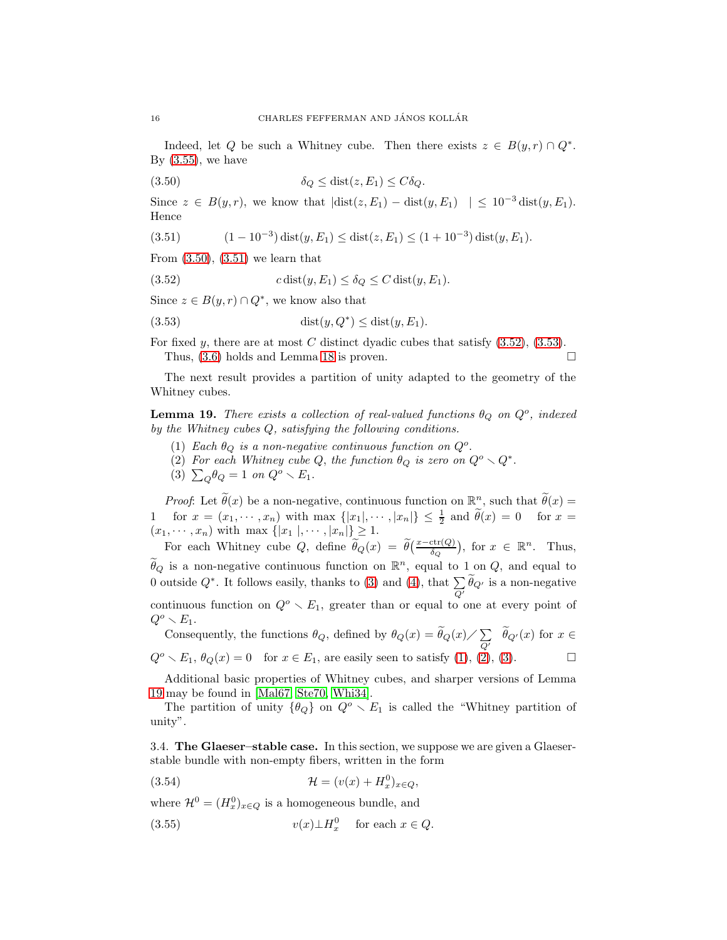Indeed, let Q be such a Whitney cube. Then there exists  $z \in B(y, r) \cap Q^*$ . By  $(3.55)$ , we have

<span id="page-15-2"></span>
$$
\delta_Q \le \text{dist}(z, E_1) \le C \delta_Q.
$$

Since  $z \in B(y,r)$ , we know that  $|\text{dist}(z, E_1) - \text{dist}(y, E_1)| \leq 10^{-3} \text{dist}(y, E_1)$ . Hence

<span id="page-15-3"></span>(3.51) 
$$
(1 - 10^{-3}) \operatorname{dist}(y, E_1) \le \operatorname{dist}(z, E_1) \le (1 + 10^{-3}) \operatorname{dist}(y, E_1).
$$

From  $(3.50)$ ,  $(3.51)$  we learn that

<span id="page-15-4"></span>(3.52) 
$$
c \operatorname{dist}(y, E_1) \le \delta_Q \le C \operatorname{dist}(y, E_1).
$$

Since  $z \in B(y, r) \cap Q^*$ , we know also that

<span id="page-15-5"></span>
$$
(3.53) \qquad \qquad \text{dist}(y, Q^*) \leq \text{dist}(y, E_1).
$$

For fixed y, there are at most C distinct dyadic cubes that satisfy  $(3.52)$ ,  $(3.53)$ . Thus,  $(3.6)$  holds and Lemma [18](#page-14-6) is proven.

The next result provides a partition of unity adapted to the geometry of the Whitney cubes.

<span id="page-15-9"></span><span id="page-15-6"></span>**Lemma 19.** *There exists a collection of real-valued functions*  $\theta_Q$  *on*  $Q^o$ *, indexed by the Whitney cubes* Q*, satisfying the following conditions.*

- <span id="page-15-7"></span>(1) *Each*  $\theta_Q$  *is a non-negative continuous function on*  $Q^o$ .
- <span id="page-15-8"></span>(2) For each Whitney cube Q, the function  $\theta_Q$  is zero on  $Q^o \setminus Q^*$ .
- (3)  $\sum_{Q} \theta_Q = 1$  *on*  $Q^o \setminus E_1$ .

*Proof*: Let  $\tilde{\theta}(x)$  be a non-negative, continuous function on  $\mathbb{R}^n$ , such that  $\tilde{\theta}(x) =$ 1 for  $x = (x_1, \dots, x_n)$  with max  $\{|x_1|, \dots, |x_n|\} \leq \frac{1}{2}$  and  $\tilde{\theta}(x) = 0$  for  $x =$  $(x_1, \dots, x_n)$  with max  $\{|x_1|, \dots, |x_n|\} \geq 1$ .

For each Whitney cube Q, define  $\widetilde{\theta}_Q(x) = \widetilde{\theta}(\frac{x-\text{ctr}(Q)}{\delta_Q})$ , for  $x \in \mathbb{R}^n$ . Thus,  $\hat{\theta}_Q$  is a non-negative continuous function on  $\mathbb{R}^n$ , equal to  $1$  on  $Q$ , and equal to 0 outside  $Q^*$ . It follows easily, thanks to [\(3\)](#page-14-2) and [\(4\)](#page-14-5), that  $\sum$  $\sum_{Q'} \theta_{Q'}$  is a non-negative continuous function on  $Q^o \setminus E_1$ , greater than or equal to one at every point of  $Q^o \smallsetminus E_1$ .

Consequently, the functions  $\theta_Q$ , defined by  $\theta_Q(x) = \widetilde{\theta}_Q(x) / \sum_{Q}$  $\sum_{Q'} \theta_{Q'}(x)$  for  $x \in$  $Q^o \setminus E_1$ ,  $\theta_Q(x) = 0$  for  $x \in E_1$ , are easily seen to satisfy [\(1\)](#page-15-6), [\(2\)](#page-15-7), [\(3\)](#page-15-8).

Additional basic properties of Whitney cubes, and sharper versions of Lemma [19](#page-15-9) may be found in [\[Mal67,](#page-39-1) [Ste70,](#page-39-13) [Whi34\]](#page-39-14).

The partition of unity  $\{\theta_Q\}$  on  $Q^o \setminus E_1$  is called the "Whitney partition of unity".

<span id="page-15-0"></span>3.4. The Glaeser–stable case. In this section, we suppose we are given a Glaeserstable bundle with non-empty fibers, written in the form

<span id="page-15-10"></span>(3.54) 
$$
\mathcal{H} = (v(x) + H_x^0)_{x \in Q},
$$

where  $\mathcal{H}^0 = (H_x^0)_{x \in Q}$  is a homogeneous bundle, and

<span id="page-15-1"></span>(3.55) 
$$
v(x) \perp H_x^0 \quad \text{for each } x \in Q.
$$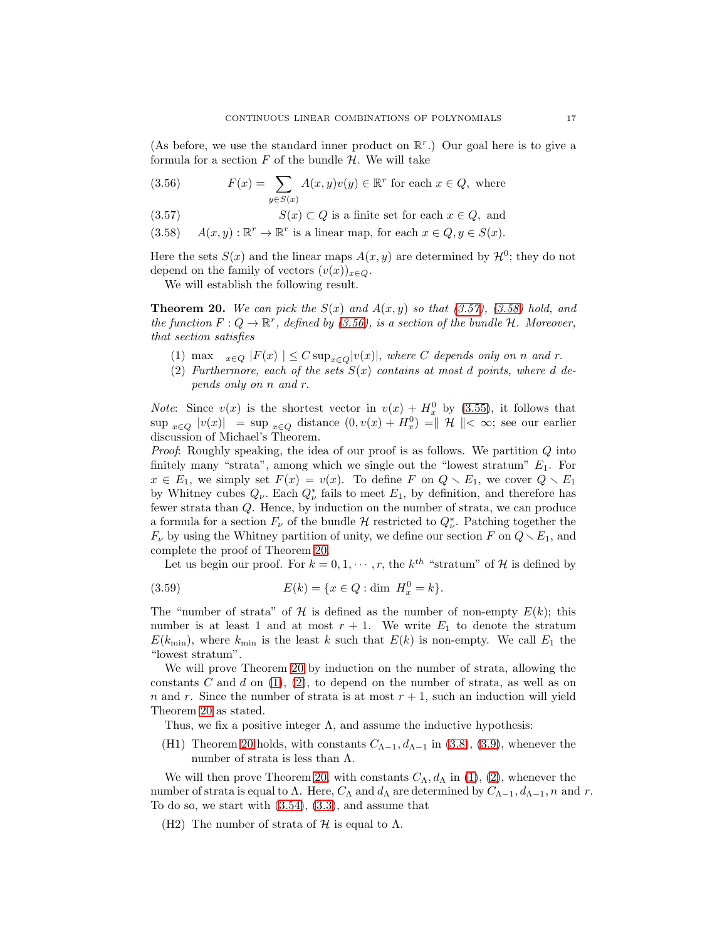(As before, we use the standard inner product on  $\mathbb{R}^r$ .) Our goal here is to give a formula for a section  $F$  of the bundle  $H$ . We will take

<span id="page-16-0"></span>(3.56) 
$$
F(x) = \sum_{y \in S(x)} A(x, y)v(y) \in \mathbb{R}^r \text{ for each } x \in Q, \text{ where}
$$

- (3.57)  $S(x) \subset Q$  is a finite set for each  $x \in Q$ , and
- (3.58)  $A(x, y) : \mathbb{R}^r \to \mathbb{R}^r$  is a linear map, for each  $x \in Q, y \in S(x)$ .

Here the sets  $S(x)$  and the linear maps  $A(x, y)$  are determined by  $\mathcal{H}^0$ ; they do not depend on the family of vectors  $(v(x))_{x\in Q}$ .

We will establish the following result.

<span id="page-16-1"></span>**Theorem 20.** We can pick the  $S(x)$  and  $A(x, y)$  so that  $(3.57)$ *,*  $(3.58)$  hold, and *the function*  $F: Q \to \mathbb{R}^r$ *, defined by* [\(3.56\)](#page-16-0)*, is a section of the bundle* H. Moreover, *that section satisfies*

- <span id="page-16-2"></span>(1) max  $x \in Q$   $|F(x)| \leq C \sup_{x \in Q} |v(x)|$ , where C depends only on n and r.
- <span id="page-16-3"></span>(2) *Furthermore, each of the sets*  $S(x)$  *contains at most d points, where d depends only on* n *and* r.

*Note*: Since  $v(x)$  is the shortest vector in  $v(x) + H_x^0$  by [\(3.55\)](#page-15-1), it follows that  $\sup_{x\in Q} |v(x)| = \sup_{x\in Q}$  distance  $(0, v(x) + H_x^0) = ||\mathcal{H}|| < \infty$ ; see our earlier discussion of Michael's Theorem.

*Proof*: Roughly speaking, the idea of our proof is as follows. We partition Q into finitely many "strata", among which we single out the "lowest stratum"  $E_1$ . For  $x \in E_1$ , we simply set  $F(x) = v(x)$ . To define F on  $Q \setminus E_1$ , we cover  $Q \setminus E_1$ by Whitney cubes  $Q_{\nu}$ . Each  $Q_{\nu}^*$  fails to meet  $E_1$ , by definition, and therefore has fewer strata than Q. Hence, by induction on the number of strata, we can produce a formula for a section  $F_{\nu}$  of the bundle  $\mathcal H$  restricted to  $Q_{\nu}^*$ . Patching together the  $F_{\nu}$  by using the Whitney partition of unity, we define our section F on  $Q \setminus E_1$ , and complete the proof of Theorem [20.](#page-16-1)

Let us begin our proof. For  $k = 0, 1, \dots, r$ , the  $k^{th}$  "stratum" of H is defined by

(3.59) 
$$
E(k) = \{x \in Q : \text{dim } H_x^0 = k\}.
$$

The "number of strata" of H is defined as the number of non-empty  $E(k)$ ; this number is at least 1 and at most  $r + 1$ . We write  $E_1$  to denote the stratum  $E(k_{\text{min}})$ , where  $k_{\text{min}}$  is the least k such that  $E(k)$  is non-empty. We call  $E_1$  the "lowest stratum".

We will prove Theorem [20](#page-16-1) by induction on the number of strata, allowing the constants C and d on  $(1)$ ,  $(2)$ , to depend on the number of strata, as well as on n and r. Since the number of strata is at most  $r + 1$ , such an induction will yield Theorem [20](#page-16-1) as stated.

Thus, we fix a positive integer  $\Lambda$ , and assume the inductive hypothesis:

(H1) Theorem [20](#page-16-1) holds, with constants  $C_{\Lambda-1}$ ,  $d_{\Lambda-1}$  in [\(3.8\)](#page-8-1), [\(3.9\)](#page-8-2), whenever the number of strata is less than  $Λ$ .

We will then prove Theorem [20,](#page-16-1) with constants  $C_{\Lambda}$ ,  $d_{\Lambda}$  in [\(1\)](#page-16-2), [\(2\)](#page-16-3), whenever the number of strata is equal to Λ. Here,  $C_\Lambda$  and  $d_\Lambda$  are determined by  $C_{\Lambda-1}$ ,  $d_{\Lambda-1}$ , n and r. To do so, we start with [\(3.54\)](#page-15-10), [\(3.3\)](#page-8-0), and assume that

(H2) The number of strata of  $\mathcal H$  is equal to  $\Lambda$ .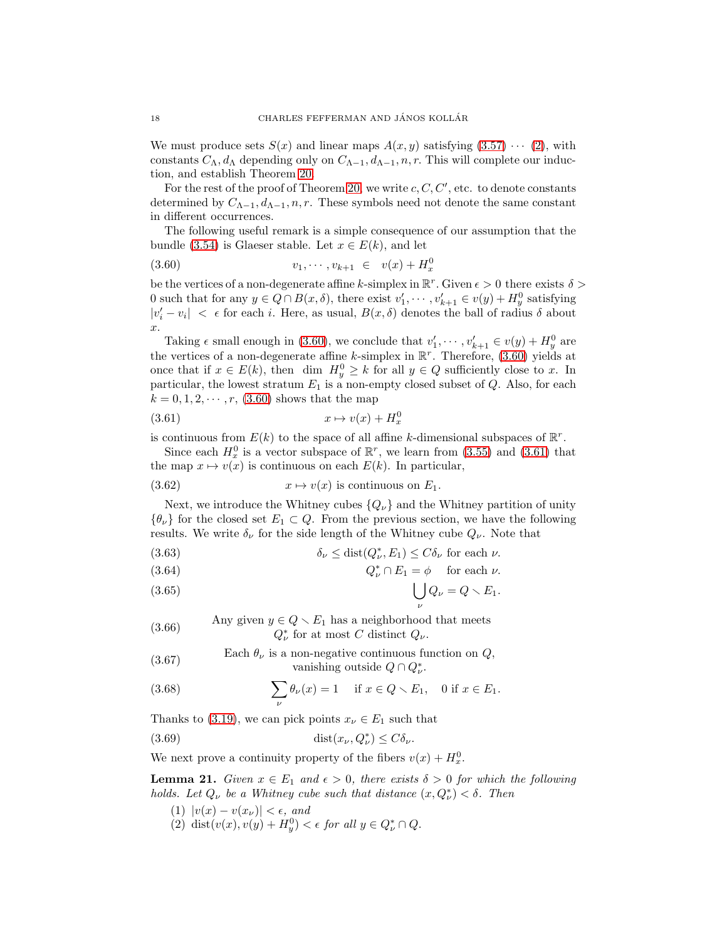We must produce sets  $S(x)$  and linear maps  $A(x, y)$  satisfying  $(3.57) \cdots (2)$  $(3.57) \cdots (2)$ , with constants  $C_{\Lambda}$ ,  $d_{\Lambda}$  depending only on  $C_{\Lambda-1}$ ,  $d_{\Lambda-1}$ , n, r. This will complete our induction, and establish Theorem [20.](#page-16-1)

For the rest of the proof of Theorem [20,](#page-16-1) we write  $c, C, C'$ , etc. to denote constants determined by  $C_{\Lambda-1}, d_{\Lambda-1}, n, r$ . These symbols need not denote the same constant in different occurrences.

The following useful remark is a simple consequence of our assumption that the bundle [\(3.54\)](#page-15-10) is Glaeser stable. Let  $x \in E(k)$ , and let

<span id="page-17-0"></span>
$$
(3.60) \t v_1, \cdots, v_{k+1} \in v(x) + H_x^0
$$

be the vertices of a non-degenerate affine k-simplex in  $\mathbb{R}^r$ . Given  $\epsilon > 0$  there exists  $\delta >$ 0 such that for any  $y \in Q \cap B(x, \delta)$ , there exist  $v'_1, \dots, v'_{k+1} \in v(y) + H_y^0$  satisfying  $|v'_i - v_i| < \epsilon$  for each *i*. Here, as usual,  $B(x, \delta)$  denotes the ball of radius  $\delta$  about x.

Taking  $\epsilon$  small enough in [\(3.60\)](#page-17-0), we conclude that  $v'_1, \dots, v'_{k+1} \in v(y) + H_y^0$  are the vertices of a non-degenerate affine k-simplex in  $\mathbb{R}^r$ . Therefore, [\(3.60\)](#page-17-0) yields at once that if  $x \in E(k)$ , then dim  $H_y^0 \geq k$  for all  $y \in Q$  sufficiently close to x. In particular, the lowest stratum  $E_1$  is a non-empty closed subset of  $Q$ . Also, for each  $k = 0, 1, 2, \dots, r$ , [\(3.60\)](#page-17-0) shows that the map

<span id="page-17-1"></span>
$$
(3.61) \t\t x \mapsto v(x) + H_x^0
$$

is continuous from  $E(k)$  to the space of all affine k-dimensional subspaces of  $\mathbb{R}^r$ .

Since each  $H_x^0$  is a vector subspace of  $\mathbb{R}^r$ , we learn from [\(3.55\)](#page-15-1) and [\(3.61\)](#page-17-1) that the map  $x \mapsto v(x)$  is continuous on each  $E(k)$ . In particular,

<span id="page-17-4"></span>(3.62) 
$$
x \mapsto v(x)
$$
 is continuous on  $E_1$ .

Next, we introduce the Whitney cubes  ${Q_\nu}$  and the Whitney partition of unity  $\{\theta_{\nu}\}\$  for the closed set  $E_1 \subset Q$ . From the previous section, we have the following results. We write  $\delta_{\nu}$  for the side length of the Whitney cube  $Q_{\nu}$ . Note that

<span id="page-17-6"></span>(3.63) 
$$
\delta_{\nu} \leq \text{dist}(Q_{\nu}^*, E_1) \leq C \delta_{\nu} \text{ for each } \nu.
$$

(3.64) 
$$
Q_{\nu}^* \cap E_1 = \phi \quad \text{ for each } \nu.
$$

$$
(3.65) \qquad \qquad \bigcup_{\nu} Q_{\nu} = Q \setminus E_1.
$$

Any given  $y \in Q \setminus E_1$  has a neighborhood that meets  $Q_{\nu}^*$  for at most C distinct  $Q_{\nu}$ . (3.66)

(3.67) Each 
$$
\theta_{\nu}
$$
 is a non-negative continuous function on  $Q$ ,  
vanishing outside  $Q \cap Q_{\nu}^*$ .

(3.68) 
$$
\sum_{\nu} \theta_{\nu}(x) = 1 \quad \text{if } x \in Q \setminus E_1, \quad 0 \text{ if } x \in E_1.
$$

Thanks to [\(3.19\)](#page-9-0), we can pick points  $x_{\nu} \in E_1$  such that

(3.69) 
$$
\text{dist}(x_{\nu}, Q_{\nu}^*) \le C \delta_{\nu}.
$$

We next prove a continuity property of the fibers  $v(x) + H_x^0$ .

<span id="page-17-5"></span><span id="page-17-3"></span>**Lemma 21.** *Given*  $x \in E_1$  *and*  $\epsilon > 0$ *, there exists*  $\delta > 0$  *for which the following holds. Let*  $Q_{\nu}$  *be a Whitney cube such that distance*  $(x, Q_{\nu}^{*}) < \delta$ . Then

- <span id="page-17-2"></span>(1)  $|v(x) - v(x_\nu)| < \epsilon$ , and
- (2) dist $(v(x), v(y) + H_y^0) < \epsilon$  for all  $y \in Q_\nu^* \cap Q$ .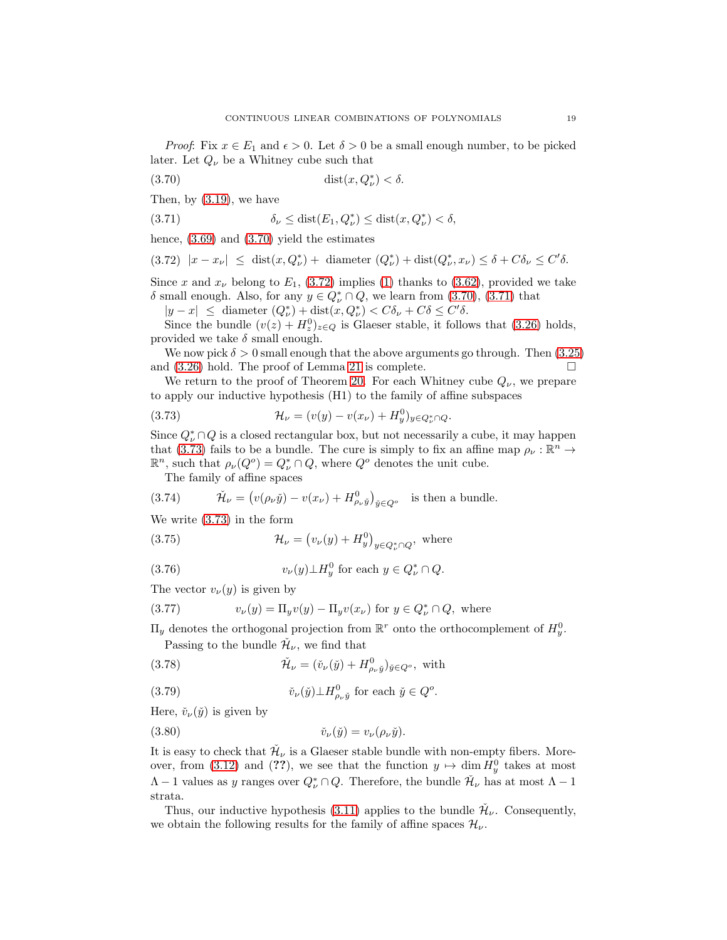*Proof*: Fix  $x \in E_1$  and  $\epsilon > 0$ . Let  $\delta > 0$  be a small enough number, to be picked later. Let  $Q_{\nu}$  be a Whitney cube such that

<span id="page-18-0"></span>
$$
(3.70)\qquad \qquad \mathrm{dist}(x,Q^*_{\nu}) < \delta.
$$

Then, by [\(3.19\)](#page-9-0), we have

<span id="page-18-2"></span>(3.71) 
$$
\delta_{\nu} \leq \text{dist}(E_1, Q_{\nu}^*) \leq \text{dist}(x, Q_{\nu}^*) < \delta,
$$

hence, [\(3.69\)](#page-17-2) and [\(3.70\)](#page-18-0) yield the estimates

<span id="page-18-1"></span>
$$
(3.72) |x - x_{\nu}| \leq \text{dist}(x, Q_{\nu}^*) + \text{diameter } (Q_{\nu}^*) + \text{dist}(Q_{\nu}^*, x_{\nu}) \leq \delta + C\delta_{\nu} \leq C'\delta.
$$

Since x and  $x_{\nu}$  belong to  $E_1$ , [\(3.72\)](#page-18-1) implies [\(1\)](#page-17-3) thanks to [\(3.62\)](#page-17-4), provided we take  $\delta$  small enough. Also, for any  $y \in Q^*_{\nu} \cap Q$ , we learn from  $(3.70)$ ,  $(3.71)$  that

 $|y - x| \leq$  diameter  $(Q_{\nu}^*) + \text{dist}(x, Q_{\nu}^*) < C\delta_{\nu} + C\delta \leq C'\delta$ .

Since the bundle  $(v(z) + H_z^0)_{z \in Q}$  is Glaeser stable, it follows that [\(3.26\)](#page-9-8) holds, provided we take  $\delta$  small enough.

We now pick  $\delta > 0$  small enough that the above arguments go through. Then  $(3.25)$ and  $(3.26)$  hold. The proof of Lemma [21](#page-17-5) is complete.

We return to the proof of Theorem [20.](#page-16-1) For each Whitney cube  $Q_{\nu}$ , we prepare to apply our inductive hypothesis (H1) to the family of affine subspaces

<span id="page-18-3"></span>(3.73) 
$$
\mathcal{H}_{\nu} = (v(y) - v(x_{\nu}) + H_y^0)_{y \in Q_{\nu}^* \cap Q}.
$$

Since  $Q_\nu^* \cap Q$  is a closed rectangular box, but not necessarily a cube, it may happen that [\(3.73\)](#page-18-3) fails to be a bundle. The cure is simply to fix an affine map  $\rho_{\nu} : \mathbb{R}^n \to$  $\mathbb{R}^n$ , such that  $\rho_{\nu}(Q^o) = Q_{\nu}^* \cap Q$ , where  $Q^o$  denotes the unit cube.

The family of affine spaces

(3.74) 
$$
\tilde{\mathcal{H}}_{\nu} = (v(\rho_{\nu}\tilde{y}) - v(x_{\nu}) + H_{\rho_{\nu}\tilde{y}}^{0})_{\tilde{y} \in Q^{o}} \text{ is then a bundle.}
$$

We write [\(3.73\)](#page-18-3) in the form

<span id="page-18-5"></span>(3.75) 
$$
\mathcal{H}_{\nu} = (v_{\nu}(y) + H_y^0)_{y \in Q_{\nu}^* \cap Q}, \text{ where}
$$

<span id="page-18-6"></span>(3.76) 
$$
v_{\nu}(y) \perp H_y^0 \text{ for each } y \in Q_{\nu}^* \cap Q.
$$

The vector  $v_{\nu}(y)$  is given by

<span id="page-18-4"></span>(3.77) 
$$
v_{\nu}(y) = \Pi_y v(y) - \Pi_y v(x_{\nu})
$$
 for  $y \in Q_{\nu}^* \cap Q$ , where

 $\Pi_y$  denotes the orthogonal projection from  $\mathbb{R}^r$  onto the orthocomplement of  $H_y^0$ . Passing to the bundle  $\check{\mathcal{H}}_{\nu}$ , we find that

(3.78) 
$$
\tilde{\mathcal{H}}_{\nu} = (\tilde{v}_{\nu}(\tilde{y}) + H_{\rho_{\nu}\tilde{y}}^{0})_{\tilde{y} \in Q^{o}}, \text{ with}
$$

(3.79) 
$$
\check{\nu}_{\nu}(\check{y}) \perp H^0_{\rho_{\nu}\check{y}} \text{ for each } \check{y} \in Q^o.
$$

Here,  $\check{v}_{\nu}(\check{y})$  is given by

(3.80) ˇv<sup>ν</sup> (ˇy) = vν(ρ<sup>ν</sup> yˇ).

It is easy to check that  $\check{\mathcal{H}}_{\nu}$  is a Glaeser stable bundle with non-empty fibers. More-over, from [\(3.12\)](#page-8-11) and (??), we see that the function  $y \mapsto \dim H_y^0$  takes at most  $\Lambda - 1$  values as y ranges over  $Q^*_{\nu} \cap Q$ . Therefore, the bundle  $\check{\mathcal{H}}_{\nu}$  has at most  $\Lambda - 1$ strata.

Thus, our inductive hypothesis [\(3.11\)](#page-8-8) applies to the bundle  $\check{\mathcal{H}}_{\nu}$ . Consequently, we obtain the following results for the family of affine spaces  $\mathcal{H}_{\nu}$ .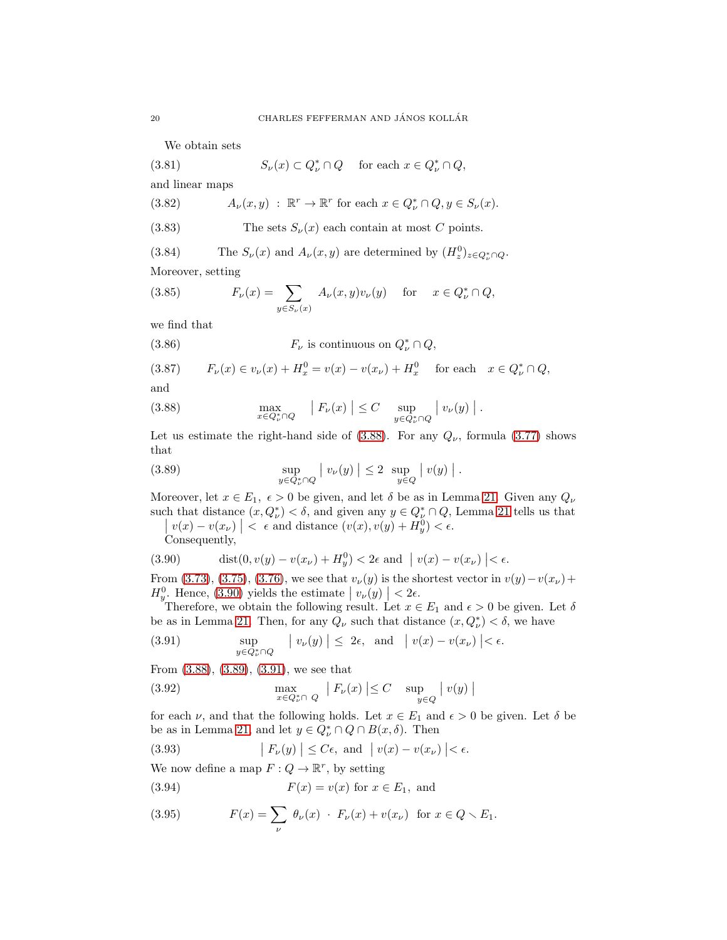<span id="page-19-7"></span>We obtain sets

(3.81) 
$$
S_{\nu}(x) \subset Q_{\nu}^* \cap Q \quad \text{ for each } x \in Q_{\nu}^* \cap Q,
$$

and linear maps

(3.82) 
$$
A_{\nu}(x, y) : \mathbb{R}^r \to \mathbb{R}^r \text{ for each } x \in Q_{\nu}^* \cap Q, y \in S_{\nu}(x).
$$

(3.83) The sets 
$$
S_{\nu}(x)
$$
 each contain at most C points.

<span id="page-19-8"></span>(3.84) The  $S_{\nu}(x)$  and  $A_{\nu}(x, y)$  are determined by  $(H_z^0)_{z \in Q_{\nu}^* \cap Q}$ . Moreover, setting

<span id="page-19-6"></span>(3.85) 
$$
F_{\nu}(x) = \sum_{y \in S_{\nu}(x)} A_{\nu}(x, y)v_{\nu}(y) \text{ for } x \in Q_{\nu}^{*} \cap Q,
$$

we find that

<span id="page-19-9"></span>(3.86) 
$$
F_{\nu} \text{ is continuous on } Q_{\nu}^* \cap Q,
$$

<span id="page-19-11"></span>(3.87) 
$$
F_{\nu}(x) \in v_{\nu}(x) + H_x^0 = v(x) - v(x_{\nu}) + H_x^0 \quad \text{for each} \quad x \in Q_{\nu}^* \cap Q,
$$

and

<span id="page-19-0"></span>(3.88) 
$$
\max_{x \in Q_{\nu}^* \cap Q} \quad |F_{\nu}(x)| \leq C \quad \sup_{y \in Q_{\nu}^* \cap Q} |v_{\nu}(y)|.
$$

Let us estimate the right-hand side of  $(3.88)$ . For any  $Q_{\nu}$ , formula  $(3.77)$  shows that

<span id="page-19-2"></span>(3.89) 
$$
\sup_{y \in Q^*_\nu \cap Q} |v_\nu(y)| \leq 2 \sup_{y \in Q} |v(y)|.
$$

Moreover, let  $x \in E_1$ ,  $\epsilon > 0$  be given, and let  $\delta$  be as in Lemma [21.](#page-17-5) Given any  $Q_{\nu}$ such that distance  $(x, Q_{\nu}^*) < \delta$ , and given any  $y \in Q_{\nu}^* \cap Q$ , Lemma [21](#page-17-5) tells us that  $|y(x) - y(x_{\nu})| < \epsilon$  and distance  $(y(x), y(y) + H^0) < \epsilon$ .

<span id="page-19-1"></span> $|v(x) - v(x_\nu)| < \epsilon$  and distance  $(v(x), v(y) + H_y^0) < \epsilon$ . Consequently,

(3.90) 
$$
\operatorname{dist}(0, v(y) - v(x_{\nu}) + H_y^0) < 2\epsilon \text{ and } |v(x) - v(x_{\nu})| < \epsilon.
$$

From [\(3.73\)](#page-18-3), [\(3.75\)](#page-18-5), [\(3.76\)](#page-18-6), we see that  $v_{\nu}(y)$  is the shortest vector in  $v(y)-v(x_{\nu})+$  $H_y^0$ . Hence, [\(3.90\)](#page-19-1) yields the estimate  $|v_\nu(y)| < 2\epsilon$ .

Therefore, we obtain the following result. Let  $x \in E_1$  and  $\epsilon > 0$  be given. Let  $\delta$ be as in Lemma [21.](#page-17-5) Then, for any  $Q_{\nu}$  such that distance  $(x, Q_{\nu}^*) < \delta$ , we have

<span id="page-19-3"></span>(3.91) 
$$
\sup_{y \in Q_v^* \cap Q} |v_{\nu}(y)| \leq 2\epsilon, \text{ and } |v(x) - v(x_{\nu})| < \epsilon.
$$

From [\(3.88\)](#page-19-0), [\(3.89\)](#page-19-2), [\(3.91\)](#page-19-3), we see that

<span id="page-19-12"></span>(3.92) 
$$
\max_{x \in Q^*_{\nu} \cap Q} |F_{\nu}(x)| \leq C \sup_{y \in Q} |v(y)|
$$

for each  $\nu$ , and that the following holds. Let  $x \in E_1$  and  $\epsilon > 0$  be given. Let  $\delta$  be be as in Lemma [21,](#page-17-5) and let  $y \in Q_{\nu}^* \cap Q \cap B(x, \delta)$ . Then

<span id="page-19-10"></span>(3.93) 
$$
\left| F_{\nu}(y) \right| \leq C\epsilon, \text{ and } \left| v(x) - v(x_{\nu}) \right| < \epsilon.
$$

We now define a map  $F: Q \to \mathbb{R}^r$ , by setting

<span id="page-19-5"></span>(3.94) 
$$
F(x) = v(x)
$$
 for  $x \in E_1$ , and

<span id="page-19-4"></span>(3.95) 
$$
F(x) = \sum_{\nu} \theta_{\nu}(x) \cdot F_{\nu}(x) + v(x_{\nu}) \text{ for } x \in Q \setminus E_1.
$$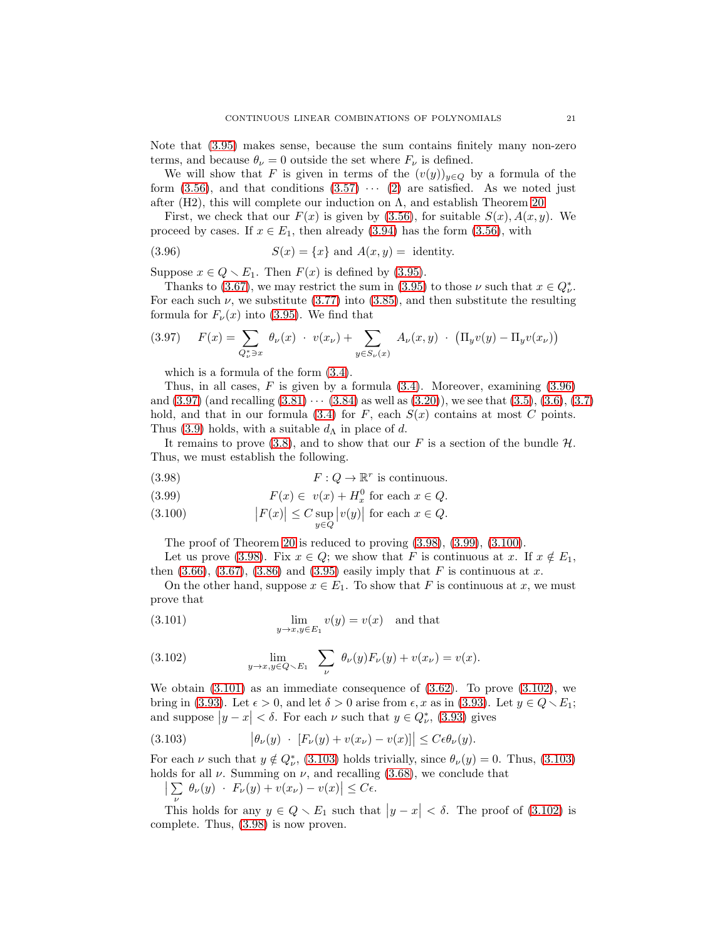Note that [\(3.95\)](#page-19-4) makes sense, because the sum contains finitely many non-zero terms, and because  $\theta_{\nu} = 0$  outside the set where  $F_{\nu}$  is defined.

We will show that F is given in terms of the  $(v(y))_{y\in Q}$  by a formula of the form  $(3.56)$ , and that conditions  $(3.57) \cdots (2)$  $(3.57) \cdots (2)$  are satisfied. As we noted just after (H2), this will complete our induction on  $\Lambda$ , and establish Theorem [20.](#page-16-1)

First, we check that our  $F(x)$  is given by [\(3.56\)](#page-16-0), for suitable  $S(x)$ ,  $A(x, y)$ . We proceed by cases. If  $x \in E_1$ , then already [\(3.94\)](#page-19-5) has the form [\(3.56\)](#page-16-0), with

<span id="page-20-0"></span>(3.96) 
$$
S(x) = \{x\} \text{ and } A(x, y) = \text{identity.}
$$

Suppose  $x \in Q \setminus E_1$ . Then  $F(x)$  is defined by [\(3.95\)](#page-19-4).

Thanks to [\(3.67\)](#page-17-6), we may restrict the sum in [\(3.95\)](#page-19-4) to those  $\nu$  such that  $x \in Q_{\nu}^*$ . For each such  $\nu$ , we substitute [\(3.77\)](#page-18-4) into [\(3.85\)](#page-19-6), and then substitute the resulting formula for  $F_{\nu}(x)$  into [\(3.95\)](#page-19-4). We find that

<span id="page-20-1"></span>(3.97) 
$$
F(x) = \sum_{Q_{\nu}^* \ni x} \theta_{\nu}(x) \cdot v(x_{\nu}) + \sum_{y \in S_{\nu}(x)} A_{\nu}(x, y) \cdot (\Pi_y v(y) - \Pi_y v(x_{\nu}))
$$

which is a formula of the form [\(3.4\)](#page-8-0).

Thus, in all cases,  $F$  is given by a formula  $(3.4)$ . Moreover, examining  $(3.96)$ and  $(3.97)$  (and recalling  $(3.81) \cdots (3.84)$  $(3.81) \cdots (3.84)$  as well as  $(3.20)$ ), we see that  $(3.5)$ ,  $(3.6)$ ,  $(3.7)$ hold, and that in our formula [\(3.4\)](#page-8-0) for  $F$ , each  $S(x)$  contains at most  $C$  points. Thus [\(3.9\)](#page-8-2) holds, with a suitable  $d_{\Lambda}$  in place of d.

It remains to prove [\(3.8\)](#page-8-1), and to show that our F is a section of the bundle  $H$ . Thus, we must establish the following.

(3.98) 
$$
F: Q \to \mathbb{R}^r \text{ is continuous.}
$$

(3.99) 
$$
F(x) \in v(x) + H_x^0 \text{ for each } x \in Q.
$$

(3.100) 
$$
\left| F(x) \right| \leq C \sup_{y \in Q} \left| v(y) \right| \text{ for each } x \in Q.
$$

<span id="page-20-2"></span>The proof of Theorem [20](#page-16-1) is reduced to proving  $(3.98)$ ,  $(3.99)$ ,  $(3.100)$ .

Let us prove [\(3.98\)](#page-20-2). Fix  $x \in Q$ ; we show that F is continuous at x. If  $x \notin E_1$ , then  $(3.66)$ ,  $(3.67)$ ,  $(3.86)$  and  $(3.95)$  easily imply that F is continuous at x.

On the other hand, suppose  $x \in E_1$ . To show that F is continuous at x, we must prove that

<span id="page-20-3"></span>(3.101) 
$$
\lim_{y \to x, y \in E_1} v(y) = v(x) \text{ and that}
$$

<span id="page-20-4"></span>(3.102) 
$$
\lim_{y \to x, y \in Q \setminus E_1} \sum_{\nu} \theta_{\nu}(y) F_{\nu}(y) + v(x_{\nu}) = v(x).
$$

We obtain  $(3.101)$  as an immediate consequence of  $(3.62)$ . To prove  $(3.102)$ , we bring in [\(3.93\)](#page-19-10). Let  $\epsilon > 0$ , and let  $\delta > 0$  arise from  $\epsilon, x$  as in (3.93). Let  $y \in Q \setminus E_1$ ; and suppose  $|y-x| < \delta$ . For each  $\nu$  such that  $y \in Q_{\nu}^*$ , [\(3.93\)](#page-19-10) gives

<span id="page-20-5"></span>(3.103) 
$$
\left|\theta_{\nu}(y) \cdot [F_{\nu}(y) + v(x_{\nu}) - v(x)]\right| \leq C\epsilon \theta_{\nu}(y).
$$

For each  $\nu$  such that  $y \notin Q_{\nu}^*$ , [\(3.103\)](#page-20-5) holds trivially, since  $\theta_{\nu}(y) = 0$ . Thus, (3.103) holds for all  $\nu$ . Summing on  $\nu$ , and recalling [\(3.68\)](#page-17-6), we conclude that

$$
\left| \sum \theta_{\nu}(y) \cdot F_{\nu}(y) + v(x_{\nu}) - v(x) \right| \leq C\epsilon.
$$

This holds for any  $y \in Q \setminus E_1$  such that  $|y - x| < \delta$ . The proof of [\(3.102\)](#page-20-4) is complete. Thus, [\(3.98\)](#page-20-2) is now proven.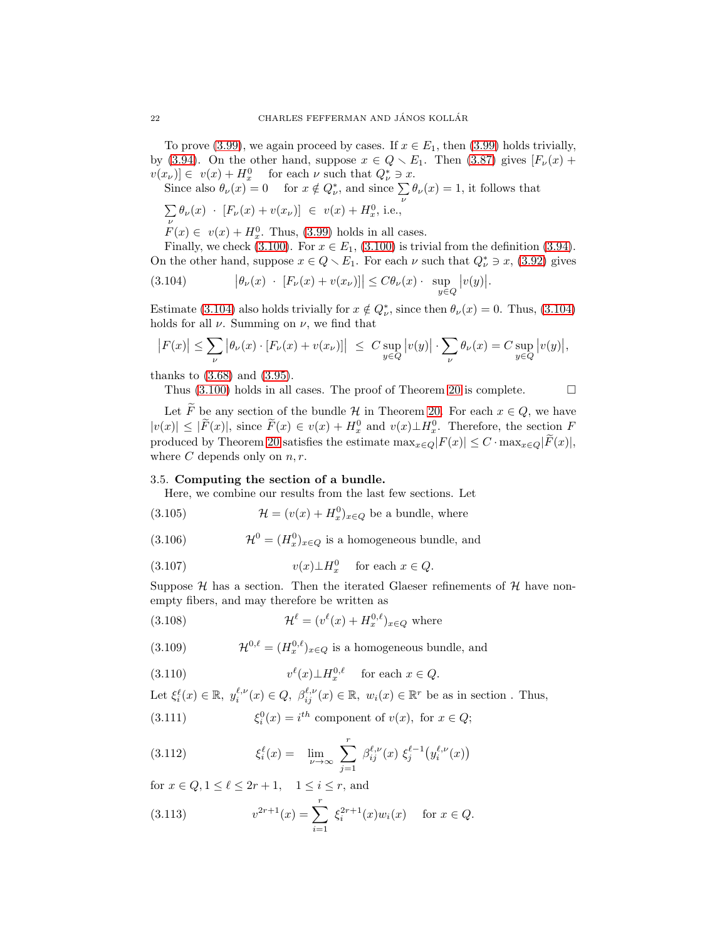To prove [\(3.99\)](#page-20-2), we again proceed by cases. If  $x \in E_1$ , then (3.99) holds trivially, by [\(3.94\)](#page-19-5). On the other hand, suppose  $x \in Q \setminus E_1$ . Then [\(3.87\)](#page-19-11) gives  $[F_{\nu}(x) +$  $v(x_\nu) \in v(x) + H_x^0$  for each  $\nu$  such that  $Q_\nu^* \ni x$ .

Since also  $\theta_{\nu}(x) = 0$  for  $x \notin Q_{\nu}^*$ , and since  $\sum_{\nu} \theta_{\nu}(x) = 1$ , it follows that

$$
\textstyle \sum\limits_\nu \theta_\nu(x) \ \cdot \ [F_\nu(x) + v(x_\nu)] \ \in \ v(x) + H_x^0, \, \text{i.e.,}
$$

 $F(x) \in v(x) + H_x^0$ . Thus, [\(3.99\)](#page-20-2) holds in all cases.

Finally, we check [\(3.100\)](#page-20-2). For  $x \in E_1$ , (3.100) is trivial from the definition [\(3.94\)](#page-19-5). On the other hand, suppose  $x \in Q \setminus E_1$ . For each  $\nu$  such that  $Q^*_{\nu} \ni x$ , [\(3.92\)](#page-19-12) gives

<span id="page-21-1"></span>(3.104) 
$$
\left|\theta_{\nu}(x) + [F_{\nu}(x) + v(x_{\nu})]\right| \leq C \theta_{\nu}(x) \cdot \sup_{y \in Q} |v(y)|.
$$

Estimate [\(3.104\)](#page-21-1) also holds trivially for  $x \notin Q_{\nu}^*$ , since then  $\theta_{\nu}(x) = 0$ . Thus, (3.104) holds for all  $\nu$ . Summing on  $\nu$ , we find that

$$
\big|F(x)\big|\leq \sum_{\nu}\big|\theta_{\nu}(x)\cdot [F_{\nu}(x)+v(x_{\nu})]\big| ~\leq ~ C\sup_{y\in Q}\big|v(y)\big|\cdot \sum_{\nu}\theta_{\nu}(x)=C\sup_{y\in Q}\big|v(y)\big|,
$$

thanks to [\(3.68\)](#page-17-6) and [\(3.95\)](#page-19-4).

Thus  $(3.100)$  holds in all cases. The proof of Theorem [20](#page-16-1) is complete.  $\Box$ 

Let  $\widetilde{F}$  be any section of the bundle  $\mathcal H$  in Theorem [20.](#page-16-1) For each  $x \in Q$ , we have  $|v(x)| \leq |F(x)|$ , since  $F(x) \in v(x) + H_x^0$  and  $v(x) \perp H_x^0$ . Therefore, the section F produced by Theorem [20](#page-16-1) satisfies the estimate  $\max_{x \in Q} |F(x)| \leq C \cdot \max_{x \in Q} |\tilde{F}(x)|$ , where  $C$  depends only on  $n, r$ .

### <span id="page-21-0"></span>3.5. Computing the section of a bundle.

<span id="page-21-6"></span>Here, we combine our results from the last few sections. Let

(3.105) 
$$
\mathcal{H} = (v(x) + H_x^0)_{x \in Q} \text{ be a bundle, where}
$$

(3.106)  $\mathcal{H}^0 = (H_x^0)_{x \in Q}$  is a homogeneous bundle, and

(3.107) 
$$
v(x) \perp H_x^0 \quad \text{for each } x \in Q.
$$

Suppose  $H$  has a section. Then the iterated Glaeser refinements of  $H$  have nonempty fibers, and may therefore be written as

<span id="page-21-5"></span>(3.108) 
$$
\mathcal{H}^{\ell} = (v^{\ell}(x) + H_x^{0,\ell})_{x \in Q} \text{ where}
$$

(3.109)  $\mathcal{H}^{0,\ell} = (H_x^{0,\ell})_{x \in Q}$  is a homogeneous bundle, and

(3.110) 
$$
v^{\ell}(x) \perp H_x^{0,\ell} \quad \text{ for each } x \in Q.
$$

Let  $\xi_i^{\ell}(x) \in \mathbb{R}, y_i^{\ell,\nu}(x) \in Q, \beta_{ij}^{\ell,\nu}(x) \in \mathbb{R}, w_i(x) \in \mathbb{R}^r$  be as in section. Thus,

<span id="page-21-3"></span>(3.111) 
$$
\xi_i^0(x) = i^{th} \text{ component of } v(x), \text{ for } x \in Q;
$$

<span id="page-21-4"></span>(3.112) 
$$
\xi_i^{\ell}(x) = \lim_{\nu \to \infty} \sum_{j=1}^r \beta_{ij}^{\ell,\nu}(x) \xi_j^{\ell-1}(y_i^{\ell,\nu}(x))
$$

for  $x \in Q, 1 \leq \ell \leq 2r + 1$ ,  $1 \leq i \leq r$ , and

<span id="page-21-2"></span>(3.113) 
$$
v^{2r+1}(x) = \sum_{i=1}^{r} \xi_i^{2r+1}(x) w_i(x) \quad \text{for } x \in Q.
$$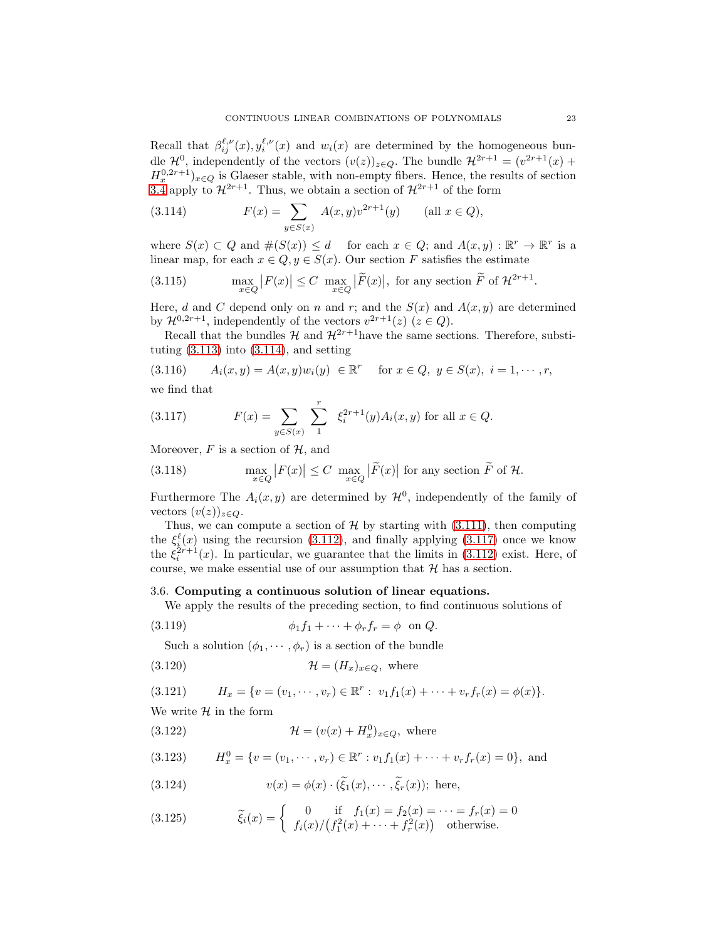Recall that  $\beta_{ij}^{\ell,\nu}(x), y_i^{\ell,\nu}(x)$  and  $w_i(x)$  are determined by the homogeneous bunitectan that  $p_{ij}(x)$ ,  $y_i(x)$  and  $w_i(x)$  are determined by the nonlogeneous bundle  $\mathcal{H}^{2r+1} = (v^{2r+1}(x) +$  $H_x^{0,2r+1}$ <sub>x∈Q</sub> is Glaeser stable, with non-empty fibers. Hence, the results of section [3.4](#page-15-0) apply to  $\mathcal{H}^{2r+1}$ . Thus, we obtain a section of  $\mathcal{H}^{2r+1}$  of the form

<span id="page-22-1"></span>(3.114) 
$$
F(x) = \sum_{y \in S(x)} A(x, y)v^{2r+1}(y) \quad (\text{all } x \in Q),
$$

where  $S(x) \subset Q$  and  $\#(S(x)) \leq d$  for each  $x \in Q$ ; and  $A(x, y) : \mathbb{R}^r \to \mathbb{R}^r$  is a linear map, for each  $x \in Q, y \in S(x)$ . Our section F satisfies the estimate

(3.115) 
$$
\max_{x \in Q} |F(x)| \le C \max_{x \in Q} |\tilde{F}(x)|, \text{ for any section } \tilde{F} \text{ of } \mathcal{H}^{2r+1}.
$$

Here, d and C depend only on n and r; and the  $S(x)$  and  $A(x, y)$  are determined by  $\mathcal{H}^{0,2r+1}$ , independently of the vectors  $v^{2r+1}(z)$   $(z \in Q)$ .

Recall that the bundles  $\mathcal{H}$  and  $\mathcal{H}^{2r+1}$  have the same sections. Therefore, substituting  $(3.113)$  into  $(3.114)$ , and setting

$$
(3.116) \t A_i(x,y) = A(x,y)w_i(y) \in \mathbb{R}^r \text{ for } x \in Q, y \in S(x), i = 1, \dots, r,
$$

we find that

<span id="page-22-2"></span>(3.117) 
$$
F(x) = \sum_{y \in S(x)} \sum_{1}^{r} \xi_i^{2r+1}(y) A_i(x, y) \text{ for all } x \in Q.
$$

Moreover,  $F$  is a section of  $H$ , and

(3.118) 
$$
\max_{x \in Q} |F(x)| \le C \max_{x \in Q} |\tilde{F}(x)| \text{ for any section } \tilde{F} \text{ of } \mathcal{H}.
$$

Furthermore The  $A_i(x, y)$  are determined by  $\mathcal{H}^0$ , independently of the family of vectors  $(v(z))_{z\in Q}$ .

Thus, we can compute a section of  $H$  by starting with [\(3.111\)](#page-21-3), then computing the  $\xi_i^{\ell}(x)$  using the recursion [\(3.112\)](#page-21-4), and finally applying [\(3.117\)](#page-22-2) once we know the  $\xi_i^{2r+1}(x)$ . In particular, we guarantee that the limits in [\(3.112\)](#page-21-4) exist. Here, of course, we make essential use of our assumption that  $H$  has a section.

#### <span id="page-22-0"></span>3.6. Computing a continuous solution of linear equations.

We apply the results of the preceding section, to find continuous solutions of

$$
(3.119) \qquad \phi_1 f_1 + \cdots + \phi_r f_r = \phi \quad \text{on } Q.
$$

<span id="page-22-3"></span>Such a solution  $(\phi_1, \dots, \phi_r)$  is a section of the bundle

$$
(3.120) \t\t \mathcal{H} = (H_x)_{x \in Q}, \text{ where}
$$

$$
(3.121) \t\t H_x = \{v = (v_1, \dots, v_r) \in \mathbb{R}^r : v_1 f_1(x) + \dots + v_r f_r(x) = \phi(x)\}.
$$

We write  $H$  in the form

(3.122) 
$$
\mathcal{H} = (v(x) + H_x^0)_{x \in Q}, \text{ where}
$$

$$
(3.123) \tH_x^0 = \{v = (v_1, \dots, v_r) \in \mathbb{R}^r : v_1 f_1(x) + \dots + v_r f_r(x) = 0\}, \text{ and}
$$

(3.124) 
$$
v(x) = \phi(x) \cdot (\tilde{\xi}_1(x), \cdots, \tilde{\xi}_r(x)); \text{ here,}
$$

(3.125) 
$$
\tilde{\xi}_i(x) = \begin{cases} 0 & \text{if } f_1(x) = f_2(x) = \dots = f_r(x) = 0 \\ f_i(x) / (f_1^2(x) + \dots + f_r^2(x)) & \text{otherwise.} \end{cases}
$$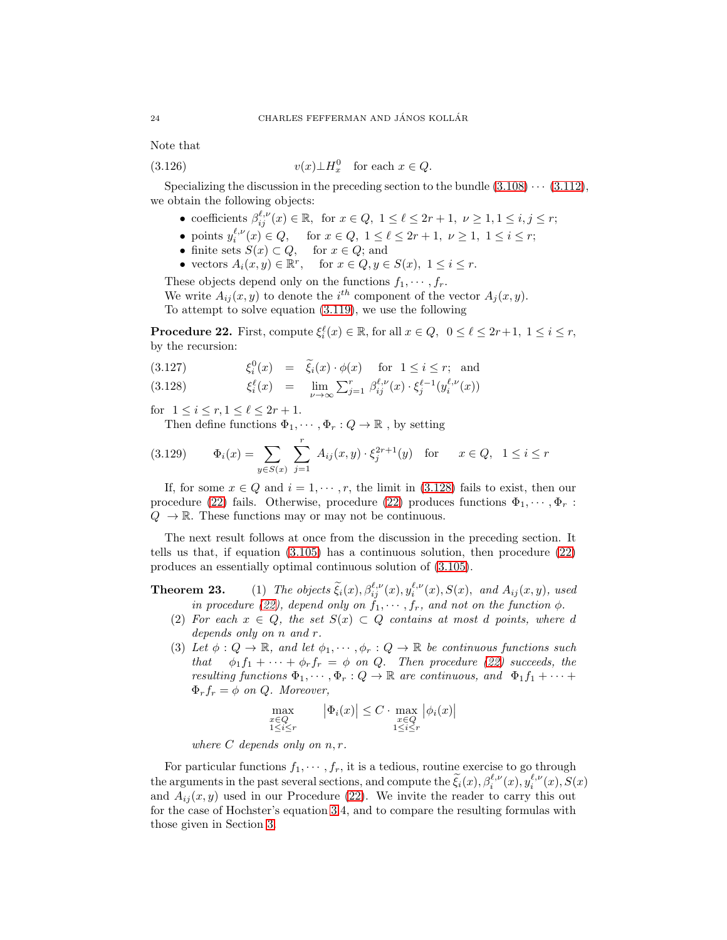Note that

(3.126) 
$$
v(x) \perp H_x^0 \quad \text{for each } x \in Q.
$$

Specializing the discussion in the preceding section to the bundle  $(3.108)\cdots(3.112)$  $(3.108)\cdots(3.112)$ , we obtain the following objects:

- coefficients  $\beta_{ij}^{\ell,\nu}(x) \in \mathbb{R}$ , for  $x \in Q$ ,  $1 \leq \ell \leq 2r+1$ ,  $\nu \geq 1, 1 \leq i, j \leq r$ ;
- points  $y_i^{\ell,\nu}(x) \in Q$ , for  $x \in Q$ ,  $1 \le \ell \le 2r + 1$ ,  $\nu \ge 1$ ,  $1 \le i \le r$ ;
- finite sets  $S(x) \subset Q$ , for  $x \in Q$ ; and
- vectors  $A_i(x, y) \in \mathbb{R}^r$ , for  $x \in Q, y \in S(x)$ ,  $1 \le i \le r$ .

These objects depend only on the functions  $f_1, \dots, f_r$ .

We write  $A_{ij}(x, y)$  to denote the  $i^{th}$  component of the vector  $A_j(x, y)$ . To attempt to solve equation [\(3.119\)](#page-22-3), we use the following

<span id="page-23-1"></span>**Procedure 22.** First, compute  $\xi_i^{\ell}(x) \in \mathbb{R}$ , for all  $x \in Q$ ,  $0 \leq \ell \leq 2r+1$ ,  $1 \leq i \leq r$ , by the recursion:

<span id="page-23-0"></span>(3.127) 
$$
\xi_i^0(x) = \tilde{\xi}_i(x) \cdot \phi(x) \quad \text{for } 1 \le i \le r; \text{ and}
$$

$$
(3.128) \qquad \xi_i^{\ell}(x) = \lim_{\nu \to \infty} \sum_{j=1}^r \beta_{ij}^{\ell,\nu}(x) \cdot \xi_j^{\ell-1}(y_i^{\ell,\nu}(x))
$$

for  $1 \le i \le r, 1 \le \ell \le 2r + 1$ .

Then define functions  $\Phi_1, \cdots, \Phi_r : Q \to \mathbb{R}$ , by setting

(3.129) 
$$
\Phi_i(x) = \sum_{y \in S(x)} \sum_{j=1}^r A_{ij}(x, y) \cdot \xi_j^{2r+1}(y) \text{ for } x \in Q, 1 \le i \le r
$$

If, for some  $x \in Q$  and  $i = 1, \dots, r$ , the limit in [\(3.128\)](#page-23-0) fails to exist, then our procedure [\(22\)](#page-23-1) fails. Otherwise, procedure (22) produces functions  $\Phi_1, \cdots, \Phi_r$ :  $Q \rightarrow \mathbb{R}$ . These functions may or may not be continuous.

The next result follows at once from the discussion in the preceding section. It tells us that, if equation [\(3.105\)](#page-21-6) has a continuous solution, then procedure [\(22\)](#page-23-1) produces an essentially optimal continuous solution of [\(3.105\)](#page-21-6).

**Theorem 23.** (1) The objects  $\tilde{\xi}_i(x), \beta_{ij}^{\ell,\nu}(x), y_i^{\ell,\nu}(x), S(x), \text{ and } A_{ij}(x, y), \text{ used}$ *in procedure* [\(22\)](#page-23-1), depend only on  $\tilde{f}_1, \dots, f_r$ , and not on the function  $\phi$ .

- (2) For each  $x \in Q$ , the set  $S(x) \subset Q$  contains at most d points, where d *depends only on* n *and* r*.*
- (3) Let  $\phi: Q \to \mathbb{R}$ , and let  $\phi_1, \dots, \phi_r : Q \to \mathbb{R}$  be continuous functions such *that*  $\phi_1 f_1 + \cdots + \phi_r f_r = \phi$  *on Q*. *Then procedure* [\(22\)](#page-23-1) succeeds, the *resulting functions*  $\Phi_1, \cdots, \Phi_r : Q \to \mathbb{R}$  *are continuous, and*  $\Phi_1 f_1 + \cdots$  $\Phi_r f_r = \phi$  *on Q. Moreover,*

$$
\max_{\substack{x \in Q \\ 1 \le i \le r}} \qquad \left| \Phi_i(x) \right| \le C \cdot \max_{\substack{x \in Q \\ 1 \le i \le r}} \left| \phi_i(x) \right|
$$

*where* C *depends only on* n, r*.*

For particular functions  $f_1, \dots, f_r$ , it is a tedious, routine exercise to go through the arguments in the past several sections, and compute the  $\tilde{\xi}_i(x), \beta_i^{\ell,\nu}(x), y_i^{\ell,\nu}(x), S(x)$ and  $A_{ij}(x, y)$  used in our Procedure [\(22\)](#page-23-1). We invite the reader to carry this out for the case of Hochster's equation [3.](#page-2-0)4, and to compare the resulting formulas with those given in Section [3.](#page-7-0)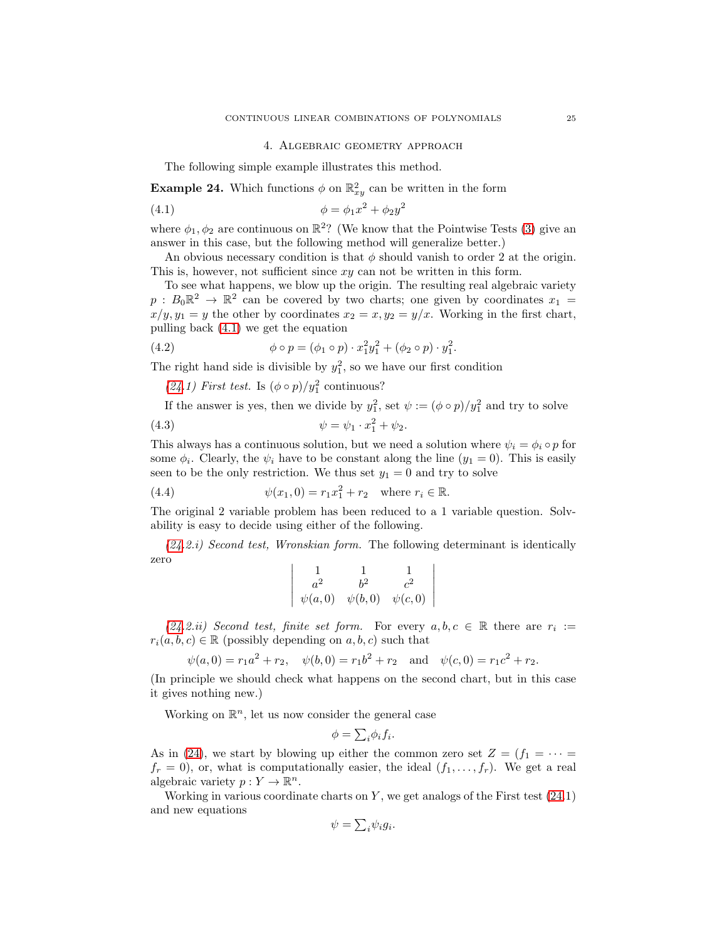#### <span id="page-24-1"></span>4. Algebraic geometry approach

<span id="page-24-0"></span>The following simple example illustrates this method.

<span id="page-24-2"></span>**Example 24.** Which functions  $\phi$  on  $\mathbb{R}^2_{xy}$  can be written in the form

(4.1) 
$$
\phi = \phi_1 x^2 + \phi_2 y^2
$$

where  $\phi_1, \phi_2$  are continuous on  $\mathbb{R}^2$ ? (We know that the Pointwise Tests [\(3\)](#page-2-0) give an answer in this case, but the following method will generalize better.)

An obvious necessary condition is that  $\phi$  should vanish to order 2 at the origin. This is, however, not sufficient since xy can not be written in this form.

To see what happens, we blow up the origin. The resulting real algebraic variety  $p: B_0 \mathbb{R}^2 \to \mathbb{R}^2$  can be covered by two charts; one given by coordinates  $x_1 =$  $x/y, y_1 = y$  the other by coordinates  $x_2 = x, y_2 = y/x$ . Working in the first chart, pulling back [\(4.1\)](#page-24-1) we get the equation

(4.2) 
$$
\phi \circ p = (\phi_1 \circ p) \cdot x_1^2 y_1^2 + (\phi_2 \circ p) \cdot y_1^2.
$$

The right hand side is divisible by  $y_1^2$ , so we have our first condition

[\(24.](#page-24-2)1) First test. Is  $(\phi \circ p)/y_1^2$  continuous?

If the answer is yes, then we divide by  $y_1^2$ , set  $\psi := (\phi \circ p)/y_1^2$  and try to solve

(4.3) 
$$
\psi = \psi_1 \cdot x_1^2 + \psi_2.
$$

This always has a continuous solution, but we need a solution where  $\psi_i = \phi_i \circ p$  for some  $\phi_i$ . Clearly, the  $\psi_i$  have to be constant along the line  $(y_1 = 0)$ . This is easily seen to be the only restriction. We thus set  $y_1 = 0$  and try to solve

(4.4) 
$$
\psi(x_1, 0) = r_1 x_1^2 + r_2 \text{ where } r_i \in \mathbb{R}.
$$

The original 2 variable problem has been reduced to a 1 variable question. Solvability is easy to decide using either of the following.

*[\(24.](#page-24-2)2.i) Second test, Wronskian form.* The following determinant is identically zero  $\begin{array}{c} \hline \end{array}$ 

$$
\left|\begin{array}{ccc} 1 & 1 & 1 \\ a^2 & b^2 & c^2 \\ \psi(a,0) & \psi(b,0) & \psi(c,0) \end{array}\right|
$$

 $(24.2.ii)$  $(24.2.ii)$  Second test, finite set form. For every  $a, b, c \in \mathbb{R}$  there are  $r_i :=$  $r_i(a, b, c) \in \mathbb{R}$  (possibly depending on  $a, b, c$ ) such that

$$
\psi(a,0) = r_1 a^2 + r_2
$$
,  $\psi(b,0) = r_1 b^2 + r_2$  and  $\psi(c,0) = r_1 c^2 + r_2$ .

(In principle we should check what happens on the second chart, but in this case it gives nothing new.)

Working on  $\mathbb{R}^n$ , let us now consider the general case

$$
\phi = \sum_{i} \phi_i f_i.
$$

As in [\(24\)](#page-24-2), we start by blowing up either the common zero set  $Z = (f_1 = \cdots =$  $f_r = 0$ , or, what is computationally easier, the ideal  $(f_1, \ldots, f_r)$ . We get a real algebraic variety  $p: Y \to \mathbb{R}^n$ .

Working in various coordinate charts on  $Y$ , we get analogs of the First test  $(24.1)$ and new equations

$$
\psi = \sum_{i} \psi_i g_i.
$$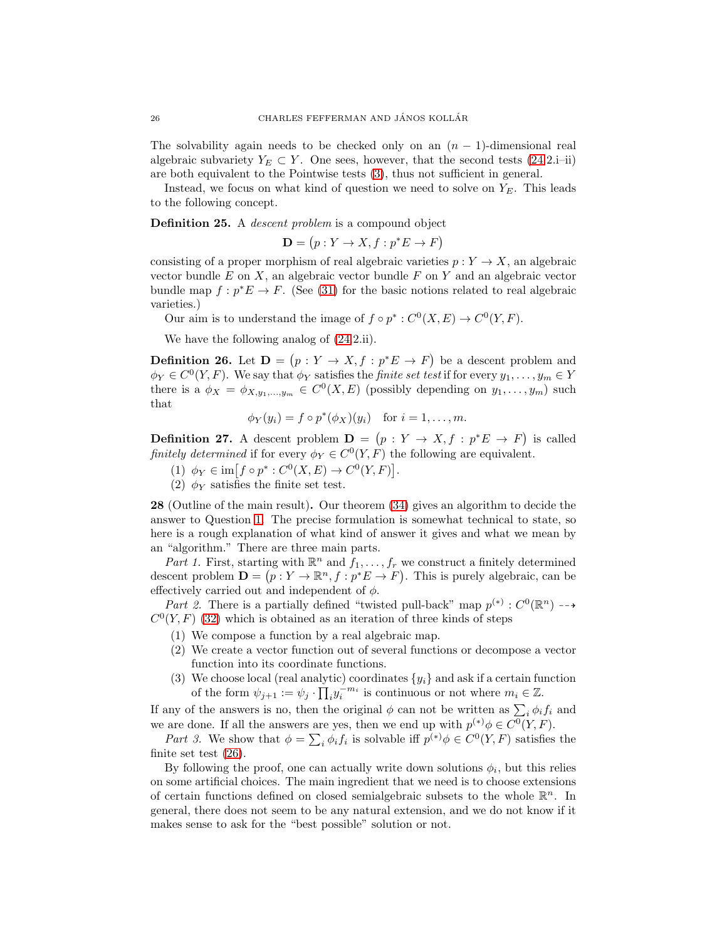The solvability again needs to be checked only on an  $(n - 1)$ -dimensional real algebraic subvariety  $Y_E \subset Y$ . One sees, however, that the second tests [\(24.](#page-24-2)2.i–ii) are both equivalent to the Pointwise tests [\(3\)](#page-2-0), thus not sufficient in general.

Instead, we focus on what kind of question we need to solve on  $Y_E$ . This leads to the following concept.

Definition 25. A *descent problem* is a compound object

$$
\mathbf{D} = (p: Y \to X, f: p^*E \to F)
$$

consisting of a proper morphism of real algebraic varieties  $p: Y \to X$ , an algebraic vector bundle  $E$  on  $X$ , an algebraic vector bundle  $F$  on  $Y$  and an algebraic vector bundle map  $f: p^*E \to F$ . (See [\(31\)](#page-27-1) for the basic notions related to real algebraic varieties.)

Our aim is to understand the image of  $f \circ p^* : C^0(X, E) \to C^0(Y, F)$ .

We have the following analog of [\(24.](#page-24-2)2.ii).

<span id="page-25-0"></span>**Definition 26.** Let  $\mathbf{D} = (p : Y \to X, f : p^*E \to F)$  be a descent problem and  $\phi_Y \in C^0(Y, F)$ . We say that  $\phi_Y$  satisfies the *finite set test* if for every  $y_1, \ldots, y_m \in Y$ there is a  $\phi_X = \phi_{X,y_1,...,y_m} \in C^0(X,E)$  (possibly depending on  $y_1,..., y_m$ ) such that

$$
\phi_Y(y_i) = f \circ p^*(\phi_X)(y_i) \quad \text{for } i = 1, \dots, m.
$$

**Definition 27.** A descent problem  $\mathbf{D} = (p : Y \to X, f : p^*E \to F)$  is called *finitely determined* if for every  $\phi_Y \in C^0(Y, F)$  the following are equivalent.

- (1)  $\phi_Y \in \text{im}[f \circ p^* : C^0(X, E) \to C^0(Y, F)].$
- (2)  $\phi_Y$  satisfies the finite set test.

<span id="page-25-1"></span>28 (Outline of the main result). Our theorem [\(34\)](#page-29-1) gives an algorithm to decide the answer to Question [1.](#page-0-1) The precise formulation is somewhat technical to state, so here is a rough explanation of what kind of answer it gives and what we mean by an "algorithm." There are three main parts.

Part 1. First, starting with  $\mathbb{R}^n$  and  $f_1, \ldots, f_r$  we construct a finitely determined descent problem  $\mathbf{D} = (p : Y \to \mathbb{R}^n, f : p^*E \to F)$ . This is purely algebraic, can be effectively carried out and independent of  $\phi$ .

*Part 2.* There is a partially defined "twisted pull-back" map  $p^{(*)}: C^0(\mathbb{R}^n) \longrightarrow$  $C<sup>0</sup>(Y, F)$  [\(32\)](#page-27-2) which is obtained as an iteration of three kinds of steps

- (1) We compose a function by a real algebraic map.
- (2) We create a vector function out of several functions or decompose a vector function into its coordinate functions.
- (3) We choose local (real analytic) coordinates  $\{y_i\}$  and ask if a certain function of the form  $\psi_{j+1} := \psi_j \cdot \prod_i y_i^{-m_i}$  is continuous or not where  $m_i \in \mathbb{Z}$ .

If any of the answers is no, then the original  $\phi$  can not be written as  $\sum_i \phi_i f_i$  and we are done. If all the answers are yes, then we end up with  $p^{(*)}\phi \in C^0(Y, F)$ .

*Part 3.* We show that  $\phi = \sum_i \phi_i f_i$  is solvable iff  $p^{(*)}\phi \in C^0(Y, F)$  satisfies the finite set test [\(26\)](#page-25-0).

By following the proof, one can actually write down solutions  $\phi_i$ , but this relies on some artificial choices. The main ingredient that we need is to choose extensions of certain functions defined on closed semialgebraic subsets to the whole  $\mathbb{R}^n$ . In general, there does not seem to be any natural extension, and we do not know if it makes sense to ask for the "best possible" solution or not.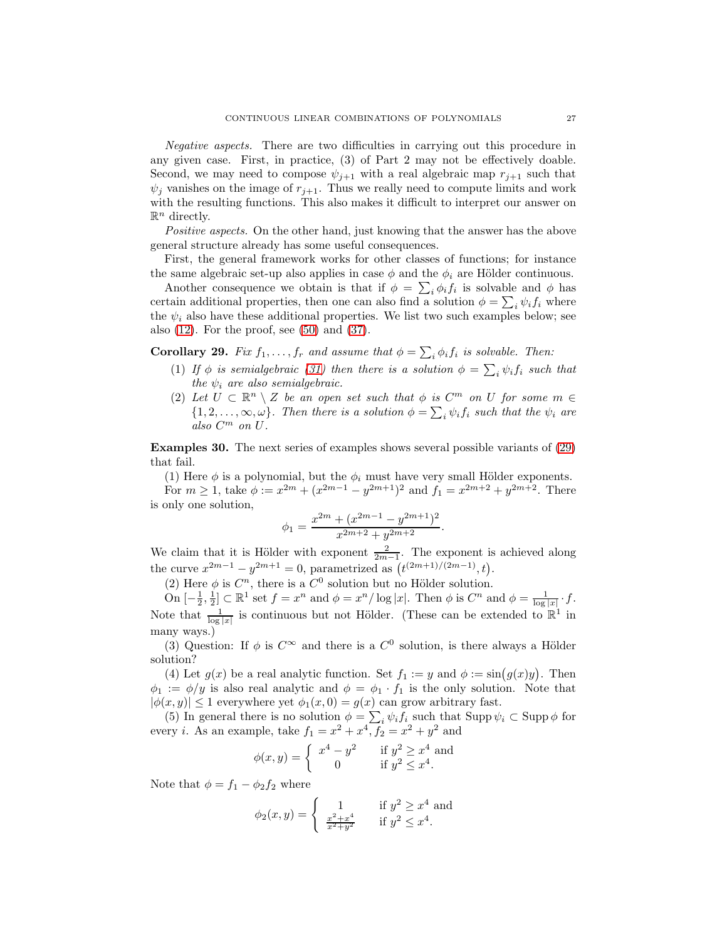*Negative aspects.* There are two difficulties in carrying out this procedure in any given case. First, in practice, (3) of Part 2 may not be effectively doable. Second, we may need to compose  $\psi_{j+1}$  with a real algebraic map  $r_{j+1}$  such that  $\psi_j$  vanishes on the image of  $r_{j+1}$ . Thus we really need to compute limits and work with the resulting functions. This also makes it difficult to interpret our answer on  $\mathbb{R}^n$  directly.

*Positive aspects.* On the other hand, just knowing that the answer has the above general structure already has some useful consequences.

First, the general framework works for other classes of functions; for instance the same algebraic set-up also applies in case  $\phi$  and the  $\phi_i$  are Hölder continuous.

Another consequence we obtain is that if  $\phi = \sum_i \phi_i f_i$  is solvable and  $\phi$  has certain additional properties, then one can also find a solution  $\phi = \sum_i \psi_i f_i$  where the  $\psi_i$  also have these additional properties. We list two such examples below; see also  $(12)$ . For the proof, see  $(50)$  and  $(37)$ .

<span id="page-26-1"></span>Corollary 29. *Fix*  $f_1, \ldots, f_r$  *and assume that*  $\phi = \sum_i \phi_i f_i$  *is solvable. Then:* 

- (1) *If*  $\phi$  *is semialgebraic* [\(31\)](#page-27-1) then there is a solution  $\phi = \sum_i \psi_i f_i$  such that *the*  $\psi_i$  *are also semialgebraic.*
- (2) Let  $U \subset \mathbb{R}^n \setminus Z$  be an open set such that  $\phi$  is  $C^m$  on U for some  $m \in$  $\{1, 2, \ldots, \infty, \omega\}$ *. Then there is a solution*  $\phi = \sum_i \psi_i f_i$  *such that the*  $\psi_i$  *are also* C <sup>m</sup> *on* U*.*

<span id="page-26-0"></span>Examples 30. The next series of examples shows several possible variants of [\(29\)](#page-26-1) that fail.

(1) Here  $\phi$  is a polynomial, but the  $\phi_i$  must have very small Hölder exponents.

For  $m \ge 1$ , take  $\phi := x^{2m} + (x^{2m-1} - y^{2m+1})^2$  and  $f_1 = x^{2m+2} + y^{2m+2}$ . There is only one solution,

$$
\phi_1 = \frac{x^{2m} + (x^{2m-1} - y^{2m+1})^2}{x^{2m+2} + y^{2m+2}}.
$$

We claim that it is Hölder with exponent  $\frac{2}{2m-1}$ . The exponent is achieved along the curve  $x^{2m-1} - y^{2m+1} = 0$ , parametrized as  $(t^{(2m+1)/(2m-1)}, t)$ .

(2) Here  $\phi$  is  $C^n$ , there is a  $C^0$  solution but no Hölder solution.

On  $\left[-\frac{1}{2},\frac{1}{2}\right] \subset \mathbb{R}^1$  set  $f = x^n$  and  $\phi = x^n/\log|x|$ . Then  $\phi$  is  $C^n$  and  $\phi = \frac{1}{\log|x|} \cdot f$ . Note that  $\frac{1}{\log|x|}$  is continuous but not Hölder. (These can be extended to  $\mathbb{R}^1$  in many ways.)

(3) Question: If  $\phi$  is  $C^{\infty}$  and there is a  $C^0$  solution, is there always a Hölder solution?

(4) Let  $g(x)$  be a real analytic function. Set  $f_1 := y$  and  $\phi := \sin(g(x)y)$ . Then  $\phi_1 := \phi/y$  is also real analytic and  $\phi = \phi_1 \cdot f_1$  is the only solution. Note that  $|\phi(x, y)| \leq 1$  everywhere yet  $\phi_1(x, 0) = g(x)$  can grow arbitrary fast.

(5) In general there is no solution  $\phi = \sum_i \psi_i f_i$  such that  $\text{Supp}\,\psi_i \subset \text{Supp}\,\phi$  for every *i*. As an example, take  $f_1 = x^2 + x^4, f_2 = x^2 + y^2$  and

$$
\phi(x,y) = \begin{cases} x^4 - y^2 & \text{if } y^2 \ge x^4 \text{ and} \\ 0 & \text{if } y^2 \le x^4. \end{cases}
$$

Note that  $\phi = f_1 - \phi_2 f_2$  where

$$
\phi_2(x, y) = \begin{cases}\n1 & \text{if } y^2 \geq x^4 \text{ and } \\
\frac{x^2 + x^4}{x^2 + y^2} & \text{if } y^2 \leq x^4.\n\end{cases}
$$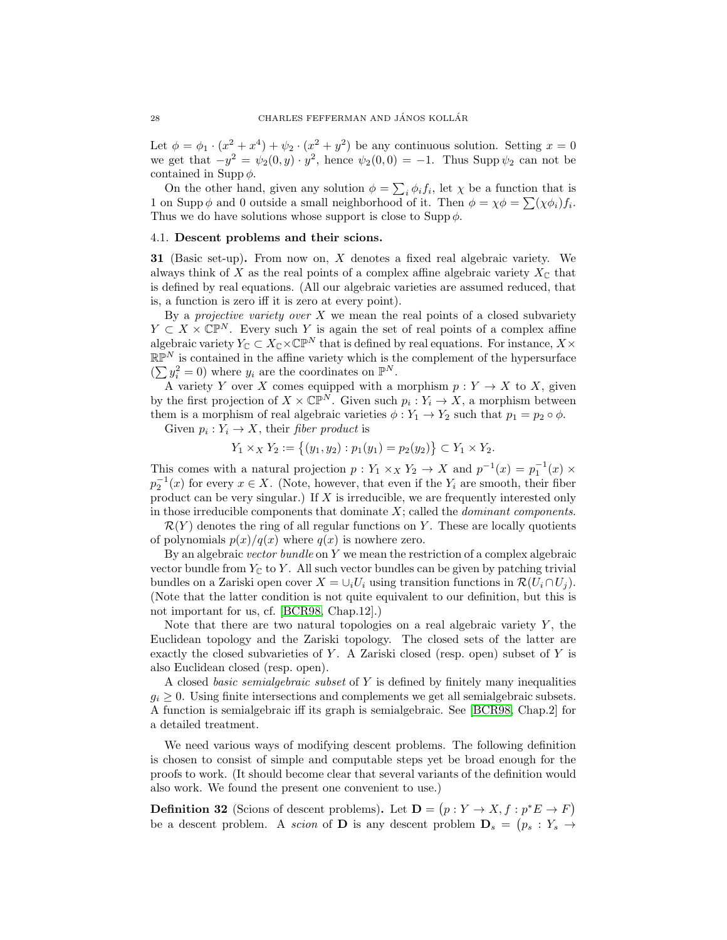Let  $\phi = \phi_1 \cdot (x^2 + x^4) + \psi_2 \cdot (x^2 + y^2)$  be any continuous solution. Setting  $x = 0$ we get that  $-y^2 = \psi_2(0, y) \cdot y^2$ , hence  $\psi_2(0, 0) = -1$ . Thus Supp  $\psi_2$  can not be contained in Supp  $\phi$ .

On the other hand, given any solution  $\phi = \sum_i \phi_i f_i$ , let  $\chi$  be a function that is 1 on Supp  $\phi$  and 0 outside a small neighborhood of it. Then  $\phi = \chi \phi = \sum (\chi \phi_i) f_i$ . Thus we do have solutions whose support is close to  $\text{Supp}\,\phi$ .

#### <span id="page-27-0"></span>4.1. Descent problems and their scions.

<span id="page-27-1"></span>**31** (Basic set-up). From now on,  $X$  denotes a fixed real algebraic variety. We always think of X as the real points of a complex affine algebraic variety  $X_{\mathbb{C}}$  that is defined by real equations. (All our algebraic varieties are assumed reduced, that is, a function is zero iff it is zero at every point).

By a *projective variety over* X we mean the real points of a closed subvariety  $Y \subset X \times \mathbb{CP}^N$ . Every such Y is again the set of real points of a complex affine algebraic variety  $Y_{\mathbb{C}} \subset X_{\mathbb{C}} \times \mathbb{CP}^N$  that is defined by real equations. For instance,  $X \times$  $\mathbb{RP}^N$  is contained in the affine variety which is the complement of the hypersurface  $(\sum y_i^2 = 0)$  where  $y_i$  are the coordinates on  $\mathbb{P}^N$ .

A variety Y over X comes equipped with a morphism  $p: Y \to X$  to X, given by the first projection of  $X \times \mathbb{CP}^N$ . Given such  $p_i: Y_i \to X$ , a morphism between them is a morphism of real algebraic varieties  $\phi: Y_1 \to Y_2$  such that  $p_1 = p_2 \circ \phi$ .

Given  $p_i: Y_i \to X$ , their *fiber product* is

$$
Y_1 \times_X Y_2 := \{(y_1, y_2) : p_1(y_1) = p_2(y_2) \} \subset Y_1 \times Y_2.
$$

This comes with a natural projection  $p: Y_1 \times_X Y_2 \to X$  and  $p^{-1}(x) = p_1^{-1}(x) \times Y_1$  $p_2^{-1}(x)$  for every  $x \in X$ . (Note, however, that even if the  $Y_i$  are smooth, their fiber product can be very singular.) If  $X$  is irreducible, we are frequently interested only in those irreducible components that dominate X; called the *dominant components*.

 $\mathcal{R}(Y)$  denotes the ring of all regular functions on Y. These are locally quotients of polynomials  $p(x)/q(x)$  where  $q(x)$  is nowhere zero.

By an algebraic *vector bundle* on Y we mean the restriction of a complex algebraic vector bundle from  $Y_{\mathbb{C}}$  to Y. All such vector bundles can be given by patching trivial bundles on a Zariski open cover  $X = \bigcup_i U_i$  using transition functions in  $\mathcal{R}(U_i \cap U_j)$ . (Note that the latter condition is not quite equivalent to our definition, but this is not important for us, cf. [\[BCR98,](#page-39-15) Chap.12].)

Note that there are two natural topologies on a real algebraic variety  $Y$ , the Euclidean topology and the Zariski topology. The closed sets of the latter are exactly the closed subvarieties of  $Y$ . A Zariski closed (resp. open) subset of  $Y$  is also Euclidean closed (resp. open).

A closed *basic semialgebraic subset* of Y is defined by finitely many inequalities  $g_i \geq 0$ . Using finite intersections and complements we get all semialgebraic subsets. A function is semialgebraic iff its graph is semialgebraic. See [\[BCR98,](#page-39-15) Chap.2] for a detailed treatment.

We need various ways of modifying descent problems. The following definition is chosen to consist of simple and computable steps yet be broad enough for the proofs to work. (It should become clear that several variants of the definition would also work. We found the present one convenient to use.)

<span id="page-27-2"></span>**Definition 32** (Scions of descent problems). Let  $\mathbf{D} = (p : Y \to X, f : p^*E \to F)$ be a descent problem. A *scion* of **D** is any descent problem  $\mathbf{D}_s = (p_s : Y_s \rightarrow$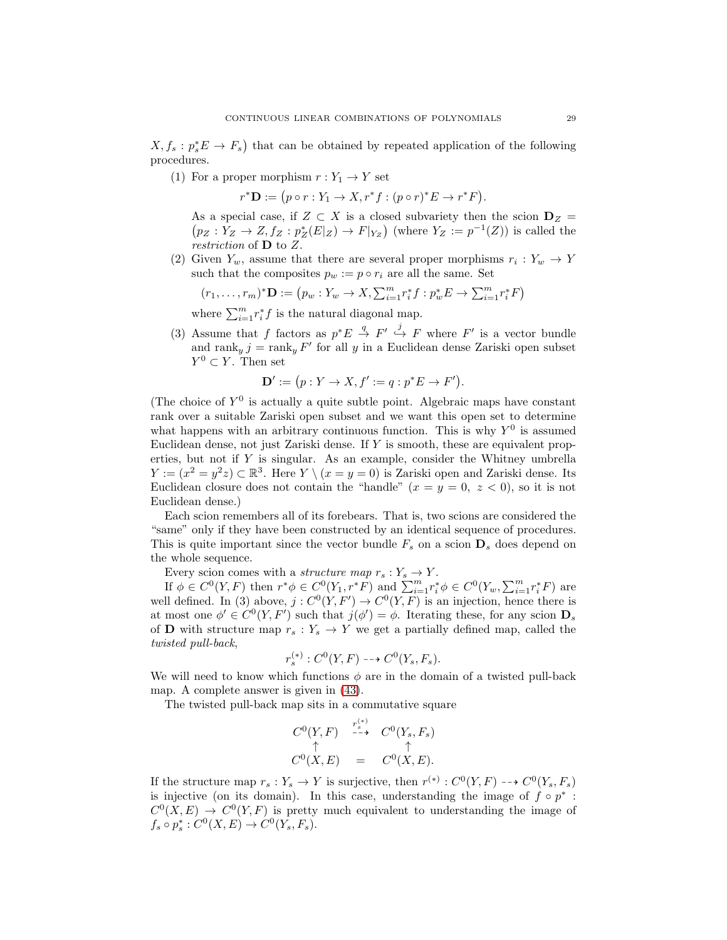$X, f_s: p_s^*E \to F_s$  that can be obtained by repeated application of the following procedures.

(1) For a proper morphism  $r: Y_1 \to Y$  set

 $r^*D := (p \circ r : Y_1 \to X, r^*f : (p \circ r)^*E \to r^*F).$ 

As a special case, if  $Z \subset X$  is a closed subvariety then the scion  $D_Z =$  $p_Z: Y_Z \to Z, f_Z: p_Z^*(E|Z) \to F|_{Y_Z}$  (where  $Y_Z := p^{-1}(Z)$ ) is called the *restriction* of D to Z.

(2) Given  $Y_w$ , assume that there are several proper morphisms  $r_i: Y_w \to Y$ such that the composites  $p_w := p \circ r_i$  are all the same. Set

$$
(r_1, \ldots, r_m)^* \mathbf{D} := (p_w : Y_w \to X, \sum_{i=1}^m r_i^* f : p_w^* E \to \sum_{i=1}^m r_i^* F)
$$

where  $\sum_{i=1}^{m} r_i^* f$  is the natural diagonal map.

(3) Assume that f factors as  $p^*E \stackrel{q}{\to} F' \stackrel{j}{\to} F$  where F' is a vector bundle and  $\text{rank}_y j = \text{rank}_y F'$  for all y in a Euclidean dense Zariski open subset  $Y^0 \subset Y$ . Then set

$$
\mathbf{D}' := (p : Y \to X, f' := q : p^*E \to F').
$$

(The choice of  $Y^0$  is actually a quite subtle point. Algebraic maps have constant rank over a suitable Zariski open subset and we want this open set to determine what happens with an arbitrary continuous function. This is why  $Y^0$  is assumed Euclidean dense, not just Zariski dense. If Y is smooth, these are equivalent properties, but not if Y is singular. As an example, consider the Whitney umbrella  $Y := (x^2 = y^2 z) \subset \mathbb{R}^3$ . Here  $Y \setminus (x = y = 0)$  is Zariski open and Zariski dense. Its Euclidean closure does not contain the "handle"  $(x = y = 0, z < 0)$ , so it is not Euclidean dense.)

Each scion remembers all of its forebears. That is, two scions are considered the "same" only if they have been constructed by an identical sequence of procedures. This is quite important since the vector bundle  $F_s$  on a scion  $\mathbf{D}_s$  does depend on the whole sequence.

Every scion comes with a *structure map*  $r_s: Y_s \to Y$ .

If  $\phi \in C^0(Y, F)$  then  $r^*\phi \in C^0(Y_1, r^*F)$  and  $\sum_{i=1}^m r_i^*\phi \in C^0(Y_w, \sum_{i=1}^m r_i^*F)$  are well defined. In (3) above,  $j: C^{0}(Y, F') \to C^{0}(Y, F)$  is an injection, hence there is at most one  $\phi' \in C^0(Y, F')$  such that  $j(\phi') = \phi$ . Iterating these, for any scion  $\mathbf{D}_s$ of **D** with structure map  $r_s: Y_s \to Y$  we get a partially defined map, called the *twisted pull-back*,

$$
r_s^{(*)}: C^0(Y, F) \dashrightarrow C^0(Y_s, F_s).
$$

We will need to know which functions  $\phi$  are in the domain of a twisted pull-back map. A complete answer is given in [\(43\)](#page-32-0).

The twisted pull-back map sits in a commutative square

$$
C^{0}(Y, F) \xrightarrow{r_{s}^{(*)}} C^{0}(Y_{s}, F_{s})
$$
  
\n
$$
\uparrow \qquad \uparrow
$$
  
\n
$$
C^{0}(X, E) = C^{0}(X, E).
$$

If the structure map  $r_s: Y_s \to Y$  is surjective, then  $r^{(*)}: C^0(Y, F) \dashrightarrow C^0(Y_s, F_s)$ is injective (on its domain). In this case, understanding the image of  $f \circ p^*$ :  $C<sup>0</sup>(X, E) \rightarrow C<sup>0</sup>(Y, F)$  is pretty much equivalent to understanding the image of  $f_s \circ p_s^* : C^0(X, E) \to C^0(Y_s, F_s).$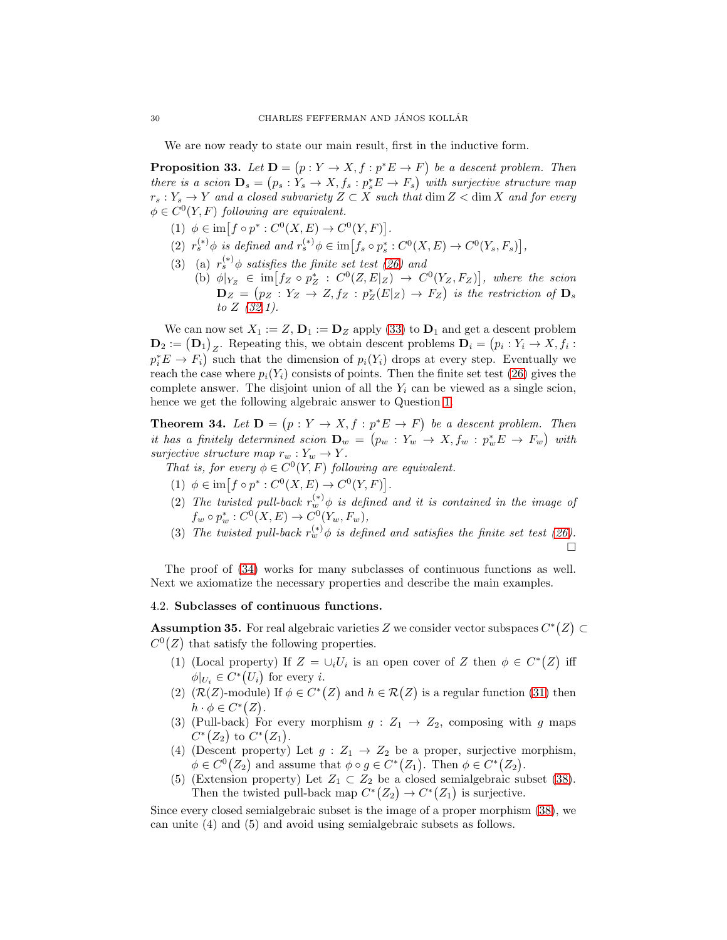We are now ready to state our main result, first in the inductive form.

<span id="page-29-2"></span>**Proposition 33.** Let  $D = (p : Y \to X, f : p^*E \to F)$  be a descent problem. Then *there is a scion*  $\mathbf{D}_s = (p_s : Y_s \to X, f_s : p_s^* E \to F_s)$  *with surjective structure map* r<sup>s</sup> : Y<sup>s</sup> → Y *and a closed subvariety* Z ⊂ X *such that* dim Z < dim X *and for every*  $\phi \in C^0(Y, F)$  *following are equivalent.* 

- (1)  $\phi \in \text{im}[f \circ p^* : C^0(X, E) \to C^0(Y, F)].$
- (2)  $r_s^{(*)} \phi$  is defined and  $r_s^{(*)} \phi \in \text{im} \big[ f_s \circ p_s^* : C^0(X, E) \to C^0(Y_s, F_s) \big],$
- (3) (a)  $r_s^{(*)}\phi$  *satisfies the finite set test* [\(26\)](#page-25-0) and
	- (b)  $\phi|_{Y_Z} \in \text{im}[f_Z \circ p_Z^* : C^0(Z, E|_Z) \to C^0(Y_Z, F_Z)],$  where the scion  $\mathbf{D}_Z = (p_Z : Y_Z \to Z, f_Z : p_Z^*(E|Z) \to F_Z)$  is the restriction of  $\mathbf{D}_s$ *to* Z *[\(32.](#page-27-2)1).*

We can now set  $X_1 := Z$ ,  $\mathbf{D}_1 := \mathbf{D}_Z$  apply [\(33\)](#page-29-2) to  $\mathbf{D}_1$  and get a descent problem  $\mathbf{D}_2 := (\mathbf{D}_1)_Z$ . Repeating this, we obtain descent problems  $\mathbf{D}_i = (p_i : Y_i \to X, f_i :$  $p_i^* E \to F_i$  such that the dimension of  $p_i(Y_i)$  drops at every step. Eventually we reach the case where  $p_i(Y_i)$  consists of points. Then the finite set test [\(26\)](#page-25-0) gives the complete answer. The disjoint union of all the  $Y_i$  can be viewed as a single scion, hence we get the following algebraic answer to Question [1.](#page-0-1)

<span id="page-29-1"></span>**Theorem 34.** Let  $D = (p : Y \to X, f : p^*E \to F)$  be a descent problem. Then *it has a finitely determined scion*  $\mathbf{D}_w = (p_w : Y_w \rightarrow X, f_w : p_w^* E \rightarrow F_w)$  with *surjective structure map*  $r_w : Y_w \to Y$ *.* 

- *That is, for every*  $\phi \in C^0(Y, F)$  *following are equivalent.* 
	- (1)  $\phi \in \text{im}[f \circ p^* : C^0(X, E) \to C^0(Y, F)].$
- (2) The twisted pull-back  $r_w^{(*)}\phi$  is defined and it is contained in the image of  $f_w \circ p_w^* : C^0(X, E) \to C^0(Y_w, F_w),$
- (3) The twisted pull-back  $r_w^{(*)}\phi$  is defined and satisfies the finite set test [\(26\)](#page-25-0).  $\Box$

The proof of [\(34\)](#page-29-1) works for many subclasses of continuous functions as well. Next we axiomatize the necessary properties and describe the main examples.

## <span id="page-29-0"></span>4.2. Subclasses of continuous functions.

<span id="page-29-3"></span>**Assumption 35.** For real algebraic varieties Z we consider vector subspaces  $C^*(Z) \subset$  $C<sup>0</sup>(Z)$  that satisfy the following properties.

- (1) (Local property) If  $Z = \bigcup_i U_i$  is an open cover of Z then  $\phi \in C^*(Z)$  iff  $\phi|_{U_i} \in C^*(U_i)$  for every *i*.
- (2)  $(\mathcal{R}(Z)$ -module) If  $\phi \in C^*(Z)$  and  $h \in \mathcal{R}(Z)$  is a regular function [\(31\)](#page-27-1) then  $h \cdot \phi \in C^*(Z)$ .
- (3) (Pull-back) For every morphism  $g: Z_1 \rightarrow Z_2$ , composing with g maps  $C^*(Z_2)$  to  $C^*(Z_1)$ .
- (4) (Descent property) Let  $g: Z_1 \rightarrow Z_2$  be a proper, surjective morphism,  $\phi \in C^0(Z_2)$  and assume that  $\phi \circ g \in C^*(Z_1)$ . Then  $\phi \in C^*(Z_2)$ .
- (5) (Extension property) Let  $Z_1 \subset Z_2$  be a closed semialgebraic subset [\(38\)](#page-30-1). Then the twisted pull-back map  $C^*(Z_2) \to C^*(Z_1)$  is surjective.

Since every closed semialgebraic subset is the image of a proper morphism [\(38\)](#page-30-1), we can unite (4) and (5) and avoid using semialgebraic subsets as follows.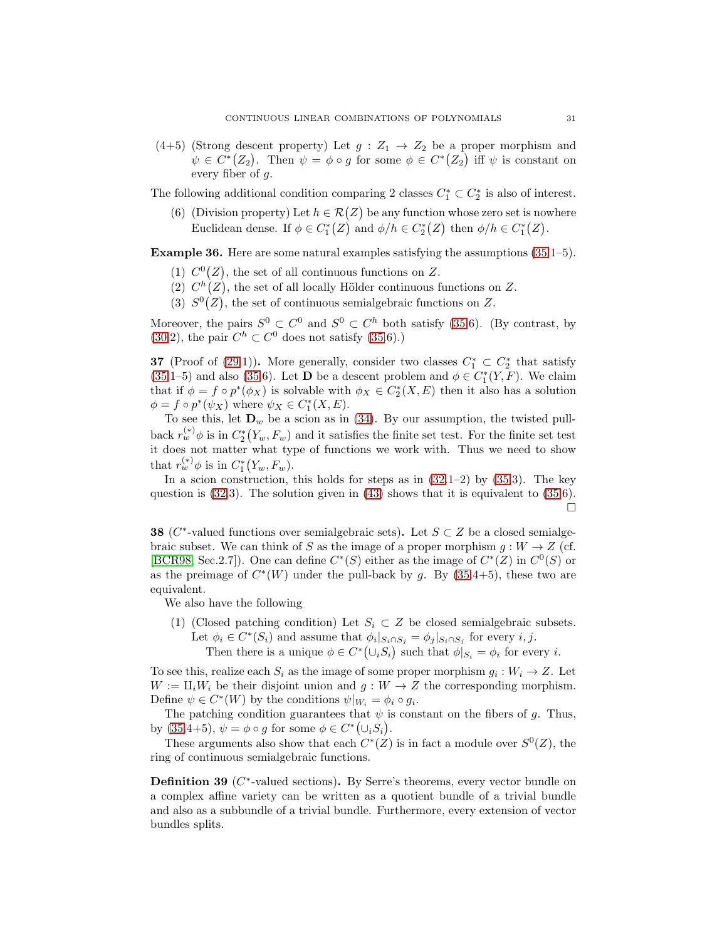$(4+5)$  (Strong descent property) Let  $g: Z_1 \rightarrow Z_2$  be a proper morphism and  $\psi \in C^*(Z_2)$ . Then  $\psi = \phi \circ g$  for some  $\phi \in C^*(Z_2)$  iff  $\psi$  is constant on every fiber of g.

The following additional condition comparing 2 classes  $C_1^* \subset C_2^*$  is also of interest.

(6) (Division property) Let  $h \in \mathcal{R}(Z)$  be any function whose zero set is nowhere Euclidean dense. If  $\phi \in C^*_1(\mathbb{Z})$  and  $\phi/h \in C^*_2(\mathbb{Z})$  then  $\phi/h \in C^*_1(\mathbb{Z})$ .

Example 36. Here are some natural examples satisfying the assumptions [\(35.](#page-29-3)1–5).

- (1)  $C^0(Z)$ , the set of all continuous functions on Z.
- (2)  $C^h(Z)$ , the set of all locally Hölder continuous functions on Z.
- (3)  $S^0(Z)$ , the set of continuous semialgebraic functions on Z.

Moreover, the pairs  $S^0 \subset C^0$  and  $S^0 \subset C^h$  both satisfy [\(35.](#page-29-3)6). (By contrast, by [\(30.](#page-26-0)2), the pair  $C^h \subset C^0$  does not satisfy [\(35.](#page-29-3)6).)

<span id="page-30-0"></span>**37** (Proof of [\(29.](#page-26-1)1)). More generally, consider two classes  $C_1^* \subset C_2^*$  that satisfy [\(35.](#page-29-3)1–5) and also [\(35.](#page-29-3)6). Let **D** be a descent problem and  $\phi \in C_1^*(Y, F)$ . We claim that if  $\phi = f \circ p^*(\phi_X)$  is solvable with  $\phi_X \in C_2^*(X, E)$  then it also has a solution  $\phi = f \circ p^*(\psi_X)$  where  $\psi_X \in C_1^*(X, E)$ .

To see this, let  $\mathbf{D}_w$  be a scion as in [\(34\)](#page-29-1). By our assumption, the twisted pullback  $r_w^{(*)} \phi$  is in  $C_2^*(Y_w, F_w)$  and it satisfies the finite set test. For the finite set test it does not matter what type of functions we work with. Thus we need to show that  $r_w^{(*)}\phi$  is in  $C_1^*(Y_w, F_w)$ .

In a scion construction, this holds for steps as in  $(32.1-2)$  by  $(35.3)$ . The key question is  $(32.3)$ . The solution given in  $(43)$  shows that it is equivalent to  $(35.6)$ .  $\Box$ 

<span id="page-30-1"></span>**38** ( $C^*$ -valued functions over semialgebraic sets). Let  $S \subset Z$  be a closed semialgebraic subset. We can think of S as the image of a proper morphism  $g: W \to Z$  (cf. [\[BCR98,](#page-39-15) Sec.2.7]). One can define  $C^*(S)$  either as the image of  $C^*(Z)$  in  $C^0(S)$  or as the preimage of  $C^*(W)$  under the pull-back by g. By  $(35.4+5)$ , these two are equivalent.

We also have the following

- (1) (Closed patching condition) Let  $S_i \subset Z$  be closed semialgebraic subsets. Let  $\phi_i \in C^*(S_i)$  and assume that  $\phi_i|_{S_i \cap S_j} = \phi_j|_{S_i \cap S_j}$  for every  $i, j$ .
	- Then there is a unique  $\phi \in C^*(\cup_i S_i)$  such that  $\phi|_{S_i} = \phi_i$  for every *i*.

To see this, realize each  $S_i$  as the image of some proper morphism  $g_i: W_i \to Z$ . Let  $W := \amalg_i W_i$  be their disjoint union and  $g : W \to Z$  the corresponding morphism. Define  $\psi \in C^*(W)$  by the conditions  $\psi|_{W_i} = \phi_i \circ g_i$ .

The patching condition guarantees that  $\psi$  is constant on the fibers of g. Thus, by  $(35.4+5)$ ,  $\psi = \phi \circ g$  for some  $\phi \in C^*(\cup_i S_i)$ .

These arguments also show that each  $C^*(Z)$  is in fact a module over  $S^0(Z)$ , the ring of continuous semialgebraic functions.

<span id="page-30-2"></span>**Definition 39** ( $C^*$ -valued sections). By Serre's theorems, every vector bundle on a complex affine variety can be written as a quotient bundle of a trivial bundle and also as a subbundle of a trivial bundle. Furthermore, every extension of vector bundles splits.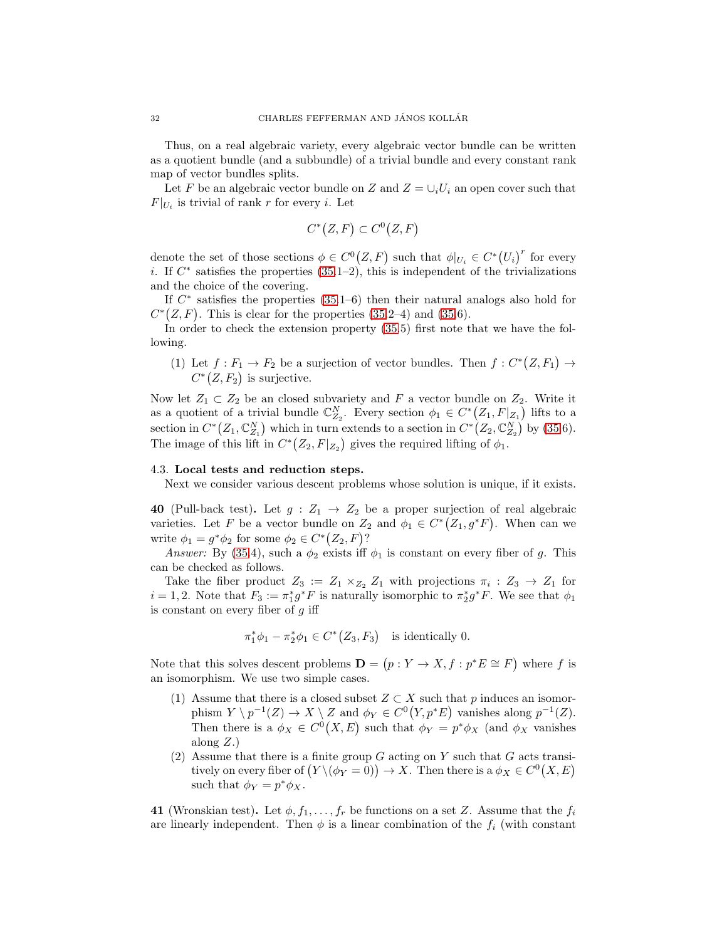Thus, on a real algebraic variety, every algebraic vector bundle can be written as a quotient bundle (and a subbundle) of a trivial bundle and every constant rank map of vector bundles splits.

Let F be an algebraic vector bundle on Z and  $Z = \bigcup_i U_i$  an open cover such that  $F|_{U_i}$  is trivial of rank r for every *i*. Let

$$
C^*(Z, F) \subset C^0(Z, F)
$$

denote the set of those sections  $\phi \in C^0(Z, F)$  such that  $\phi|_{U_i} \in C^*(U_i)^r$  for every i. If  $C^*$  satisfies the properties  $(35.1-2)$ , this is independent of the trivializations and the choice of the covering.

If  $C^*$  satisfies the properties  $(35.1-6)$  then their natural analogs also hold for  $C^*(Z, F)$ . This is clear for the properties [\(35.](#page-29-3)2–4) and (35.6).

In order to check the extension property [\(35.](#page-29-3)5) first note that we have the following.

(1) Let  $f: F_1 \to F_2$  be a surjection of vector bundles. Then  $f: C^*(Z, F_1) \to$  $C^*(Z, F_2)$  is surjective.

Now let  $Z_1 \subset Z_2$  be an closed subvariety and F a vector bundle on  $Z_2$ . Write it as a quotient of a trivial bundle  $\mathbb{C}_{Z_2}^N$ . Every section  $\phi_1 \in C^* (Z_1, F|_{Z_1})$  lifts to a section in  $C^* (Z_1, \mathbb{C}_{Z_1}^N)$  which in turn extends to a section in  $C^* (Z_2, \mathbb{C}_{Z_2}^N)$  by [\(35.](#page-29-3)6). The image of this lift in  $C^*(Z_2, F|_{Z_2})$  gives the required lifting of  $\phi_1$ .

# <span id="page-31-0"></span>4.3. Local tests and reduction steps.

Next we consider various descent problems whose solution is unique, if it exists.

<span id="page-31-2"></span>40 (Pull-back test). Let  $g: Z_1 \rightarrow Z_2$  be a proper surjection of real algebraic varieties. Let F be a vector bundle on  $Z_2$  and  $\phi_1 \in C^*(Z_1, g^*F)$ . When can we write  $\phi_1 = g^* \phi_2$  for some  $\phi_2 \in C^* (Z_2, F)$ ?

*Answer:* By [\(35.](#page-29-3)4), such a  $\phi_2$  exists iff  $\phi_1$  is constant on every fiber of g. This can be checked as follows.

Take the fiber product  $Z_3 := Z_1 \times_{Z_2} Z_1$  with projections  $\pi_i : Z_3 \to Z_1$  for  $i = 1, 2$ . Note that  $F_3 := \pi_1^* g^* F$  is naturally isomorphic to  $\pi_2^* g^* F$ . We see that  $\phi_1$ is constant on every fiber of  $q$  iff

$$
\pi_1^*\phi_1 - \pi_2^*\phi_1 \in C^*\big(Z_3, F_3\big) \quad \text{is identically } 0.
$$

Note that this solves descent problems  $\mathbf{D} = (p : Y \to X, f : p^*E \cong F)$  where f is an isomorphism. We use two simple cases.

- (1) Assume that there is a closed subset  $Z \subset X$  such that p induces an isomorphism  $Y \setminus p^{-1}(Z) \to X \setminus Z$  and  $\phi_Y \in C^0(Y, p^*E)$  vanishes along  $p^{-1}(Z)$ . Then there is a  $\phi_X \in C^0(X, E)$  such that  $\phi_Y = p^* \phi_X$  (and  $\phi_X$  vanishes along  $Z$ .)
- (2) Assume that there is a finite group  $G$  acting on  $Y$  such that  $G$  acts transitively on every fiber of  $(Y \setminus (\phi_Y = 0)) \to X$ . Then there is a  $\phi_X \in C^0(X, E)$ such that  $\phi_Y = p^* \phi_X$ .

<span id="page-31-1"></span>41 (Wronskian test). Let  $\phi, f_1, \ldots, f_r$  be functions on a set Z. Assume that the  $f_i$ are linearly independent. Then  $\phi$  is a linear combination of the  $f_i$  (with constant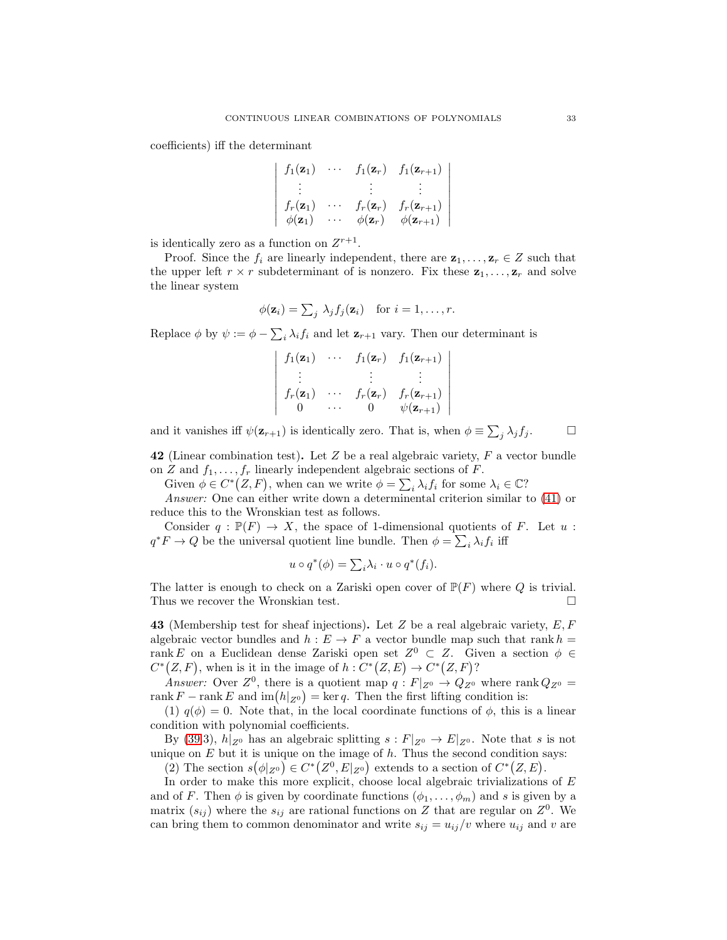coefficients) iff the determinant

$$
\begin{vmatrix}\nf_1(\mathbf{z}_1) & \cdots & f_1(\mathbf{z}_r) & f_1(\mathbf{z}_{r+1}) \\
\vdots & \vdots & \vdots \\
f_r(\mathbf{z}_1) & \cdots & f_r(\mathbf{z}_r) & f_r(\mathbf{z}_{r+1}) \\
\phi(\mathbf{z}_1) & \cdots & \phi(\mathbf{z}_r) & \phi(\mathbf{z}_{r+1})\n\end{vmatrix}
$$

is identically zero as a function on  $Z^{r+1}$ .

Proof. Since the  $f_i$  are linearly independent, there are  $\mathbf{z}_1, \ldots, \mathbf{z}_r \in Z$  such that the upper left  $r \times r$  subdeterminant of is nonzero. Fix these  $z_1, \ldots, z_r$  and solve the linear system

$$
\phi(\mathbf{z}_i) = \sum_j \lambda_j f_j(\mathbf{z}_i) \quad \text{for } i = 1, \dots, r.
$$

Replace  $\phi$  by  $\psi := \phi - \sum_i \lambda_i f_i$  and let  $\mathbf{z}_{r+1}$  vary. Then our determinant is

$$
\begin{vmatrix}\nf_1(\mathbf{z}_1) & \cdots & f_1(\mathbf{z}_r) & f_1(\mathbf{z}_{r+1}) \\
\vdots & \vdots & \vdots \\
f_r(\mathbf{z}_1) & \cdots & f_r(\mathbf{z}_r) & f_r(\mathbf{z}_{r+1}) \\
0 & \cdots & 0 & \psi(\mathbf{z}_{r+1})\n\end{vmatrix}
$$

and it vanishes iff  $\psi(\mathbf{z}_{r+1})$  is identically zero. That is, when  $\phi \equiv \sum_j \lambda_j f_j$ .  $\Box$ 

42 (Linear combination test). Let  $Z$  be a real algebraic variety,  $F$  a vector bundle on Z and  $f_1, \ldots, f_r$  linearly independent algebraic sections of F.

Given  $\phi \in C^*(Z, F)$ , when can we write  $\phi = \sum_i \lambda_i f_i$  for some  $\lambda_i \in \mathbb{C}^2$ 

*Answer:* One can either write down a determinental criterion similar to [\(41\)](#page-31-1) or reduce this to the Wronskian test as follows.

Consider  $q : \mathbb{P}(F) \to X$ , the space of 1-dimensional quotients of F. Let  $u$ :  $q^*F \to Q$  be the universal quotient line bundle. Then  $\phi = \sum_i \lambda_i f_i$  iff

$$
u \circ q^*(\phi) = \sum_i \lambda_i \cdot u \circ q^*(f_i).
$$

The latter is enough to check on a Zariski open cover of  $\mathbb{P}(F)$  where Q is trivial. Thus we recover the Wronskian test.  $\square$ 

<span id="page-32-0"></span>43 (Membership test for sheaf injections). Let Z be a real algebraic variety,  $E, F$ algebraic vector bundles and  $h : E \to F$  a vector bundle map such that rank  $h =$ rank E on a Euclidean dense Zariski open set  $Z^0 \subset Z$ . Given a section  $\phi \in$  $C^*(Z, F)$ , when is it in the image of  $h: C^*(Z, E) \to C^*(Z, F)$ ?

*Answer:* Over  $Z^0$ , there is a quotient map  $q : F|_{Z^0} \to Q_{Z^0}$  where rank  $Q_{Z^0} =$ rank  $F$  – rank E and  $\text{im}(h|_{Z^0}) = \text{ker } q$ . Then the first lifting condition is:

(1)  $q(\phi) = 0$ . Note that, in the local coordinate functions of  $\phi$ , this is a linear condition with polynomial coefficients.

By [\(39.](#page-30-2)3),  $h|_{Z^0}$  has an algebraic splitting  $s: F|_{Z^0} \to E|_{Z^0}$ . Note that s is not unique on  $E$  but it is unique on the image of  $h$ . Thus the second condition says:

(2) The section  $s(\phi|_{Z^0}) \in C^*(Z^0, E|_{Z^0})$  extends to a section of  $C^*(Z, E)$ .

In order to make this more explicit, choose local algebraic trivializations of  $E$ and of F. Then  $\phi$  is given by coordinate functions  $(\phi_1, \ldots, \phi_m)$  and s is given by a matrix  $(s_{ij})$  where the  $s_{ij}$  are rational functions on Z that are regular on  $Z^0$ . We can bring them to common denominator and write  $s_{ij} = u_{ij}/v$  where  $u_{ij}$  and v are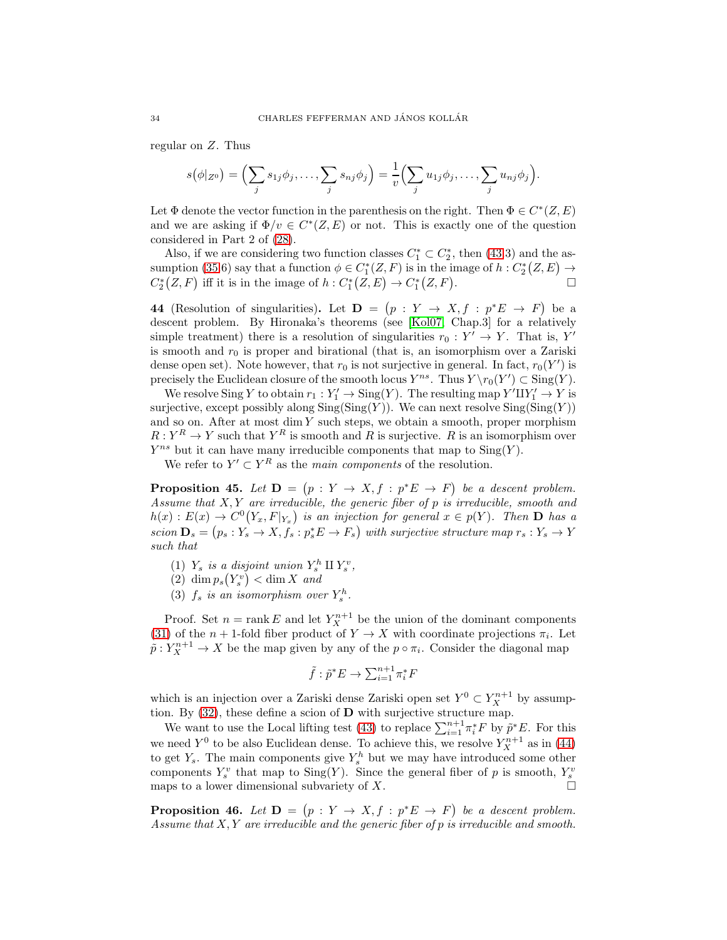regular on Z. Thus

$$
s(\phi|_{Z^0})=\Big(\sum_j s_{1j}\phi_j,\ldots,\sum_j s_{nj}\phi_j\Big)=\frac{1}{v}\Big(\sum_j u_{1j}\phi_j,\ldots,\sum_j u_{nj}\phi_j\Big).
$$

Let  $\Phi$  denote the vector function in the parenthesis on the right. Then  $\Phi \in C^*(Z,E)$ and we are asking if  $\Phi/v \in C^*(Z, E)$  or not. This is exactly one of the question considered in Part 2 of [\(28\)](#page-25-1).

Also, if we are considering two function classes  $C_1^* \subset C_2^*$ , then [\(43.](#page-32-0)3) and the as-sumption [\(35.](#page-29-3)6) say that a function  $\phi \in C_1^*(Z, F)$  is in the image of  $h: C_2^*(Z, E) \to$  $C^*_2(Z, F)$  iff it is in the image of  $h: C^*_1(Z, E) \to C^*_1(Z, F)$ . — Первый процесс в постановки программа в серверном становки производительно становки производите с производ<br>В серверном становки производительно становки производительно становки производительно становки производительн

<span id="page-33-0"></span>44 (Resolution of singularities). Let  $\mathbf{D} = (p : Y \to X, f : p^*E \to F)$  be a descent problem. By Hironaka's theorems (see [\[Kol07,](#page-39-16) Chap.3] for a relatively simple treatment) there is a resolution of singularities  $r_0: Y' \to Y$ . That is, Y' is smooth and  $r_0$  is proper and birational (that is, an isomorphism over a Zariski dense open set). Note however, that  $r_0$  is not surjective in general. In fact,  $r_0(Y')$  is precisely the Euclidean closure of the smooth locus  $Y^{ns}$ . Thus  $Y \setminus r_0(Y') \subset Sing(Y)$ .

We resolve Sing Y to obtain  $r_1: Y_1' \to \text{Sing}(Y)$ . The resulting map  $Y' \amalg Y_1' \to Y$  is surjective, except possibly along  $\operatorname{Sing}(\operatorname{Sing}(Y))$ . We can next resolve  $\operatorname{Sing}(\operatorname{Sing}(Y))$ and so on. After at most dim  $Y$  such steps, we obtain a smooth, proper morphism  $R: Y^R \to Y$  such that  $Y^R$  is smooth and R is surjective. R is an isomorphism over  $Y^{ns}$  but it can have many irreducible components that map to  $\text{Sing}(Y)$ .

We refer to  $Y' \subset Y^R$  as the *main components* of the resolution.

<span id="page-33-1"></span>**Proposition 45.** Let  $D = (p : Y \to X, f : p^*E \to F)$  be a descent problem. *Assume that* X, Y *are irreducible, the generic fiber of* p *is irreducible, smooth and*  $h(x): E(x) \to C^{0}(Y_x, F|_{Y_x})$  is an injection for general  $x \in p(Y)$ . Then **D** has a  $scion \mathbf{D}_s = (p_s : Y_s \to X, f_s : p_s^* E \to F_s)$  with surjective structure map  $r_s : Y_s \to Y_s$ *such that*

(1)  $Y_s$  *is a disjoint union*  $Y_s^h \amalg Y_s^v$ ,

$$
(2) \dim p_s(Y_s^v) < \dim X \text{ and}
$$

(3)  $f_s$  *is an isomorphism over*  $Y_s^h$ .

Proof. Set  $n = \text{rank } E$  and let  $Y_X^{n+1}$  be the union of the dominant components [\(31\)](#page-27-1) of the  $n + 1$ -fold fiber product of  $Y \to X$  with coordinate projections  $\pi_i$ . Let  $\tilde{p}: Y_X^{n+1} \to X$  be the map given by any of the  $p \circ \pi_i$ . Consider the diagonal map

$$
\tilde{f}:\tilde{p}^*E\to \textstyle\sum_{i=1}^{n+1} \pi_i^*F
$$

which is an injection over a Zariski dense Zariski open set  $Y^0 \subset Y_X^{n+1}$  by assumption. By  $(32)$ , these define a scion of **D** with surjective structure map.

We want to use the Local lifting test [\(43\)](#page-32-0) to replace  $\sum_{i=1}^{n+1} \pi_i^* F$  by  $\tilde{p}^* E$ . For this we need  $Y^0$  to be also Euclidean dense. To achieve this, we resolve  $Y_X^{n+1}$  as in [\(44\)](#page-33-0) to get  $Y_s$ . The main components give  $Y_s^h$  but we may have introduced some other components  $Y_s^v$  that map to  $\text{Sing}(Y)$ . Since the general fiber of p is smooth,  $Y_s^v$ maps to a lower dimensional subvariety of X.  $\Box$ 

<span id="page-33-2"></span>**Proposition 46.** Let  $D = (p : Y \to X, f : p^*E \to F)$  be a descent problem. *Assume that* X, Y *are irreducible and the generic fiber of* p *is irreducible and smooth.*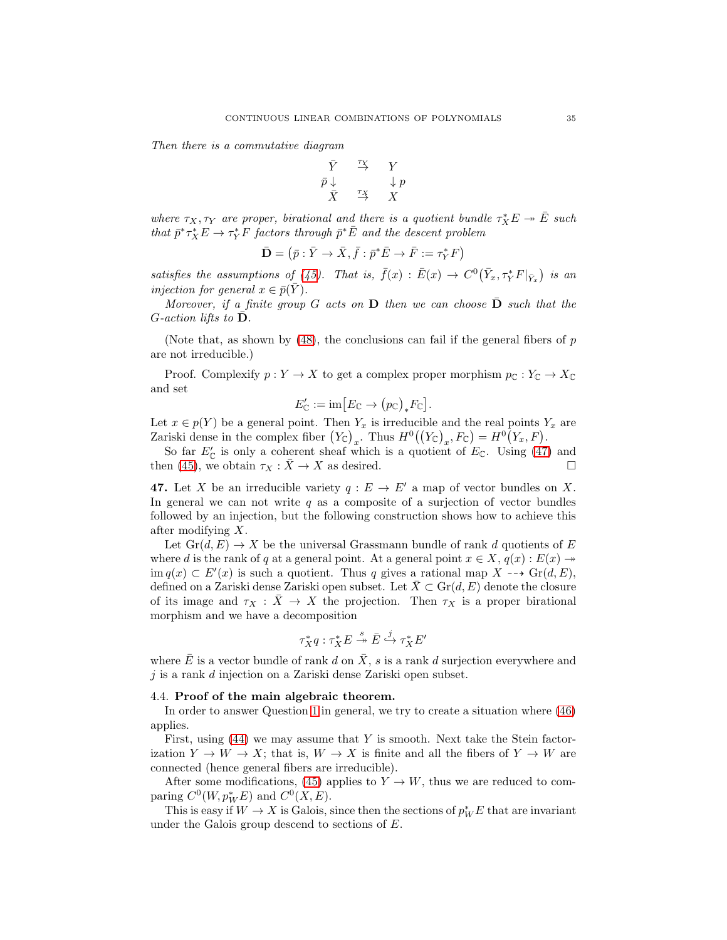*Then there is a commutative diagram*

$$
\begin{array}{ccc}\n\bar{Y} & \stackrel{\tau_X}{\to} & Y \\
\bar{p} \downarrow & & \downarrow p \\
\bar{X} & \stackrel{\tau_X}{\to} & X\n\end{array}
$$

where  $\tau_X, \tau_Y$  are proper, birational and there is a quotient bundle  $\tau_X^*E \to \overline{E}$  such *that*  $\bar{p}^* \tau_X^* E \to \tau_Y^* \bar{F}$  *factors through*  $\bar{p}^* \bar{E}$  *and the descent problem* 

$$
\bar{\mathbf{D}} = \left( \bar{p} : \bar{Y} \to \bar{X}, \bar{f} : \bar{p}^* \bar{E} \to \bar{F} := \tau_Y^* F \right)
$$

satisfies the assumptions of [\(45\)](#page-33-1). That is,  $\bar{f}(x) : \bar{E}(x) \to C^0(\bar{Y}_x, \tau_Y^* F|_{\bar{Y}_x})$  is an *injection for general*  $x \in \overline{p}(Y)$ *.* 

*Moreover, if a finite group*  $G$  *acts on*  $D$  *then we can choose*  $D$  *such that the*  $G$ -action lifts to  $D$ *.* 

(Note that, as shown by  $(48)$ , the conclusions can fail if the general fibers of p are not irreducible.)

Proof. Complexify  $p: Y \to X$  to get a complex proper morphism  $p_{\mathbb{C}}: Y_{\mathbb{C}} \to X_{\mathbb{C}}$ and set

$$
E'_{\mathbb{C}} := \mathrm{im} \big[ E_{\mathbb{C}} \to (p_{\mathbb{C}})_* F_{\mathbb{C}} \big].
$$

Let  $x \in p(Y)$  be a general point. Then  $Y_x$  is irreducible and the real points  $Y_x$  are Zariski dense in the complex fiber  $(Y_{\mathbb{C}})_{x}$ . Thus  $H^0((Y_{\mathbb{C}})_{x}, F_{\mathbb{C}}) = H^0(Y_{x}, F)$ .

So far  $E'_{\mathbb{C}}$  is only a coherent sheaf which is a quotient of  $E_{\mathbb{C}}$ . Using [\(47\)](#page-34-1) and then [\(45\)](#page-33-1), we obtain  $\tau_X : \overline{X} \to X$  as desired.

<span id="page-34-1"></span>47. Let X be an irreducible variety  $q : E \to E'$  a map of vector bundles on X. In general we can not write  $q$  as a composite of a surjection of vector bundles followed by an injection, but the following construction shows how to achieve this after modifying X.

Let  $\operatorname{Gr}(d, E) \to X$  be the universal Grassmann bundle of rank d quotients of E where d is the rank of q at a general point. At a general point  $x \in X$ ,  $q(x) : E(x) \rightarrow$ im  $q(x)$  ⊂  $E'(x)$  is such a quotient. Thus q gives a rational map  $X \dashrightarrow \text{Gr}(d, E)$ , defined on a Zariski dense Zariski open subset. Let  $\overline{X} \subset \text{Gr}(d, E)$  denote the closure of its image and  $\tau_X : \bar{X} \to X$  the projection. Then  $\tau_X$  is a proper birational morphism and we have a decomposition

$$
\tau_X^* q : \tau_X^* E \stackrel{s}{\twoheadrightarrow} \bar{E} \stackrel{j}{\hookrightarrow} \tau_X^* E'
$$

where  $\overline{E}$  is a vector bundle of rank d on  $\overline{X}$ , s is a rank d surjection everywhere and  $j$  is a rank  $d$  injection on a Zariski dense Zariski open subset.

### <span id="page-34-0"></span>4.4. Proof of the main algebraic theorem.

In order to answer Question [1](#page-0-1) in general, we try to create a situation where [\(46\)](#page-33-2) applies.

First, using  $(44)$  we may assume that Y is smooth. Next take the Stein factorization  $Y \to W \to X$ ; that is,  $W \to X$  is finite and all the fibers of  $Y \to W$  are connected (hence general fibers are irreducible).

After some modifications, [\(45\)](#page-33-1) applies to  $Y \to W$ , thus we are reduced to comparing  $C^0(W, p^*_W E)$  and  $C^0(X, E)$ .

This is easy if  $W \to X$  is Galois, since then the sections of  $p_W^*E$  that are invariant under the Galois group descend to sections of E.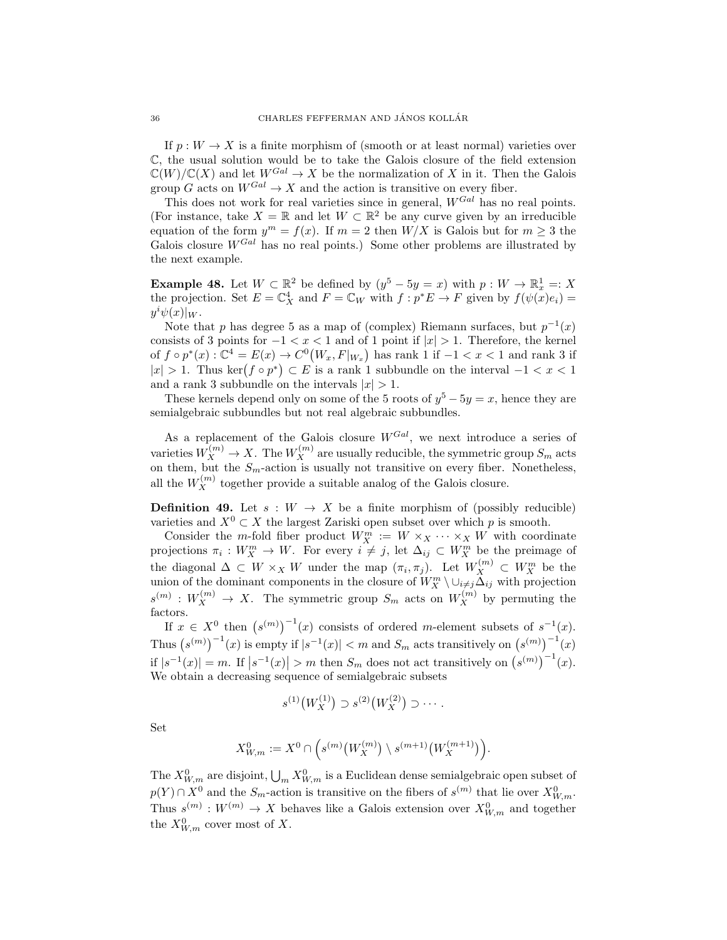If  $p: W \to X$  is a finite morphism of (smooth or at least normal) varieties over C, the usual solution would be to take the Galois closure of the field extension  $\mathbb{C}(W)/\mathbb{C}(X)$  and let  $W^{Gal} \to X$  be the normalization of X in it. Then the Galois group G acts on  $W^{Gal} \to X$  and the action is transitive on every fiber.

This does not work for real varieties since in general,  $W^{Gal}$  has no real points. (For instance, take  $X = \mathbb{R}$  and let  $W \subset \mathbb{R}^2$  be any curve given by an irreducible equation of the form  $y^m = f(x)$ . If  $m = 2$  then  $W/X$  is Galois but for  $m \geq 3$  the Galois closure  $W^{Gal}$  has no real points.) Some other problems are illustrated by the next example.

<span id="page-35-0"></span>**Example 48.** Let  $W \subset \mathbb{R}^2$  be defined by  $(y^5 - 5y = x)$  with  $p: W \to \mathbb{R}^1_x =: X$ the projection. Set  $E = \mathbb{C}^4_X$  and  $F = \mathbb{C}_W$  with  $f : p^*E \to F$  given by  $f(\psi(x)e_i) =$  $y^i \psi(x)|_W.$ 

Note that p has degree 5 as a map of (complex) Riemann surfaces, but  $p^{-1}(x)$ consists of 3 points for  $-1 < x < 1$  and of 1 point if  $|x| > 1$ . Therefore, the kernel of  $f \circ p^*(x)$ :  $\mathbb{C}^4 = E(x) \to C^0(W_x, F|_{W_x})$  has rank 1 if  $-1 < x < 1$  and rank 3 if  $|x| > 1$ . Thus ker $(f \circ p^*) \subset E$  is a rank 1 subbundle on the interval  $-1 < x < 1$ and a rank 3 subbundle on the intervals  $|x| > 1$ .

These kernels depend only on some of the 5 roots of  $y^5 - 5y = x$ , hence they are semialgebraic subbundles but not real algebraic subbundles.

As a replacement of the Galois closure  $W^{Gal}$ , we next introduce a series of varieties  $W_X^{(m)} \to X$ . The  $W_X^{(m)}$  are usually reducible, the symmetric group  $S_m$  acts on them, but the  $S_m$ -action is usually not transitive on every fiber. Nonetheless, all the  $W_X^{(m)}$  together provide a suitable analog of the Galois closure.

<span id="page-35-1"></span>**Definition 49.** Let  $s : W \to X$  be a finite morphism of (possibly reducible) varieties and  $X^0 \subset X$  the largest Zariski open subset over which p is smooth.

Consider the m-fold fiber product  $W_X^m := W \times_X \cdots \times_X W$  with coordinate projections  $\pi_i: W_X^m \to W$ . For every  $i \neq j$ , let  $\Delta_{ij} \subset W_X^m$  be the preimage of the diagonal  $\Delta \subset W \times_X W$  under the map  $(\pi_i, \pi_j)$ . Let  $W_X^{(m)} \subset W_X^m$  be the union of the dominant components in the closure of  $W_X^m \setminus \cup_{i \neq j} \Delta_{ij}$  with projection  $s^{(m)}: W_X^{(m)} \to X$ . The symmetric group  $S_m$  acts on  $W_X^{(m)}$  by permuting the factors.

If  $x \in X^0$  then  $(s^{(m)})^{-1}(x)$  consists of ordered m-element subsets of  $s^{-1}(x)$ . Thus  $(s^{(m)})^{-1}(x)$  is empty if  $|s^{-1}(x)| < m$  and  $S_m$  acts transitively on  $(s^{(m)})^{-1}(x)$ if  $|s^{-1}(x)| = m$ . If  $|s^{-1}(x)| > m$  then  $S_m$  does not act transitively on  $(s^{(m)})^{-1}(x)$ . We obtain a decreasing sequence of semialgebraic subsets

$$
s^{(1)}(W_X^{(1)}) \supset s^{(2)}(W_X^{(2)}) \supset \cdots.
$$

Set

$$
X_{W,m}^0 := X^0 \cap \Big( s^{(m)}\big(W_X^{(m)}\big) \setminus s^{(m+1)}\big(W_X^{(m+1)}\big) \Big).
$$

The  $X_{W,m}^0$  are disjoint,  $\bigcup_m X_{W,m}^0$  is a Euclidean dense semialgebraic open subset of  $p(Y) \cap X^0$  and the  $S_m$ -action is transitive on the fibers of  $s^{(m)}$  that lie over  $X^0_{W,m}$ . Thus  $s^{(m)}: W^{(m)} \to X$  behaves like a Galois extension over  $X_{W,m}^0$  and together the  $X_{W,m}^0$  cover most of X.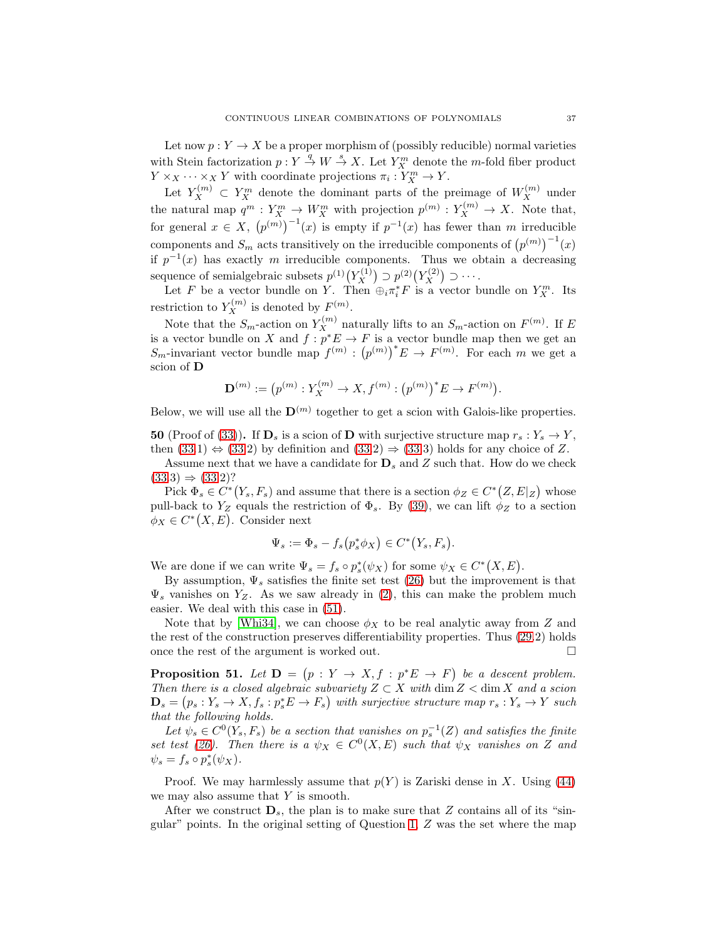Let now  $p: Y \to X$  be a proper morphism of (possibly reducible) normal varieties with Stein factorization  $p: Y \stackrel{q}{\to} W \stackrel{s}{\to} X$ . Let  $Y_X^m$  denote the m-fold fiber product  $Y \times_X \cdots \times_X Y$  with coordinate projections  $\pi_i: Y_X^m \to Y$ .

Let  $Y_X^{(m)} \subset Y_X^m$  denote the dominant parts of the preimage of  $W_X^{(m)}$  under the natural map  $q^m: Y_X^m \to W_X^m$  with projection  $p^{(m)}: Y_X^{(m)} \to X$ . Note that, for general  $x \in X$ ,  $(p^{(m)})^{-1}(x)$  is empty if  $p^{-1}(x)$  has fewer than m irreducible components and  $S_m$  acts transitively on the irreducible components of  $(p^{(m)})^{-1}(x)$ if  $p^{-1}(x)$  has exactly m irreducible components. Thus we obtain a decreasing sequence of semialgebraic subsets  $p^{(1)}(Y_X^{(1)})$  $\chi^{(1)}(Y_X^{(2)}) \supset p^{(2)}(Y_X^{(2)})$  $\binom{2}{X}$   $\supset \cdots$ .

Let F be a vector bundle on Y. Then  $\oplus_i \pi_i^* F$  is a vector bundle on  $Y_X^m$ . Its restriction to  $Y_X^{(m)}$  is denoted by  $F^{(m)}$ .

Note that the  $S_m$ -action on  $Y_X^{(m)}$  naturally lifts to an  $S_m$ -action on  $F^{(m)}$ . If E is a vector bundle on X and  $f: p^*E \to F$  is a vector bundle map then we get an  $S_m$ -invariant vector bundle map  $f^{(m)} : (p^{(m)})^* E \to F^{(m)}$ . For each m we get a scion of D

$$
\mathbf{D}^{(m)} := (p^{(m)} : Y_X^{(m)} \to X, f^{(m)} : (p^{(m)})^* E \to F^{(m)}).
$$

Below, we will use all the  $\mathbf{D}^{(m)}$  together to get a scion with Galois-like properties.

<span id="page-36-0"></span>50 (Proof of [\(33\)](#page-29-2)). If  $\mathbf{D}_s$  is a scion of D with surjective structure map  $r_s: Y_s \to Y$ , then  $(33.1) \Leftrightarrow (33.2)$  $(33.1) \Leftrightarrow (33.2)$  $(33.1) \Leftrightarrow (33.2)$  by definition and  $(33.2) \Rightarrow (33.3)$  $(33.2) \Rightarrow (33.3)$  holds for any choice of Z.

Assume next that we have a candidate for  $\mathbf{D}_s$  and Z such that. How do we check  $(33.3) \Rightarrow (33.2)$  $(33.3) \Rightarrow (33.2)$ ?

Pick  $\Phi_s \in C^*(Y_s, F_s)$  and assume that there is a section  $\phi_Z \in C^*(Z, E|Z)$  whose pull-back to  $Y_Z$  equals the restriction of  $\Phi_s$ . By [\(39\)](#page-30-2), we can lift  $\phi_Z$  to a section  $\phi_X \in C^*(X, E)$ . Consider next

$$
\Psi_s := \Phi_s - f_s\big(p_s^*\phi_X\big) \in C^*\big(Y_s, F_s\big).
$$

We are done if we can write  $\Psi_s = f_s \circ p_s^*(\psi_X)$  for some  $\psi_X \in C^*(X, E)$ .

By assumption,  $\Psi_s$  satisfies the finite set test [\(26\)](#page-25-0) but the improvement is that  $\Psi_s$  vanishes on  $Y_Z$ . As we saw already in [\(2\)](#page-1-1), this can make the problem much easier. We deal with this case in [\(51\)](#page-36-1).

Note that by [\[Whi34\]](#page-39-14), we can choose  $\phi_X$  to be real analytic away from Z and the rest of the construction preserves differentiability properties. Thus [\(29.](#page-26-1)2) holds once the rest of the argument is worked out.  $\Box$ 

<span id="page-36-1"></span>**Proposition 51.** Let  $D = (p : Y \to X, f : p^*E \to F)$  be a descent problem. *Then there is a closed algebraic subvariety*  $Z \subset X$  *with* dim  $Z <$  dim X *and a scion*  $\mathbf{D}_s = (p_s : Y_s \to X, f_s : p_s^* E \to F_s)$  with surjective structure map  $r_s : Y_s \to Y$  such *that the following holds.*

Let  $\psi_s \in C^0(Y_s, F_s)$  be a section that vanishes on  $p_s^{-1}(Z)$  and satisfies the finite *set test* [\(26\)](#page-25-0). Then there is a  $\psi_X \in C^0(X, E)$  *such that*  $\psi_X$  *vanishes on* Z *and*  $\psi_s = f_s \circ p_s^*(\psi_X).$ 

Proof. We may harmlessly assume that  $p(Y)$  is Zariski dense in X. Using [\(44\)](#page-33-0) we may also assume that  $Y$  is smooth.

After we construct  $\mathbf{D}_s$ , the plan is to make sure that Z contains all of its "singular" points. In the original setting of Question  $1, Z$  was the set where the map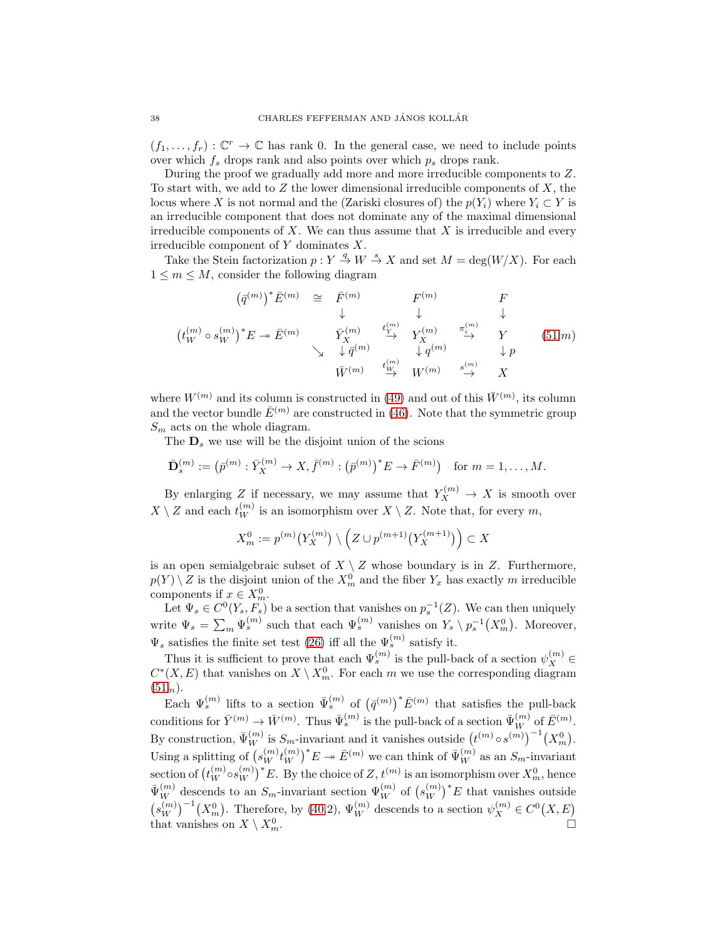$(f_1, \ldots, f_r) : \mathbb{C}^r \to \mathbb{C}$  has rank 0. In the general case, we need to include points over which  $f_s$  drops rank and also points over which  $p_s$  drops rank.

During the proof we gradually add more and more irreducible components to Z. To start with, we add to  $Z$  the lower dimensional irreducible components of  $X$ , the locus where X is not normal and the (Zariski closures of) the  $p(Y_i)$  where  $Y_i \subset Y$  is an irreducible component that does not dominate any of the maximal dimensional irreducible components of  $X$ . We can thus assume that  $X$  is irreducible and every irreducible component of Y dominates X.

Take the Stein factorization  $p: Y \stackrel{q}{\to} W \stackrel{s}{\to} X$  and set  $M = \deg(W/X)$ . For each  $1 \leq m \leq M$ , consider the following diagram

$$
(\bar{q}^{(m)})^* \bar{E}^{(m)} \cong \bar{F}^{(m)} \qquad F^{(m)} \qquad F
$$
  
\n
$$
(t_W^{(m)} \circ s_W^{(m)})^* E \to \bar{E}^{(m)} \qquad \bar{Y}_X^{(m)} \qquad \overset{t_X^{(m)}}{\to} \qquad \bar{Y}_X^{(m)} \qquad \qquad \downarrow \qquad \qquad \downarrow
$$
  
\n
$$
\times \qquad \qquad \downarrow \bar{q}^{(m)} \qquad \qquad \downarrow \bar{q}^{(m)} \qquad \qquad \downarrow \bar{q}^{(m)} \qquad \qquad \downarrow \bar{p}
$$
  
\n
$$
\bar{W}^{(m)} \qquad \qquad \stackrel{t_W^{(m)}}{\to} \qquad \qquad W^{(m)} \qquad \stackrel{s_{(m)}}{\to} \qquad X
$$
  
\n(51.70)

where  $W^{(m)}$  and its column is constructed in [\(49\)](#page-35-1) and out of this  $\bar{W}^{(m)}$ , its column and the vector bundle  $\bar{E}^{(m)}$  are constructed in [\(46\)](#page-33-2). Note that the symmetric group  $S_m$  acts on the whole diagram.

The  $\mathbf{D}_s$  we use will be the disjoint union of the scions

$$
\bar{\mathbf{D}}_s^{(m)} := (\bar{p}^{(m)} : \bar{Y}_X^{(m)} \to X, \bar{f}^{(m)} : (\bar{p}^{(m)})^* E \to \bar{F}^{(m)}) \text{ for } m = 1, ..., M.
$$

By enlarging Z if necessary, we may assume that  $Y_X^{(m)} \to X$  is smooth over  $X \setminus Z$  and each  $t_W^{(m)}$  is an isomorphism over  $X \setminus Z$ . Note that, for every m,

$$
X_m^0 := p^{(m)}(Y_X^{(m)}) \setminus \left(Z \cup p^{(m+1)}(Y_X^{(m+1)})\right) \subset X
$$

is an open semialgebraic subset of  $X \setminus Z$  whose boundary is in Z. Furthermore,  $p(Y) \setminus Z$  is the disjoint union of the  $X_m^0$  and the fiber  $Y_x$  has exactly m irreducible components if  $x \in X_m^0$ .

Let  $\Psi_s \in C^0(Y_s, F_s)$  be a section that vanishes on  $p_s^{-1}(Z)$ . We can then uniquely write  $\Psi_s = \sum_m \Psi_s^{(m)}$  such that each  $\Psi_s^{(m)}$  vanishes on  $Y_s \setminus p_s^{-1}(X_m^0)$ . Moreover,  $\Psi_s$  satisfies the finite set test [\(26\)](#page-25-0) iff all the  $\Psi_s^{(m)}$  satisfy it.

Thus it is sufficient to prove that each  $\Psi_s^{(m)}$  is the pull-back of a section  $\psi_X^{(m)} \in$  $C^*(X, E)$  that vanishes on  $X \setminus X_m^0$ . For each m we use the corresponding diagram  $(51_m).$  $(51_m).$ 

Each  $\Psi_s^{(m)}$  lifts to a section  $\bar{\Psi}_s^{(m)}$  of  $(\bar{q}^{(m)})^* \bar{E}^{(m)}$  that satisfies the pull-back conditions for  $\bar{Y}^{(m)} \to \bar{W}^{(m)}$ . Thus  $\bar{\Psi}_s^{(m)}$  is the pull-back of a section  $\bar{\Psi}_W^{(m)}$  of  $\bar{E}^{(m)}$ . By construction,  $\bar{\Psi}_W^{(m)}$  is  $S_m$ -invariant and it vanishes outside  $(t^{(m)} \circ s^{(m)})^{-1}(X_m^0)$ . Using a splitting of  $(s_W^{(m)} t_W^{(m)})$  ${ (m) \choose W}^*E \twoheadrightarrow \bar{E}^{(m)}$  we can think of  $\bar{\Psi}_W^{(m)}$  as an  $S_m$ -invariant  $\mathrm{section\,of\,}\binom{t^{(m)}_W\!\circ\! s^{(m)}_W}$  ${(m) \choose W}^*E$ . By the choice of  $Z, t^{(m)}$  is an isomorphism over  $X_m^0$ , hence  $\bar{\Psi}_W^{(m)}$  descends to an  $S_m$ -invariant section  $\Psi_W^{(m)}$  of  $(s_W^{(m)}$  $\binom{m}{W}^*E$  that vanishes outside  $(s_W^{(m)})$  $\left(\begin{matrix}m\\W\end{matrix}\right)^{-1}\left(X_m^0\right)$ . Therefore, by [\(40.](#page-31-2)2),  $\Psi_W^{(m)}$  descends to a section  $\psi_X^{(m)} \in C^0(X, E)$ that vanishes on  $X \setminus X_m^0$ .  $\Box$  m.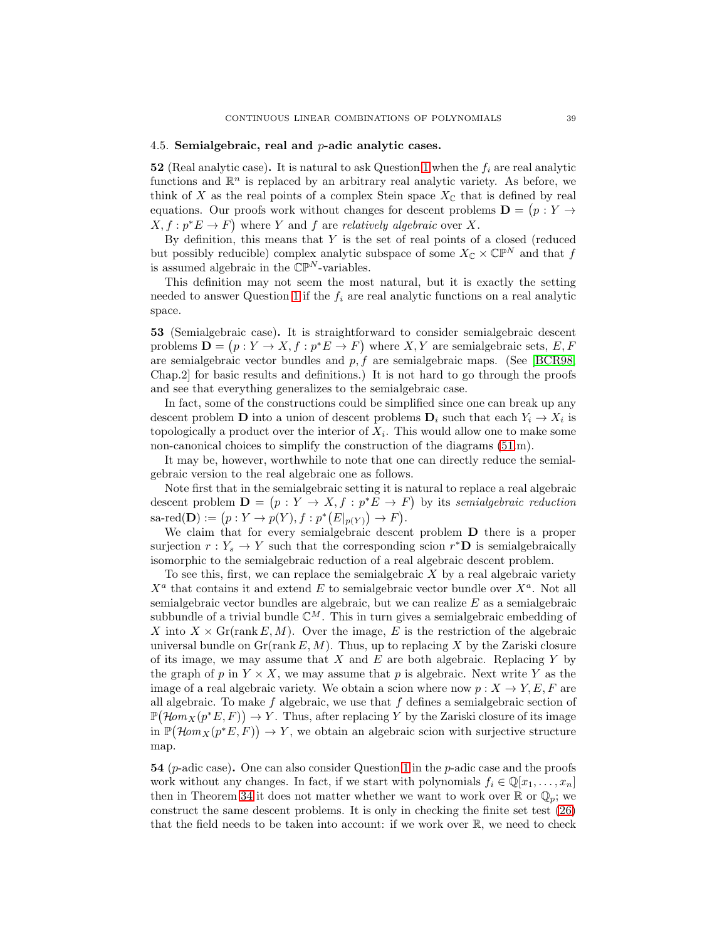#### <span id="page-38-0"></span>4.5. Semialgebraic, real and  $p$ -adic analytic cases.

52 (Real analytic case). It is natural to ask Question [1](#page-0-1) when the  $f_i$  are real analytic functions and  $\mathbb{R}^n$  is replaced by an arbitrary real analytic variety. As before, we think of X as the real points of a complex Stein space  $X_{\mathbb{C}}$  that is defined by real equations. Our proofs work without changes for descent problems  $\mathbf{D} = (p : Y \rightarrow$  $X, f: p^*E \to F$  where Y and f are *relatively algebraic* over X.

By definition, this means that  $Y$  is the set of real points of a closed (reduced but possibly reducible) complex analytic subspace of some  $X_{\mathbb{C}} \times \mathbb{CP}^N$  and that f is assumed algebraic in the  $\mathbb{CP}^N$ -variables.

This definition may not seem the most natural, but it is exactly the setting needed to answer Question [1](#page-0-1) if the  $f_i$  are real analytic functions on a real analytic space.

53 (Semialgebraic case). It is straightforward to consider semialgebraic descent problems  $\mathbf{D} = (p : Y \to X, f : p^*E \to F)$  where X, Y are semialgebraic sets, E, F are semialgebraic vector bundles and  $p, f$  are semialgebraic maps. (See [\[BCR98,](#page-39-15) Chap.2] for basic results and definitions.) It is not hard to go through the proofs and see that everything generalizes to the semialgebraic case.

In fact, some of the constructions could be simplified since one can break up any descent problem **D** into a union of descent problems  $\mathbf{D}_i$  such that each  $Y_i \to X_i$  is topologically a product over the interior of  $X_i$ . This would allow one to make some non-canonical choices to simplify the construction of the diagrams [\(51.](#page-36-1)m).

It may be, however, worthwhile to note that one can directly reduce the semialgebraic version to the real algebraic one as follows.

Note first that in the semialgebraic setting it is natural to replace a real algebraic descent problem  $\mathbf{D} = (p : Y \to X, f : p^*E \to F)$  by its *semialgebraic reduction* sa-red $(D) := (p: Y \to p(Y), f: p^*(E|_{p(Y)}) \to F).$ 

We claim that for every semialgebraic descent problem **D** there is a proper surjection  $r: Y_s \to Y$  such that the corresponding scion  $r^*D$  is semialgebraically isomorphic to the semialgebraic reduction of a real algebraic descent problem.

To see this, first, we can replace the semialgebraic  $X$  by a real algebraic variety  $X^a$  that contains it and extend E to semialgebraic vector bundle over  $X^a$ . Not all semialgebraic vector bundles are algebraic, but we can realize  $E$  as a semialgebraic subbundle of a trivial bundle  $\mathbb{C}^M$ . This in turn gives a semialgebraic embedding of X into  $X \times \mathrm{Gr}(\mathrm{rank} E, M)$ . Over the image, E is the restriction of the algebraic universal bundle on  $\text{Gr}(\text{rank } E, M)$ . Thus, up to replacing X by the Zariski closure of its image, we may assume that  $X$  and  $E$  are both algebraic. Replacing  $Y$  by the graph of p in  $Y \times X$ , we may assume that p is algebraic. Next write Y as the image of a real algebraic variety. We obtain a scion where now  $p: X \to Y, E, F$  are all algebraic. To make f algebraic, we use that f defines a semialgebraic section of  $\mathbb{P}(\mathcal{H}om_X(p^*E, F)) \to Y$ . Thus, after replacing Y by the Zariski closure of its image  $\text{in } P(\mathcal{H}om_X(p^*E, F)) \to Y$ , we obtain an algebraic scion with surjective structure map.

**54** ( $p$ -adic case). One can also consider Question [1](#page-0-1) in the  $p$ -adic case and the proofs work without any changes. In fact, if we start with polynomials  $f_i \in \mathbb{Q}[x_1, \ldots, x_n]$ then in Theorem [34](#page-29-1) it does not matter whether we want to work over  $\mathbb{R}$  or  $\mathbb{Q}_p$ ; we construct the same descent problems. It is only in checking the finite set test [\(26\)](#page-25-0) that the field needs to be taken into account: if we work over  $\mathbb{R}$ , we need to check